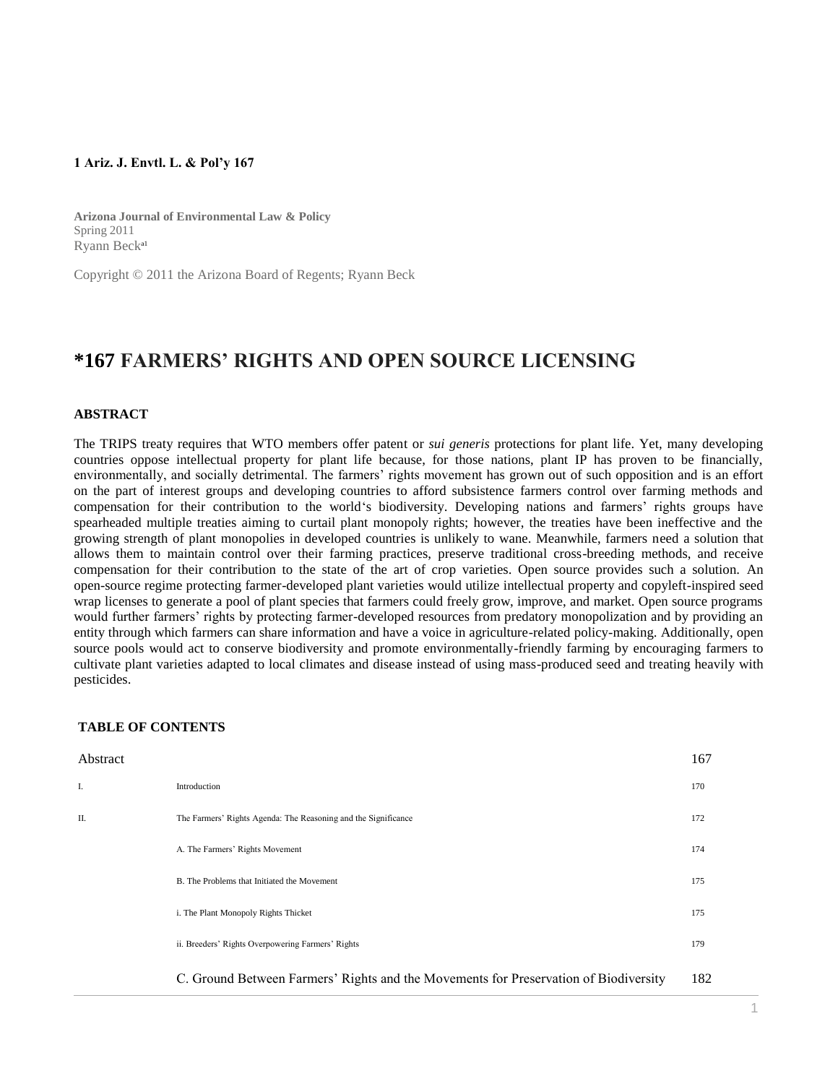## **1 Ariz. J. Envtl. L. & Pol'y 167**

**Arizona Journal of Environmental Law & Policy** Spring 2011 Ryann Becka1

Copyright © 2011 the Arizona Board of Regents; Ryann Beck

# **\*167 FARMERS' RIGHTS AND OPEN SOURCE LICENSING**

## **ABSTRACT**

The TRIPS treaty requires that WTO members offer patent or *sui generis* protections for plant life. Yet, many developing countries oppose intellectual property for plant life because, for those nations, plant IP has proven to be financially, environmentally, and socially detrimental. The farmers' rights movement has grown out of such opposition and is an effort on the part of interest groups and developing countries to afford subsistence farmers control over farming methods and compensation for their contribution to the world's biodiversity. Developing nations and farmers' rights groups have spearheaded multiple treaties aiming to curtail plant monopoly rights; however, the treaties have been ineffective and the growing strength of plant monopolies in developed countries is unlikely to wane. Meanwhile, farmers need a solution that allows them to maintain control over their farming practices, preserve traditional cross-breeding methods, and receive compensation for their contribution to the state of the art of crop varieties. Open source provides such a solution. An open-source regime protecting farmer-developed plant varieties would utilize intellectual property and copyleft-inspired seed wrap licenses to generate a pool of plant species that farmers could freely grow, improve, and market. Open source programs would further farmers' rights by protecting farmer-developed resources from predatory monopolization and by providing an entity through which farmers can share information and have a voice in agriculture-related policy-making. Additionally, open source pools would act to conserve biodiversity and promote environmentally-friendly farming by encouraging farmers to cultivate plant varieties adapted to local climates and disease instead of using mass-produced seed and treating heavily with pesticides.

#### **TABLE OF CONTENTS**

| Abstract |                                                                                      | 167 |
|----------|--------------------------------------------------------------------------------------|-----|
| I.       | Introduction                                                                         | 170 |
| Π.       | The Farmers' Rights Agenda: The Reasoning and the Significance                       | 172 |
|          | A. The Farmers' Rights Movement                                                      | 174 |
|          | B. The Problems that Initiated the Movement                                          | 175 |
|          | i. The Plant Monopoly Rights Thicket                                                 | 175 |
|          | ii. Breeders' Rights Overpowering Farmers' Rights                                    | 179 |
|          | C. Ground Between Farmers' Rights and the Movements for Preservation of Biodiversity | 182 |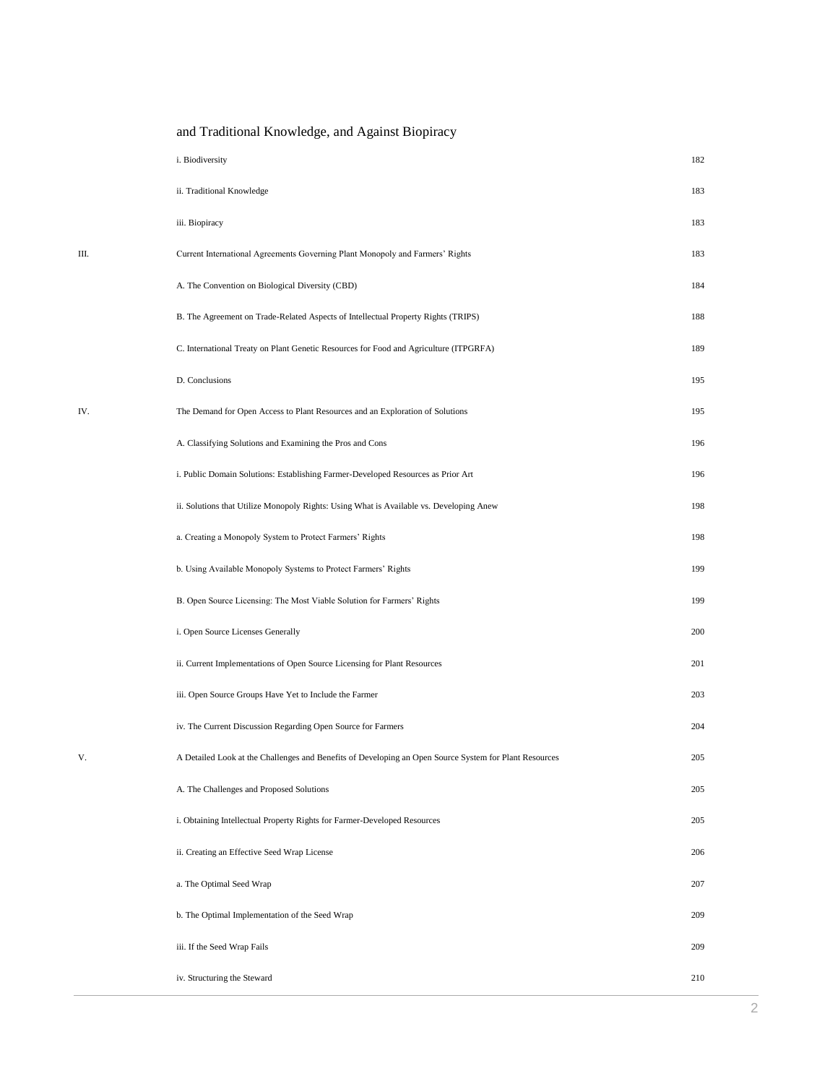|      | i. Biodiversity                                                                                        | 182 |
|------|--------------------------------------------------------------------------------------------------------|-----|
|      | ii. Traditional Knowledge                                                                              | 183 |
|      | iii. Biopiracy                                                                                         | 183 |
| III. | Current International Agreements Governing Plant Monopoly and Farmers' Rights                          | 183 |
|      | A. The Convention on Biological Diversity (CBD)                                                        | 184 |
|      | B. The Agreement on Trade-Related Aspects of Intellectual Property Rights (TRIPS)                      | 188 |
|      | C. International Treaty on Plant Genetic Resources for Food and Agriculture (ITPGRFA)                  | 189 |
|      | D. Conclusions                                                                                         | 195 |
| IV.  | The Demand for Open Access to Plant Resources and an Exploration of Solutions                          | 195 |
|      | A. Classifying Solutions and Examining the Pros and Cons                                               | 196 |
|      | i. Public Domain Solutions: Establishing Farmer-Developed Resources as Prior Art                       | 196 |
|      | ii. Solutions that Utilize Monopoly Rights: Using What is Available vs. Developing Anew                | 198 |
|      | a. Creating a Monopoly System to Protect Farmers' Rights                                               | 198 |
|      | b. Using Available Monopoly Systems to Protect Farmers' Rights                                         | 199 |
|      | B. Open Source Licensing: The Most Viable Solution for Farmers' Rights                                 | 199 |
|      | i. Open Source Licenses Generally                                                                      | 200 |
|      | ii. Current Implementations of Open Source Licensing for Plant Resources                               | 201 |
|      | iii. Open Source Groups Have Yet to Include the Farmer                                                 | 203 |
|      | iv. The Current Discussion Regarding Open Source for Farmers                                           | 204 |
| V.   | A Detailed Look at the Challenges and Benefits of Developing an Open Source System for Plant Resources | 205 |
|      | A. The Challenges and Proposed Solutions                                                               | 205 |
|      | i. Obtaining Intellectual Property Rights for Farmer-Developed Resources                               | 205 |
|      | ii. Creating an Effective Seed Wrap License                                                            | 206 |
|      | a. The Optimal Seed Wrap                                                                               | 207 |
|      | b. The Optimal Implementation of the Seed Wrap                                                         | 209 |
|      | iii. If the Seed Wrap Fails                                                                            | 209 |
|      | iv. Structuring the Steward                                                                            | 210 |

and Traditional Knowledge, and Against Biopiracy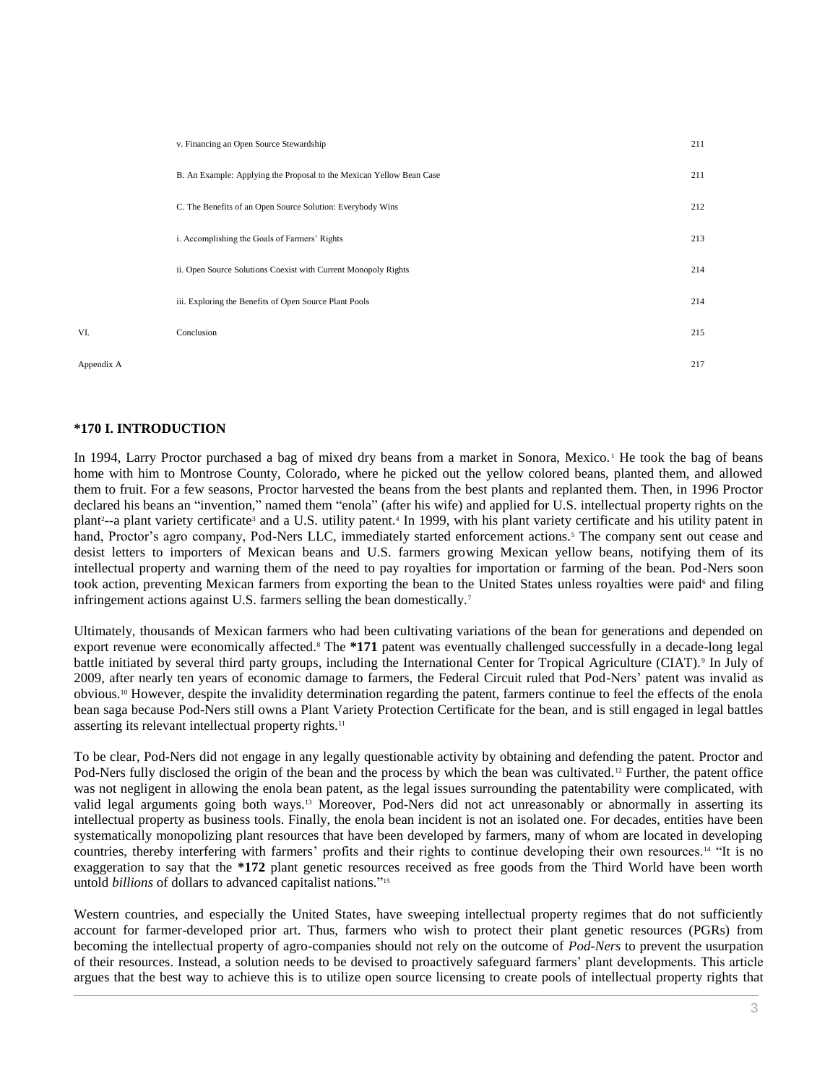|     | v. Financing an Open Source Stewardship                              | 211 |
|-----|----------------------------------------------------------------------|-----|
|     | B. An Example: Applying the Proposal to the Mexican Yellow Bean Case | 211 |
|     | C. The Benefits of an Open Source Solution: Everybody Wins           | 212 |
|     | i. Accomplishing the Goals of Farmers' Rights                        | 213 |
|     | ii. Open Source Solutions Coexist with Current Monopoly Rights       | 214 |
|     | iii. Exploring the Benefits of Open Source Plant Pools               | 214 |
| VI. | Conclusion                                                           | 215 |
|     |                                                                      |     |

Appendix A 217

# **\*170 I. INTRODUCTION**

In 1994, Larry Proctor purchased a bag of mixed dry beans from a market in Sonora, Mexico.<sup>1</sup> He took the bag of beans home with him to Montrose County, Colorado, where he picked out the yellow colored beans, planted them, and allowed them to fruit. For a few seasons, Proctor harvested the beans from the best plants and replanted them. Then, in 1996 Proctor declared his beans an "invention," named them "enola" (after his wife) and applied for U.S. intellectual property rights on the plant<sup>2</sup>--a plant variety certificate<sup>3</sup> and a U.S. utility patent.<sup>4</sup> In 1999, with his plant variety certificate and his utility patent in hand, Proctor's agro company, Pod-Ners LLC, immediately started enforcement actions.<sup>5</sup> The company sent out cease and desist letters to importers of Mexican beans and U.S. farmers growing Mexican yellow beans, notifying them of its intellectual property and warning them of the need to pay royalties for importation or farming of the bean. Pod-Ners soon took action, preventing Mexican farmers from exporting the bean to the United States unless royalties were paid<sup>6</sup> and filing infringement actions against U.S. farmers selling the bean domestically.<sup>7</sup>

Ultimately, thousands of Mexican farmers who had been cultivating variations of the bean for generations and depended on export revenue were economically affected.<sup>8</sup> The \*171 patent was eventually challenged successfully in a decade-long legal battle initiated by several third party groups, including the International Center for Tropical Agriculture (CIAT).<sup>9</sup> In July of 2009, after nearly ten years of economic damage to farmers, the Federal Circuit ruled that Pod-Ners' patent was invalid as obvious.<sup>10</sup> However, despite the invalidity determination regarding the patent, farmers continue to feel the effects of the enola bean saga because Pod-Ners still owns a Plant Variety Protection Certificate for the bean, and is still engaged in legal battles asserting its relevant intellectual property rights.<sup>11</sup>

To be clear, Pod-Ners did not engage in any legally questionable activity by obtaining and defending the patent. Proctor and Pod-Ners fully disclosed the origin of the bean and the process by which the bean was cultivated.<sup>12</sup> Further, the patent office was not negligent in allowing the enola bean patent, as the legal issues surrounding the patentability were complicated, with valid legal arguments going both ways.<sup>13</sup> Moreover, Pod-Ners did not act unreasonably or abnormally in asserting its intellectual property as business tools. Finally, the enola bean incident is not an isolated one. For decades, entities have been systematically monopolizing plant resources that have been developed by farmers, many of whom are located in developing countries, thereby interfering with farmers' profits and their rights to continue developing their own resources.<sup>14</sup> "It is no exaggeration to say that the **\*172** plant genetic resources received as free goods from the Third World have been worth untold *billions* of dollars to advanced capitalist nations." 15

Western countries, and especially the United States, have sweeping intellectual property regimes that do not sufficiently account for farmer-developed prior art. Thus, farmers who wish to protect their plant genetic resources (PGRs) from becoming the intellectual property of agro-companies should not rely on the outcome of *Pod-Ners* to prevent the usurpation of their resources. Instead, a solution needs to be devised to proactively safeguard farmers' plant developments. This article argues that the best way to achieve this is to utilize open source licensing to create pools of intellectual property rights that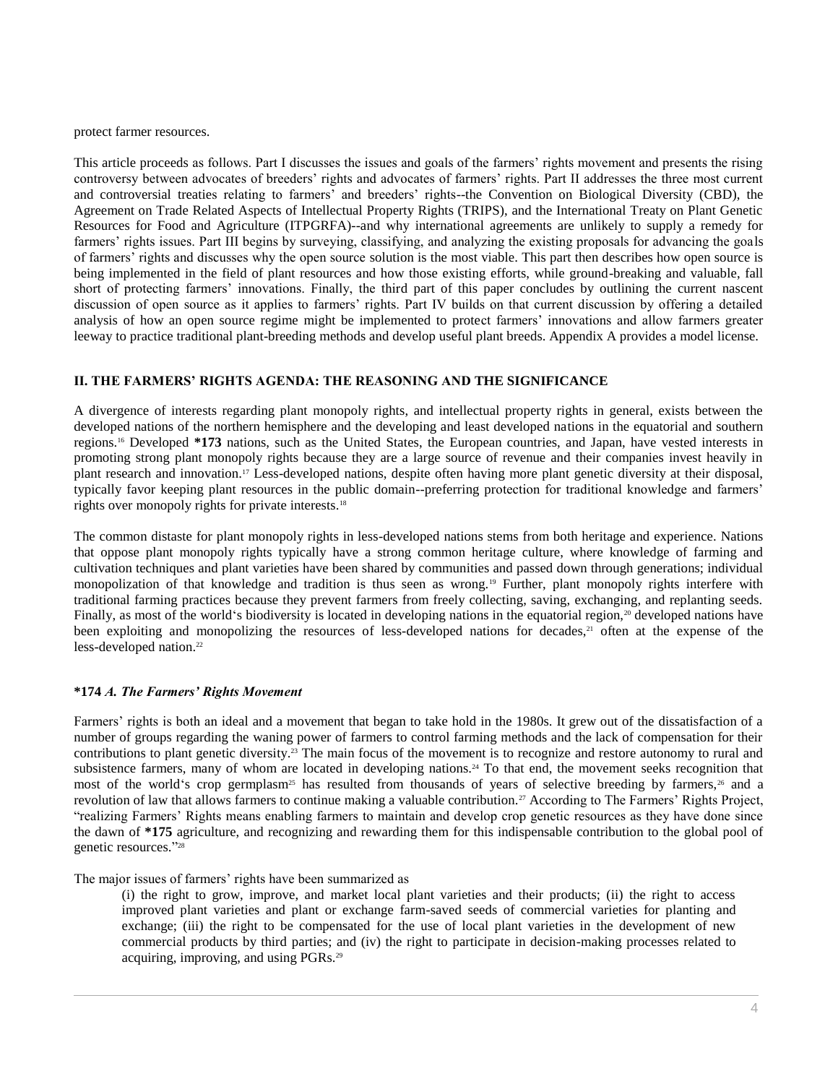protect farmer resources.

This article proceeds as follows. Part I discusses the issues and goals of the farmers' rights movement and presents the rising controversy between advocates of breeders' rights and advocates of farmers' rights. Part II addresses the three most current and controversial treaties relating to farmers' and breeders' rights--the Convention on Biological Diversity (CBD), the Agreement on Trade Related Aspects of Intellectual Property Rights (TRIPS), and the International Treaty on Plant Genetic Resources for Food and Agriculture (ITPGRFA)--and why international agreements are unlikely to supply a remedy for farmers' rights issues. Part III begins by surveying, classifying, and analyzing the existing proposals for advancing the goals of farmers' rights and discusses why the open source solution is the most viable. This part then describes how open source is being implemented in the field of plant resources and how those existing efforts, while ground-breaking and valuable, fall short of protecting farmers' innovations. Finally, the third part of this paper concludes by outlining the current nascent discussion of open source as it applies to farmers' rights. Part IV builds on that current discussion by offering a detailed analysis of how an open source regime might be implemented to protect farmers' innovations and allow farmers greater leeway to practice traditional plant-breeding methods and develop useful plant breeds. Appendix A provides a model license.

# **II. THE FARMERS' RIGHTS AGENDA: THE REASONING AND THE SIGNIFICANCE**

A divergence of interests regarding plant monopoly rights, and intellectual property rights in general, exists between the developed nations of the northern hemisphere and the developing and least developed nations in the equatorial and southern regions.<sup>16</sup> Developed **\*173** nations, such as the United States, the European countries, and Japan, have vested interests in promoting strong plant monopoly rights because they are a large source of revenue and their companies invest heavily in plant research and innovation.<sup>17</sup> Less-developed nations, despite often having more plant genetic diversity at their disposal, typically favor keeping plant resources in the public domain--preferring protection for traditional knowledge and farmers' rights over monopoly rights for private interests.<sup>18</sup>

The common distaste for plant monopoly rights in less-developed nations stems from both heritage and experience. Nations that oppose plant monopoly rights typically have a strong common heritage culture, where knowledge of farming and cultivation techniques and plant varieties have been shared by communities and passed down through generations; individual monopolization of that knowledge and tradition is thus seen as wrong.<sup>19</sup> Further, plant monopoly rights interfere with traditional farming practices because they prevent farmers from freely collecting, saving, exchanging, and replanting seeds. Finally, as most of the world's biodiversity is located in developing nations in the equatorial region,<sup>20</sup> developed nations have been exploiting and monopolizing the resources of less-developed nations for decades,<sup>21</sup> often at the expense of the less-developed nation.<sup>22</sup>

## **\*174** *A. The Farmers' Rights Movement*

Farmers' rights is both an ideal and a movement that began to take hold in the 1980s. It grew out of the dissatisfaction of a number of groups regarding the waning power of farmers to control farming methods and the lack of compensation for their contributions to plant genetic diversity.<sup>23</sup> The main focus of the movement is to recognize and restore autonomy to rural and subsistence farmers, many of whom are located in developing nations.<sup>24</sup> To that end, the movement seeks recognition that most of the world's crop germplasm<sup>25</sup> has resulted from thousands of years of selective breeding by farmers,<sup>26</sup> and a revolution of law that allows farmers to continue making a valuable contribution.<sup>27</sup> According to The Farmers' Rights Project, "realizing Farmers' Rights means enabling farmers to maintain and develop crop genetic resources as they have done since the dawn of **\*175** agriculture, and recognizing and rewarding them for this indispensable contribution to the global pool of genetic resources." 28

The major issues of farmers' rights have been summarized as

(i) the right to grow, improve, and market local plant varieties and their products; (ii) the right to access improved plant varieties and plant or exchange farm-saved seeds of commercial varieties for planting and exchange; (iii) the right to be compensated for the use of local plant varieties in the development of new commercial products by third parties; and (iv) the right to participate in decision-making processes related to acquiring, improving, and using PGRs.29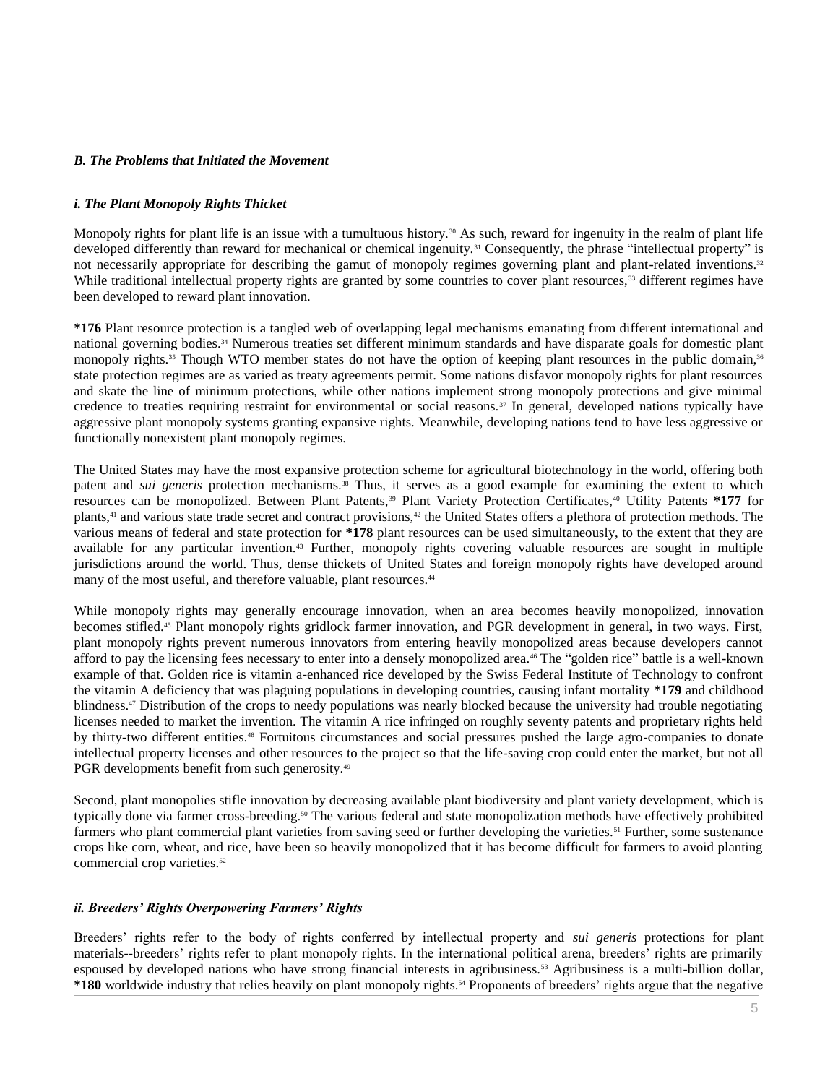## *B. The Problems that Initiated the Movement*

## *i. The Plant Monopoly Rights Thicket*

Monopoly rights for plant life is an issue with a tumultuous history.<sup>30</sup> As such, reward for ingenuity in the realm of plant life developed differently than reward for mechanical or chemical ingenuity.<sup>31</sup> Consequently, the phrase "intellectual property" is not necessarily appropriate for describing the gamut of monopoly regimes governing plant and plant-related inventions.<sup>32</sup> While traditional intellectual property rights are granted by some countries to cover plant resources,<sup>33</sup> different regimes have been developed to reward plant innovation.

**\*176** Plant resource protection is a tangled web of overlapping legal mechanisms emanating from different international and national governing bodies.<sup>34</sup> Numerous treaties set different minimum standards and have disparate goals for domestic plant monopoly rights.<sup>35</sup> Though WTO member states do not have the option of keeping plant resources in the public domain,<sup>36</sup> state protection regimes are as varied as treaty agreements permit. Some nations disfavor monopoly rights for plant resources and skate the line of minimum protections, while other nations implement strong monopoly protections and give minimal credence to treaties requiring restraint for environmental or social reasons.<sup>37</sup> In general, developed nations typically have aggressive plant monopoly systems granting expansive rights. Meanwhile, developing nations tend to have less aggressive or functionally nonexistent plant monopoly regimes.

The United States may have the most expansive protection scheme for agricultural biotechnology in the world, offering both patent and *sui generis* protection mechanisms.<sup>38</sup> Thus, it serves as a good example for examining the extent to which resources can be monopolized. Between Plant Patents,<sup>39</sup> Plant Variety Protection Certificates,<sup>40</sup> Utility Patents \*177 for plants,<sup>41</sup> and various state trade secret and contract provisions,<sup>42</sup> the United States offers a plethora of protection methods. The various means of federal and state protection for **\*178** plant resources can be used simultaneously, to the extent that they are available for any particular invention.<sup>43</sup> Further, monopoly rights covering valuable resources are sought in multiple jurisdictions around the world. Thus, dense thickets of United States and foreign monopoly rights have developed around many of the most useful, and therefore valuable, plant resources.<sup>44</sup>

While monopoly rights may generally encourage innovation, when an area becomes heavily monopolized, innovation becomes stifled.<sup>45</sup> Plant monopoly rights gridlock farmer innovation, and PGR development in general, in two ways. First, plant monopoly rights prevent numerous innovators from entering heavily monopolized areas because developers cannot afford to pay the licensing fees necessary to enter into a densely monopolized area.<sup>46</sup> The "golden rice" battle is a well-known example of that. Golden rice is vitamin a-enhanced rice developed by the Swiss Federal Institute of Technology to confront the vitamin A deficiency that was plaguing populations in developing countries, causing infant mortality **\*179** and childhood blindness.<sup>47</sup> Distribution of the crops to needy populations was nearly blocked because the university had trouble negotiating licenses needed to market the invention. The vitamin A rice infringed on roughly seventy patents and proprietary rights held by thirty-two different entities.<sup>48</sup> Fortuitous circumstances and social pressures pushed the large agro-companies to donate intellectual property licenses and other resources to the project so that the life-saving crop could enter the market, but not all PGR developments benefit from such generosity.<sup>49</sup>

Second, plant monopolies stifle innovation by decreasing available plant biodiversity and plant variety development, which is typically done via farmer cross-breeding.<sup>50</sup> The various federal and state monopolization methods have effectively prohibited farmers who plant commercial plant varieties from saving seed or further developing the varieties.<sup>51</sup> Further, some sustenance crops like corn, wheat, and rice, have been so heavily monopolized that it has become difficult for farmers to avoid planting commercial crop varieties.<sup>52</sup>

#### *ii. Breeders' Rights Overpowering Farmers' Rights*

Breeders' rights refer to the body of rights conferred by intellectual property and *sui generis* protections for plant materials--breeders' rights refer to plant monopoly rights. In the international political arena, breeders' rights are primarily espoused by developed nations who have strong financial interests in agribusiness.<sup>53</sup> Agribusiness is a multi-billion dollar, **\*180** worldwide industry that relies heavily on plant monopoly rights.<sup>54</sup> Proponents of breeders' rights argue that the negative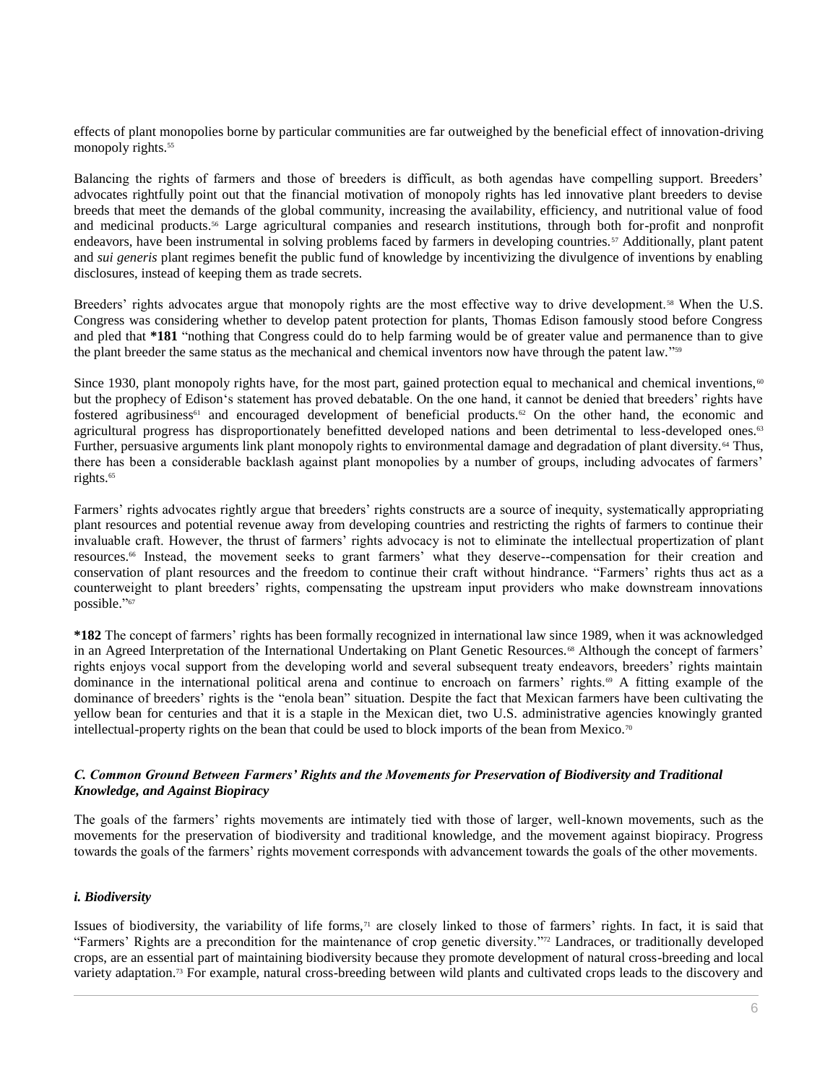effects of plant monopolies borne by particular communities are far outweighed by the beneficial effect of innovation-driving monopoly rights.<sup>55</sup>

Balancing the rights of farmers and those of breeders is difficult, as both agendas have compelling support. Breeders' advocates rightfully point out that the financial motivation of monopoly rights has led innovative plant breeders to devise breeds that meet the demands of the global community, increasing the availability, efficiency, and nutritional value of food and medicinal products.<sup>56</sup> Large agricultural companies and research institutions, through both for-profit and nonprofit endeavors, have been instrumental in solving problems faced by farmers in developing countries.<sup>57</sup> Additionally, plant patent and *sui generis* plant regimes benefit the public fund of knowledge by incentivizing the divulgence of inventions by enabling disclosures, instead of keeping them as trade secrets.

Breeders' rights advocates argue that monopoly rights are the most effective way to drive development.<sup>58</sup> When the U.S. Congress was considering whether to develop patent protection for plants, Thomas Edison famously stood before Congress and pled that **\*181** "nothing that Congress could do to help farming would be of greater value and permanence than to give the plant breeder the same status as the mechanical and chemical inventors now have through the patent law."<sup>59</sup>

Since 1930, plant monopoly rights have, for the most part, gained protection equal to mechanical and chemical inventions,  $\omega$ but the prophecy of Edison's statement has proved debatable. On the one hand, it cannot be denied that breeders' rights have fostered agribusiness<sup>61</sup> and encouraged development of beneficial products.<sup>62</sup> On the other hand, the economic and agricultural progress has disproportionately benefitted developed nations and been detrimental to less-developed ones.<sup>63</sup> Further, persuasive arguments link plant monopoly rights to environmental damage and degradation of plant diversity.<sup>64</sup> Thus, there has been a considerable backlash against plant monopolies by a number of groups, including advocates of farmers' rights.<sup>65</sup>

Farmers' rights advocates rightly argue that breeders' rights constructs are a source of inequity, systematically appropriating plant resources and potential revenue away from developing countries and restricting the rights of farmers to continue their invaluable craft. However, the thrust of farmers' rights advocacy is not to eliminate the intellectual propertization of plant resources.<sup>66</sup> Instead, the movement seeks to grant farmers' what they deserve--compensation for their creation and conservation of plant resources and the freedom to continue their craft without hindrance. "Farmers' rights thus act as a counterweight to plant breeders' rights, compensating the upstream input providers who make downstream innovations possible." 67

**\*182** The concept of farmers' rights has been formally recognized in international law since 1989, when it was acknowledged in an Agreed Interpretation of the International Undertaking on Plant Genetic Resources.<sup>68</sup> Although the concept of farmers' rights enjoys vocal support from the developing world and several subsequent treaty endeavors, breeders' rights maintain dominance in the international political arena and continue to encroach on farmers' rights.<sup>69</sup> A fitting example of the dominance of breeders' rights is the "enola bean" situation. Despite the fact that Mexican farmers have been cultivating the yellow bean for centuries and that it is a staple in the Mexican diet, two U.S. administrative agencies knowingly granted intellectual-property rights on the bean that could be used to block imports of the bean from Mexico.<sup>70</sup>

## *C. Common Ground Between Farmers' Rights and the Movements for Preservation of Biodiversity and Traditional Knowledge, and Against Biopiracy*

The goals of the farmers' rights movements are intimately tied with those of larger, well-known movements, such as the movements for the preservation of biodiversity and traditional knowledge, and the movement against biopiracy. Progress towards the goals of the farmers' rights movement corresponds with advancement towards the goals of the other movements.

# *i. Biodiversity*

Issues of biodiversity, the variability of life forms,<sup>71</sup> are closely linked to those of farmers' rights. In fact, it is said that "Farmers' Rights are a precondition for the maintenance of crop genetic diversity." <sup>72</sup> Landraces, or traditionally developed crops, are an essential part of maintaining biodiversity because they promote development of natural cross-breeding and local variety adaptation.<sup>73</sup> For example, natural cross-breeding between wild plants and cultivated crops leads to the discovery and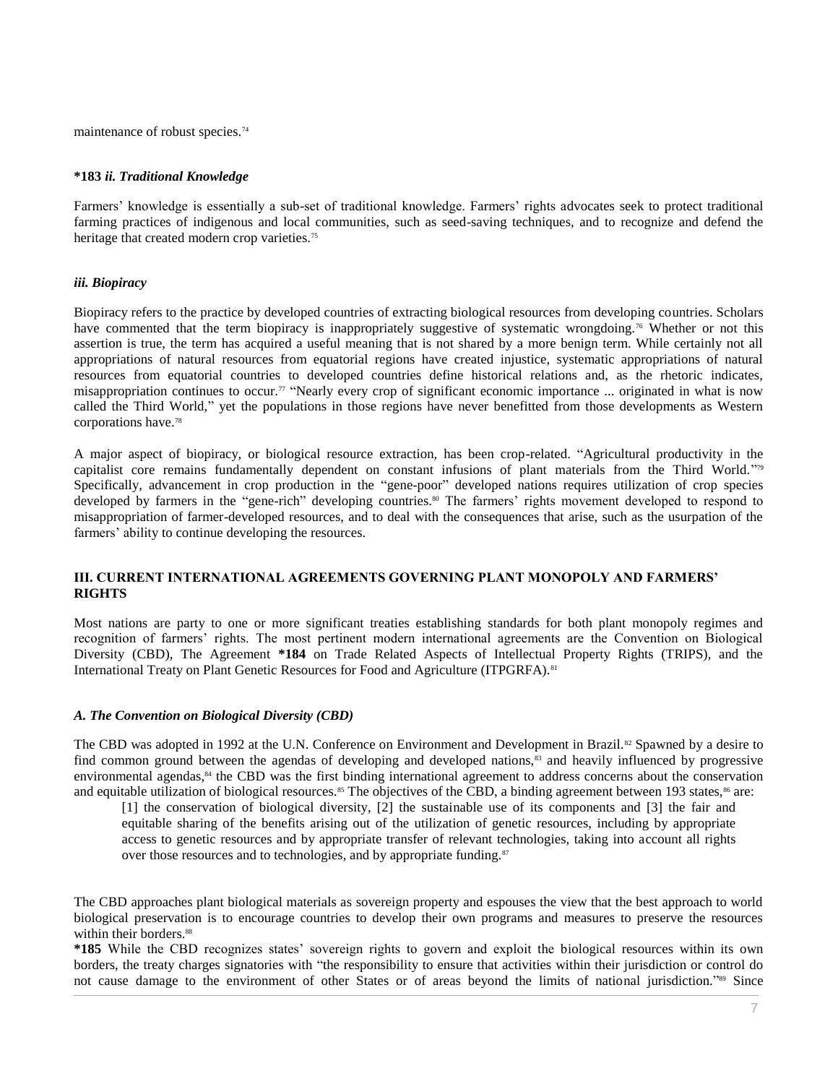maintenance of robust species.<sup>74</sup>

## **\*183** *ii. Traditional Knowledge*

Farmers' knowledge is essentially a sub-set of traditional knowledge. Farmers' rights advocates seek to protect traditional farming practices of indigenous and local communities, such as seed-saving techniques, and to recognize and defend the heritage that created modern crop varieties.<sup>75</sup>

# *iii. Biopiracy*

Biopiracy refers to the practice by developed countries of extracting biological resources from developing countries. Scholars have commented that the term biopiracy is inappropriately suggestive of systematic wrongdoing.<sup>76</sup> Whether or not this assertion is true, the term has acquired a useful meaning that is not shared by a more benign term. While certainly not all appropriations of natural resources from equatorial regions have created injustice, systematic appropriations of natural resources from equatorial countries to developed countries define historical relations and, as the rhetoric indicates, misappropriation continues to occur.<sup>77</sup> "Nearly every crop of significant economic importance ... originated in what is now called the Third World," yet the populations in those regions have never benefitted from those developments as Western corporations have.<sup>78</sup>

A major aspect of biopiracy, or biological resource extraction, has been crop-related. "Agricultural productivity in the capitalist core remains fundamentally dependent on constant infusions of plant materials from the Third World." 79 Specifically, advancement in crop production in the "gene-poor" developed nations requires utilization of crop species developed by farmers in the "gene-rich" developing countries.<sup>80</sup> The farmers' rights movement developed to respond to misappropriation of farmer-developed resources, and to deal with the consequences that arise, such as the usurpation of the farmers' ability to continue developing the resources.

## **III. CURRENT INTERNATIONAL AGREEMENTS GOVERNING PLANT MONOPOLY AND FARMERS' RIGHTS**

Most nations are party to one or more significant treaties establishing standards for both plant monopoly regimes and recognition of farmers' rights. The most pertinent modern international agreements are the Convention on Biological Diversity (CBD), The Agreement **\*184** on Trade Related Aspects of Intellectual Property Rights (TRIPS), and the International Treaty on Plant Genetic Resources for Food and Agriculture (ITPGRFA).<sup>81</sup>

#### *A. The Convention on Biological Diversity (CBD)*

The CBD was adopted in 1992 at the U.N. Conference on Environment and Development in Brazil.<sup>82</sup> Spawned by a desire to find common ground between the agendas of developing and developed nations,<sup>83</sup> and heavily influenced by progressive environmental agendas,<sup>84</sup> the CBD was the first binding international agreement to address concerns about the conservation and equitable utilization of biological resources.<sup>85</sup> The objectives of the CBD, a binding agreement between 193 states, $86$  are:

[1] the conservation of biological diversity, [2] the sustainable use of its components and [3] the fair and equitable sharing of the benefits arising out of the utilization of genetic resources, including by appropriate access to genetic resources and by appropriate transfer of relevant technologies, taking into account all rights over those resources and to technologies, and by appropriate funding.<sup>87</sup>

The CBD approaches plant biological materials as sovereign property and espouses the view that the best approach to world biological preservation is to encourage countries to develop their own programs and measures to preserve the resources within their borders.<sup>88</sup>

**\*185** While the CBD recognizes states' sovereign rights to govern and exploit the biological resources within its own borders, the treaty charges signatories with "the responsibility to ensure that activities within their jurisdiction or control do not cause damage to the environment of other States or of areas beyond the limits of national jurisdiction."<sup>89</sup> Since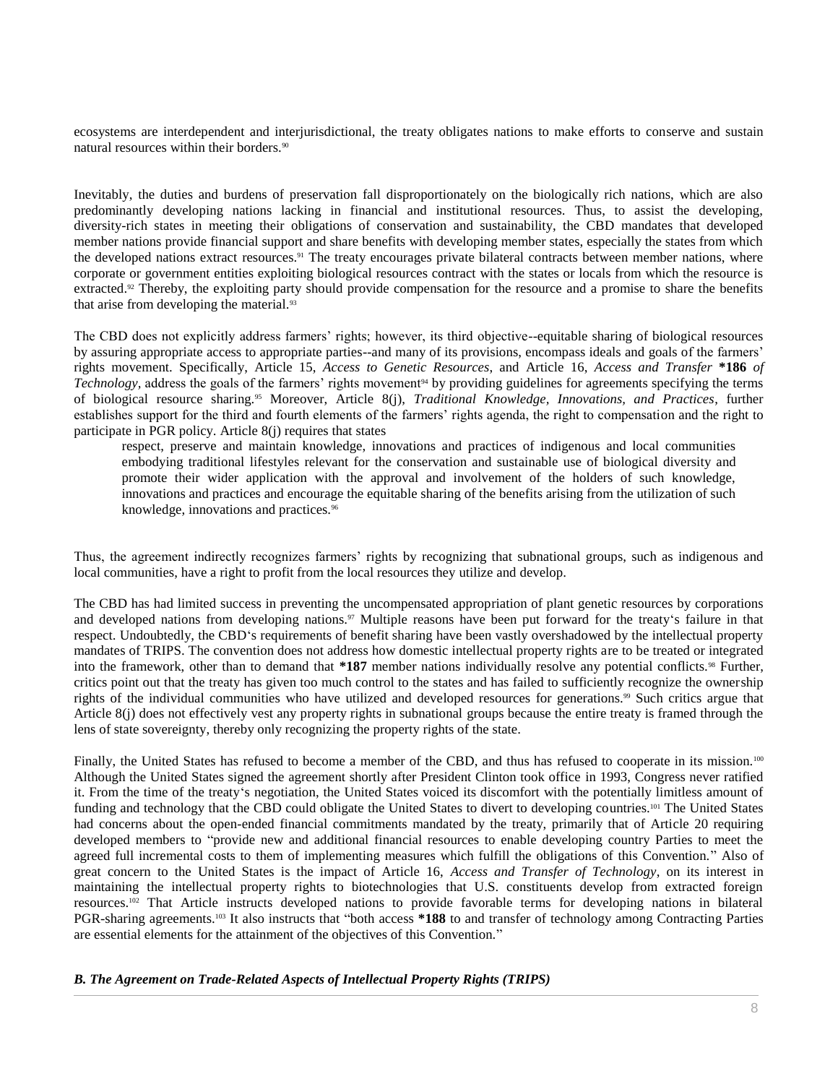ecosystems are interdependent and interjurisdictional, the treaty obligates nations to make efforts to conserve and sustain natural resources within their borders.<sup>90</sup>

Inevitably, the duties and burdens of preservation fall disproportionately on the biologically rich nations, which are also predominantly developing nations lacking in financial and institutional resources. Thus, to assist the developing, diversity-rich states in meeting their obligations of conservation and sustainability, the CBD mandates that developed member nations provide financial support and share benefits with developing member states, especially the states from which the developed nations extract resources.<sup>91</sup> The treaty encourages private bilateral contracts between member nations, where corporate or government entities exploiting biological resources contract with the states or locals from which the resource is extracted.<sup>92</sup> Thereby, the exploiting party should provide compensation for the resource and a promise to share the benefits that arise from developing the material.<sup>93</sup>

The CBD does not explicitly address farmers' rights; however, its third objective--equitable sharing of biological resources by assuring appropriate access to appropriate parties--and many of its provisions, encompass ideals and goals of the farmers' rights movement. Specifically, Article 15, *Access to Genetic Resources*, and Article 16, *Access and Transfer* **\*186** *of*  Technology, address the goals of the farmers' rights movement<sup>94</sup> by providing guidelines for agreements specifying the terms of biological resource sharing.<sup>95</sup> Moreover, Article 8(j), *Traditional Knowledge, Innovations, and Practices*, further establishes support for the third and fourth elements of the farmers' rights agenda, the right to compensation and the right to participate in PGR policy. Article 8(j) requires that states

respect, preserve and maintain knowledge, innovations and practices of indigenous and local communities embodying traditional lifestyles relevant for the conservation and sustainable use of biological diversity and promote their wider application with the approval and involvement of the holders of such knowledge, innovations and practices and encourage the equitable sharing of the benefits arising from the utilization of such knowledge, innovations and practices.<sup>96</sup>

Thus, the agreement indirectly recognizes farmers' rights by recognizing that subnational groups, such as indigenous and local communities, have a right to profit from the local resources they utilize and develop.

The CBD has had limited success in preventing the uncompensated appropriation of plant genetic resources by corporations and developed nations from developing nations.<sup>97</sup> Multiple reasons have been put forward for the treaty's failure in that respect. Undoubtedly, the CBD's requirements of benefit sharing have been vastly overshadowed by the intellectual property mandates of TRIPS. The convention does not address how domestic intellectual property rights are to be treated or integrated into the framework, other than to demand that **\*187** member nations individually resolve any potential conflicts.<sup>98</sup> Further, critics point out that the treaty has given too much control to the states and has failed to sufficiently recognize the ownership rights of the individual communities who have utilized and developed resources for generations.<sup>99</sup> Such critics argue that Article 8(j) does not effectively vest any property rights in subnational groups because the entire treaty is framed through the lens of state sovereignty, thereby only recognizing the property rights of the state.

Finally, the United States has refused to become a member of the CBD, and thus has refused to cooperate in its mission.<sup>100</sup> Although the United States signed the agreement shortly after President Clinton took office in 1993, Congress never ratified it. From the time of the treaty's negotiation, the United States voiced its discomfort with the potentially limitless amount of funding and technology that the CBD could obligate the United States to divert to developing countries.<sup>101</sup> The United States had concerns about the open-ended financial commitments mandated by the treaty, primarily that of Article 20 requiring developed members to "provide new and additional financial resources to enable developing country Parties to meet the agreed full incremental costs to them of implementing measures which fulfill the obligations of this Convention." Also of great concern to the United States is the impact of Article 16, *Access and Transfer of Technology*, on its interest in maintaining the intellectual property rights to biotechnologies that U.S. constituents develop from extracted foreign resources.<sup>102</sup> That Article instructs developed nations to provide favorable terms for developing nations in bilateral PGR-sharing agreements.<sup>103</sup> It also instructs that "both access **\*188** to and transfer of technology among Contracting Parties are essential elements for the attainment of the objectives of this Convention."

*B. The Agreement on Trade-Related Aspects of Intellectual Property Rights (TRIPS)*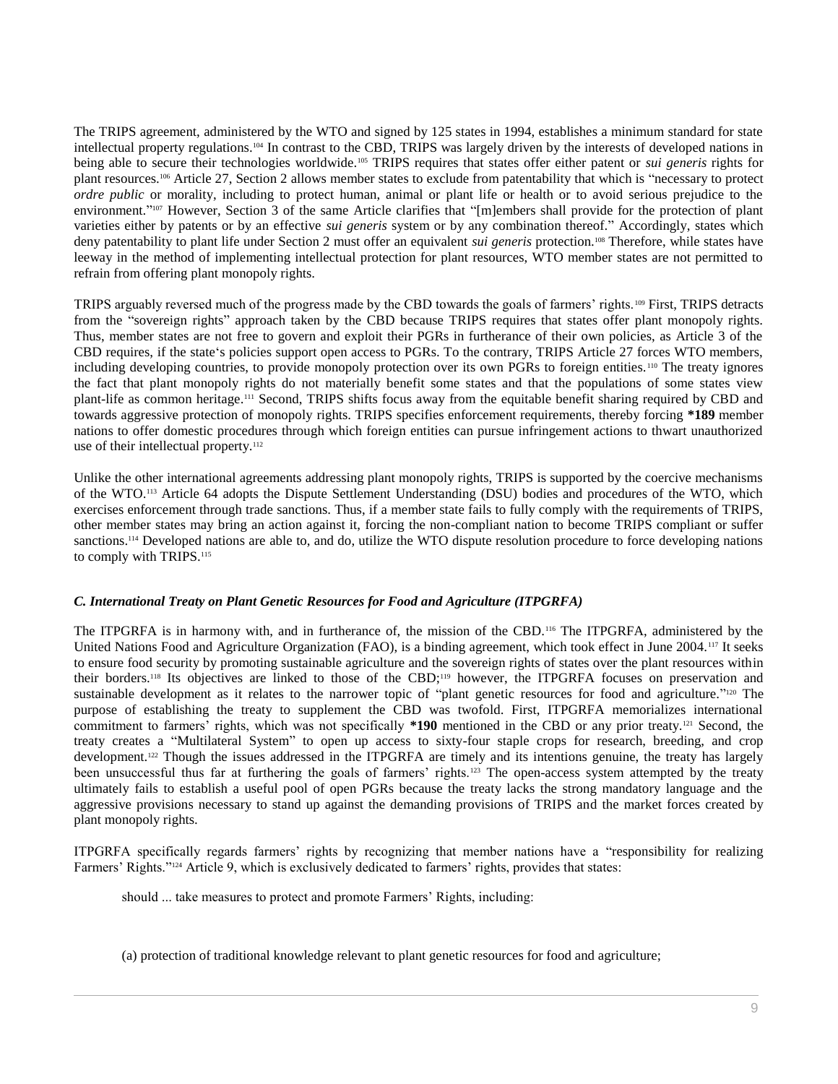The TRIPS agreement, administered by the WTO and signed by 125 states in 1994, establishes a minimum standard for state intellectual property regulations.<sup>104</sup> In contrast to the CBD, TRIPS was largely driven by the interests of developed nations in being able to secure their technologies worldwide.<sup>105</sup> TRIPS requires that states offer either patent or *sui generis* rights for plant resources.<sup>106</sup> Article 27, Section 2 allows member states to exclude from patentability that which is "necessary to protect *ordre public* or morality, including to protect human, animal or plant life or health or to avoid serious prejudice to the environment."<sup>107</sup> However, Section 3 of the same Article clarifies that "[m]embers shall provide for the protection of plant varieties either by patents or by an effective *sui generis* system or by any combination thereof." Accordingly, states which deny patentability to plant life under Section 2 must offer an equivalent *sui generis* protection.<sup>108</sup> Therefore, while states have leeway in the method of implementing intellectual protection for plant resources, WTO member states are not permitted to refrain from offering plant monopoly rights.

TRIPS arguably reversed much of the progress made by the CBD towards the goals of farmers' rights.<sup>109</sup> First, TRIPS detracts from the "sovereign rights" approach taken by the CBD because TRIPS requires that states offer plant monopoly rights. Thus, member states are not free to govern and exploit their PGRs in furtherance of their own policies, as Article 3 of the CBD requires, if the state's policies support open access to PGRs. To the contrary, TRIPS Article 27 forces WTO members, including developing countries, to provide monopoly protection over its own PGRs to foreign entities.<sup>110</sup> The treaty ignores the fact that plant monopoly rights do not materially benefit some states and that the populations of some states view plant-life as common heritage.<sup>111</sup> Second, TRIPS shifts focus away from the equitable benefit sharing required by CBD and towards aggressive protection of monopoly rights. TRIPS specifies enforcement requirements, thereby forcing **\*189** member nations to offer domestic procedures through which foreign entities can pursue infringement actions to thwart unauthorized use of their intellectual property.<sup>112</sup>

Unlike the other international agreements addressing plant monopoly rights, TRIPS is supported by the coercive mechanisms of the WTO.<sup>113</sup> Article 64 adopts the Dispute Settlement Understanding (DSU) bodies and procedures of the WTO, which exercises enforcement through trade sanctions. Thus, if a member state fails to fully comply with the requirements of TRIPS, other member states may bring an action against it, forcing the non-compliant nation to become TRIPS compliant or suffer sanctions.<sup>114</sup> Developed nations are able to, and do, utilize the WTO dispute resolution procedure to force developing nations to comply with TRIPS.<sup>115</sup>

# *C. International Treaty on Plant Genetic Resources for Food and Agriculture (ITPGRFA)*

The ITPGRFA is in harmony with, and in furtherance of, the mission of the CBD.<sup>116</sup> The ITPGRFA, administered by the United Nations Food and Agriculture Organization (FAO), is a binding agreement, which took effect in June 2004.<sup>117</sup> It seeks to ensure food security by promoting sustainable agriculture and the sovereign rights of states over the plant resources within their borders.<sup>118</sup> Its objectives are linked to those of the CBD;<sup>119</sup> however, the ITPGRFA focuses on preservation and sustainable development as it relates to the narrower topic of "plant genetic resources for food and agriculture."<sup>120</sup> The purpose of establishing the treaty to supplement the CBD was twofold. First, ITPGRFA memorializes international commitment to farmers' rights, which was not specifically **\*190** mentioned in the CBD or any prior treaty.<sup>121</sup> Second, the treaty creates a "Multilateral System" to open up access to sixty-four staple crops for research, breeding, and crop development.<sup>122</sup> Though the issues addressed in the ITPGRFA are timely and its intentions genuine, the treaty has largely been unsuccessful thus far at furthering the goals of farmers' rights.<sup>123</sup> The open-access system attempted by the treaty ultimately fails to establish a useful pool of open PGRs because the treaty lacks the strong mandatory language and the aggressive provisions necessary to stand up against the demanding provisions of TRIPS and the market forces created by plant monopoly rights.

ITPGRFA specifically regards farmers' rights by recognizing that member nations have a "responsibility for realizing Farmers' Rights."<sup>124</sup> Article 9, which is exclusively dedicated to farmers' rights, provides that states:

should ... take measures to protect and promote Farmers' Rights, including:

(a) protection of traditional knowledge relevant to plant genetic resources for food and agriculture;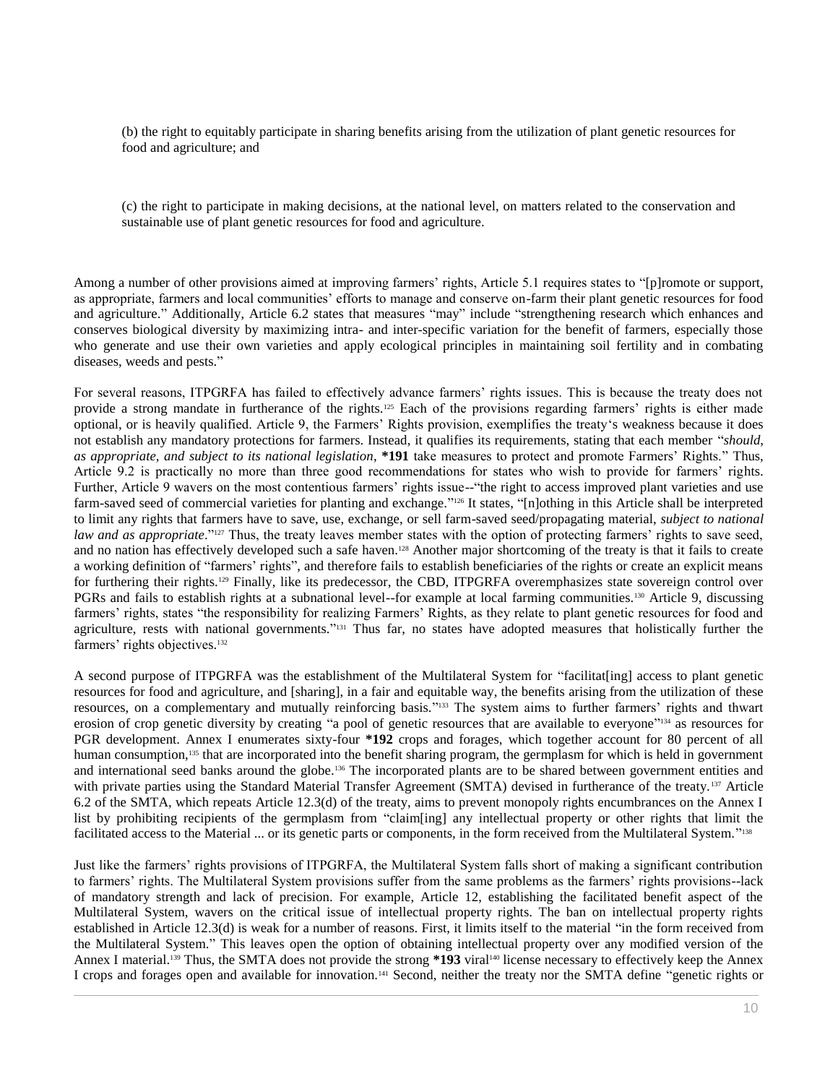(b) the right to equitably participate in sharing benefits arising from the utilization of plant genetic resources for food and agriculture; and

(c) the right to participate in making decisions, at the national level, on matters related to the conservation and sustainable use of plant genetic resources for food and agriculture.

Among a number of other provisions aimed at improving farmers' rights, Article 5.1 requires states to "[p]romote or support, as appropriate, farmers and local communities' efforts to manage and conserve on-farm their plant genetic resources for food and agriculture." Additionally, Article 6.2 states that measures "may" include "strengthening research which enhances and conserves biological diversity by maximizing intra- and inter-specific variation for the benefit of farmers, especially those who generate and use their own varieties and apply ecological principles in maintaining soil fertility and in combating diseases, weeds and pests."

For several reasons, ITPGRFA has failed to effectively advance farmers' rights issues. This is because the treaty does not provide a strong mandate in furtherance of the rights.<sup>125</sup> Each of the provisions regarding farmers' rights is either made optional, or is heavily qualified. Article 9, the Farmers' Rights provision, exemplifies the treaty's weakness because it does not establish any mandatory protections for farmers. Instead, it qualifies its requirements, stating that each member "*should*, *as appropriate, and subject to its national legislation*, **\*191** take measures to protect and promote Farmers' Rights." Thus, Article 9.2 is practically no more than three good recommendations for states who wish to provide for farmers' rights. Further, Article 9 wavers on the most contentious farmers' rights issue--"the right to access improved plant varieties and use farm-saved seed of commercial varieties for planting and exchange."<sup>126</sup> It states, "[n]othing in this Article shall be interpreted to limit any rights that farmers have to save, use, exchange, or sell farm-saved seed/propagating material, *subject to national law and as appropriate.*"<sup>127</sup> Thus, the treaty leaves member states with the option of protecting farmers' rights to save seed, and no nation has effectively developed such a safe haven.<sup>128</sup> Another major shortcoming of the treaty is that it fails to create a working definition of "farmers' rights", and therefore fails to establish beneficiaries of the rights or create an explicit means for furthering their rights.<sup>129</sup> Finally, like its predecessor, the CBD, ITPGRFA overemphasizes state sovereign control over PGRs and fails to establish rights at a subnational level--for example at local farming communities.<sup>130</sup> Article 9, discussing farmers' rights, states "the responsibility for realizing Farmers' Rights, as they relate to plant genetic resources for food and agriculture, rests with national governments."<sup>131</sup> Thus far, no states have adopted measures that holistically further the farmers' rights objectives.<sup>132</sup>

A second purpose of ITPGRFA was the establishment of the Multilateral System for "facilitat[ing] access to plant genetic resources for food and agriculture, and [sharing], in a fair and equitable way, the benefits arising from the utilization of these resources, on a complementary and mutually reinforcing basis." <sup>133</sup> The system aims to further farmers' rights and thwart erosion of crop genetic diversity by creating "a pool of genetic resources that are available to everyone" <sup>134</sup> as resources for PGR development. Annex I enumerates sixty-four **\*192** crops and forages, which together account for 80 percent of all human consumption,<sup>135</sup> that are incorporated into the benefit sharing program, the germplasm for which is held in government and international seed banks around the globe.<sup>136</sup> The incorporated plants are to be shared between government entities and with private parties using the Standard Material Transfer Agreement (SMTA) devised in furtherance of the treaty.<sup>137</sup> Article 6.2 of the SMTA, which repeats Article 12.3(d) of the treaty, aims to prevent monopoly rights encumbrances on the Annex I list by prohibiting recipients of the germplasm from "claim[ing] any intellectual property or other rights that limit the facilitated access to the Material ... or its genetic parts or components, in the form received from the Multilateral System."<sup>138</sup>

Just like the farmers' rights provisions of ITPGRFA, the Multilateral System falls short of making a significant contribution to farmers' rights. The Multilateral System provisions suffer from the same problems as the farmers' rights provisions--lack of mandatory strength and lack of precision. For example, Article 12, establishing the facilitated benefit aspect of the Multilateral System, wavers on the critical issue of intellectual property rights. The ban on intellectual property rights established in Article 12.3(d) is weak for a number of reasons. First, it limits itself to the material "in the form received from the Multilateral System." This leaves open the option of obtaining intellectual property over any modified version of the Annex I material.<sup>139</sup> Thus, the SMTA does not provide the strong \*193 viral<sup>140</sup> license necessary to effectively keep the Annex I crops and forages open and available for innovation.<sup>141</sup> Second, neither the treaty nor the SMTA define "genetic rights or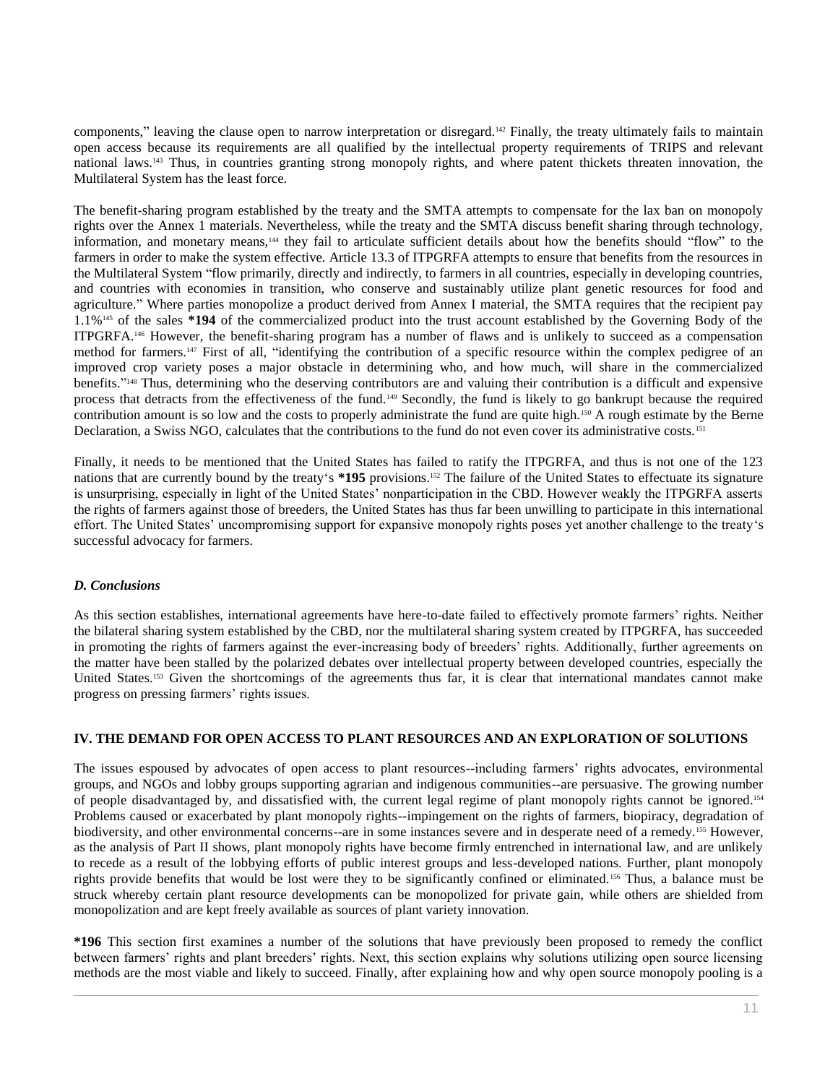components," leaving the clause open to narrow interpretation or disregard.<sup>142</sup> Finally, the treaty ultimately fails to maintain open access because its requirements are all qualified by the intellectual property requirements of TRIPS and relevant national laws.<sup>143</sup> Thus, in countries granting strong monopoly rights, and where patent thickets threaten innovation, the Multilateral System has the least force.

The benefit-sharing program established by the treaty and the SMTA attempts to compensate for the lax ban on monopoly rights over the Annex 1 materials. Nevertheless, while the treaty and the SMTA discuss benefit sharing through technology, information, and monetary means,<sup>144</sup> they fail to articulate sufficient details about how the benefits should "flow" to the farmers in order to make the system effective. Article 13.3 of ITPGRFA attempts to ensure that benefits from the resources in the Multilateral System "flow primarily, directly and indirectly, to farmers in all countries, especially in developing countries, and countries with economies in transition, who conserve and sustainably utilize plant genetic resources for food and agriculture." Where parties monopolize a product derived from Annex I material, the SMTA requires that the recipient pay 1.1%<sup>145</sup> of the sales **\*194** of the commercialized product into the trust account established by the Governing Body of the ITPGRFA.<sup>146</sup> However, the benefit-sharing program has a number of flaws and is unlikely to succeed as a compensation method for farmers.<sup>147</sup> First of all, "identifying the contribution of a specific resource within the complex pedigree of an improved crop variety poses a major obstacle in determining who, and how much, will share in the commercialized benefits." <sup>148</sup> Thus, determining who the deserving contributors are and valuing their contribution is a difficult and expensive process that detracts from the effectiveness of the fund.<sup>149</sup> Secondly, the fund is likely to go bankrupt because the required contribution amount is so low and the costs to properly administrate the fund are quite high.<sup>150</sup> A rough estimate by the Berne Declaration, a Swiss NGO, calculates that the contributions to the fund do not even cover its administrative costs.<sup>151</sup>

Finally, it needs to be mentioned that the United States has failed to ratify the ITPGRFA, and thus is not one of the 123 nations that are currently bound by the treaty's **\*195** provisions.<sup>152</sup> The failure of the United States to effectuate its signature is unsurprising, especially in light of the United States' nonparticipation in the CBD. However weakly the ITPGRFA asserts the rights of farmers against those of breeders, the United States has thus far been unwilling to participate in this international effort. The United States' uncompromising support for expansive monopoly rights poses yet another challenge to the treaty's successful advocacy for farmers.

# *D. Conclusions*

As this section establishes, international agreements have here-to-date failed to effectively promote farmers' rights. Neither the bilateral sharing system established by the CBD, nor the multilateral sharing system created by ITPGRFA, has succeeded in promoting the rights of farmers against the ever-increasing body of breeders' rights. Additionally, further agreements on the matter have been stalled by the polarized debates over intellectual property between developed countries, especially the United States.<sup>153</sup> Given the shortcomings of the agreements thus far, it is clear that international mandates cannot make progress on pressing farmers' rights issues.

# **IV. THE DEMAND FOR OPEN ACCESS TO PLANT RESOURCES AND AN EXPLORATION OF SOLUTIONS**

The issues espoused by advocates of open access to plant resources--including farmers' rights advocates, environmental groups, and NGOs and lobby groups supporting agrarian and indigenous communities--are persuasive. The growing number of people disadvantaged by, and dissatisfied with, the current legal regime of plant monopoly rights cannot be ignored.<sup>154</sup> Problems caused or exacerbated by plant monopoly rights--impingement on the rights of farmers, biopiracy, degradation of biodiversity, and other environmental concerns--are in some instances severe and in desperate need of a remedy.<sup>155</sup> However, as the analysis of Part II shows, plant monopoly rights have become firmly entrenched in international law, and are unlikely to recede as a result of the lobbying efforts of public interest groups and less-developed nations. Further, plant monopoly rights provide benefits that would be lost were they to be significantly confined or eliminated.<sup>156</sup> Thus, a balance must be struck whereby certain plant resource developments can be monopolized for private gain, while others are shielded from monopolization and are kept freely available as sources of plant variety innovation.

**\*196** This section first examines a number of the solutions that have previously been proposed to remedy the conflict between farmers' rights and plant breeders' rights. Next, this section explains why solutions utilizing open source licensing methods are the most viable and likely to succeed. Finally, after explaining how and why open source monopoly pooling is a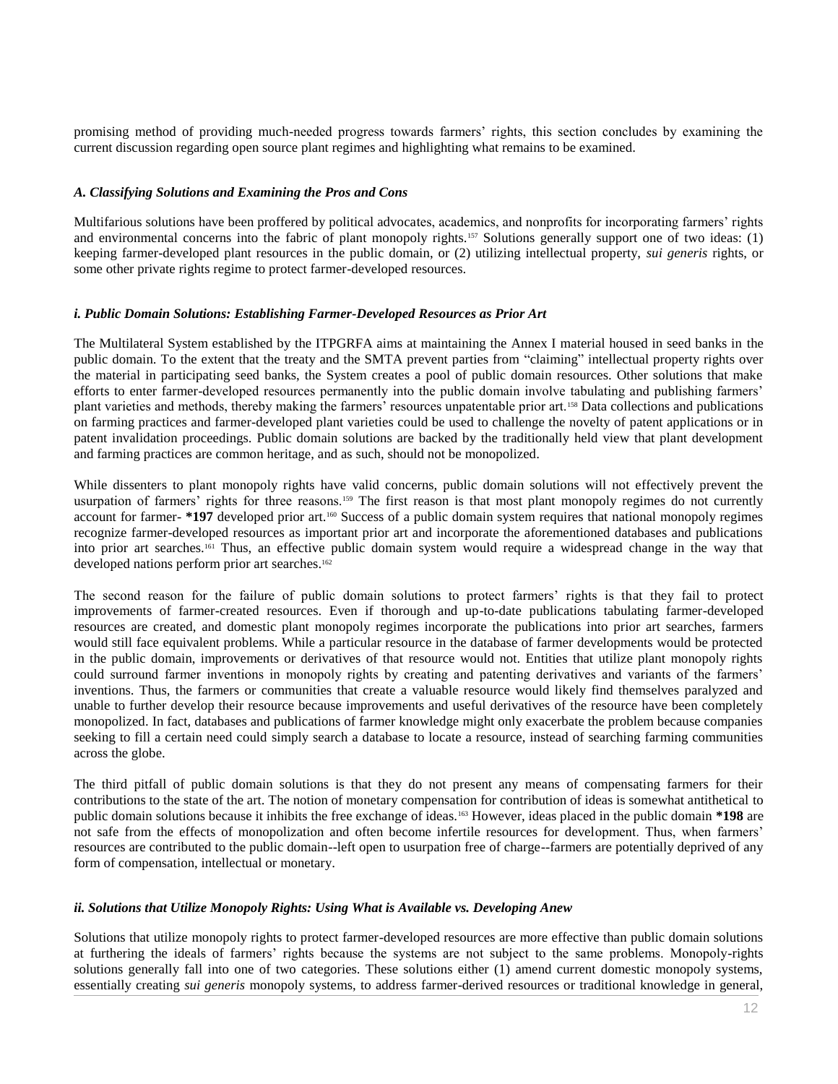promising method of providing much-needed progress towards farmers' rights, this section concludes by examining the current discussion regarding open source plant regimes and highlighting what remains to be examined.

## *A. Classifying Solutions and Examining the Pros and Cons*

Multifarious solutions have been proffered by political advocates, academics, and nonprofits for incorporating farmers' rights and environmental concerns into the fabric of plant monopoly rights.<sup>157</sup> Solutions generally support one of two ideas: (1) keeping farmer-developed plant resources in the public domain, or (2) utilizing intellectual property, *sui generis* rights, or some other private rights regime to protect farmer-developed resources.

#### *i. Public Domain Solutions: Establishing Farmer-Developed Resources as Prior Art*

The Multilateral System established by the ITPGRFA aims at maintaining the Annex I material housed in seed banks in the public domain. To the extent that the treaty and the SMTA prevent parties from "claiming" intellectual property rights over the material in participating seed banks, the System creates a pool of public domain resources. Other solutions that make efforts to enter farmer-developed resources permanently into the public domain involve tabulating and publishing farmers' plant varieties and methods, thereby making the farmers' resources unpatentable prior art.<sup>158</sup> Data collections and publications on farming practices and farmer-developed plant varieties could be used to challenge the novelty of patent applications or in patent invalidation proceedings. Public domain solutions are backed by the traditionally held view that plant development and farming practices are common heritage, and as such, should not be monopolized.

While dissenters to plant monopoly rights have valid concerns, public domain solutions will not effectively prevent the usurpation of farmers' rights for three reasons.<sup>159</sup> The first reason is that most plant monopoly regimes do not currently account for farmer- **\*197** developed prior art.<sup>160</sup> Success of a public domain system requires that national monopoly regimes recognize farmer-developed resources as important prior art and incorporate the aforementioned databases and publications into prior art searches.<sup>161</sup> Thus, an effective public domain system would require a widespread change in the way that developed nations perform prior art searches.<sup>162</sup>

The second reason for the failure of public domain solutions to protect farmers' rights is that they fail to protect improvements of farmer-created resources. Even if thorough and up-to-date publications tabulating farmer-developed resources are created, and domestic plant monopoly regimes incorporate the publications into prior art searches, farmers would still face equivalent problems. While a particular resource in the database of farmer developments would be protected in the public domain, improvements or derivatives of that resource would not. Entities that utilize plant monopoly rights could surround farmer inventions in monopoly rights by creating and patenting derivatives and variants of the farmers' inventions. Thus, the farmers or communities that create a valuable resource would likely find themselves paralyzed and unable to further develop their resource because improvements and useful derivatives of the resource have been completely monopolized. In fact, databases and publications of farmer knowledge might only exacerbate the problem because companies seeking to fill a certain need could simply search a database to locate a resource, instead of searching farming communities across the globe.

The third pitfall of public domain solutions is that they do not present any means of compensating farmers for their contributions to the state of the art. The notion of monetary compensation for contribution of ideas is somewhat antithetical to public domain solutions because it inhibits the free exchange of ideas.<sup>163</sup> However, ideas placed in the public domain **\*198** are not safe from the effects of monopolization and often become infertile resources for development. Thus, when farmers' resources are contributed to the public domain--left open to usurpation free of charge--farmers are potentially deprived of any form of compensation, intellectual or monetary.

# *ii. Solutions that Utilize Monopoly Rights: Using What is Available vs. Developing Anew*

Solutions that utilize monopoly rights to protect farmer-developed resources are more effective than public domain solutions at furthering the ideals of farmers' rights because the systems are not subject to the same problems. Monopoly-rights solutions generally fall into one of two categories. These solutions either (1) amend current domestic monopoly systems, essentially creating *sui generis* monopoly systems, to address farmer-derived resources or traditional knowledge in general,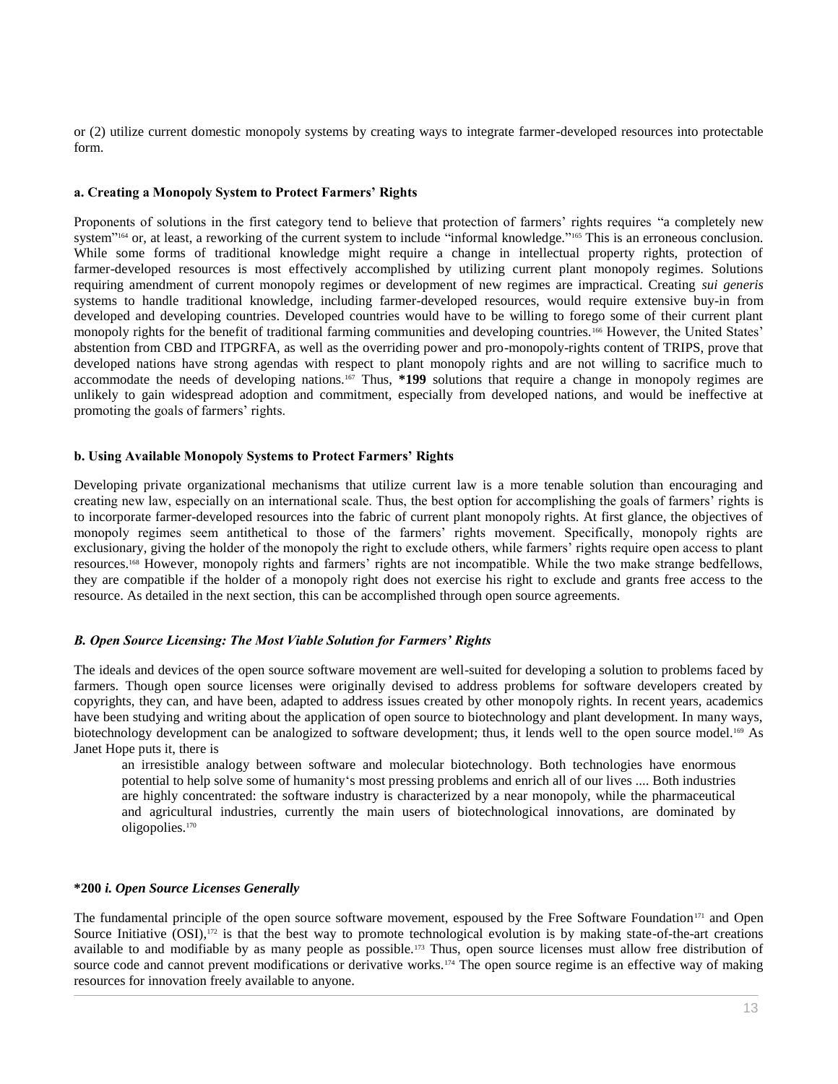or (2) utilize current domestic monopoly systems by creating ways to integrate farmer-developed resources into protectable form.

## **a. Creating a Monopoly System to Protect Farmers' Rights**

Proponents of solutions in the first category tend to believe that protection of farmers' rights requires "a completely new system"<sup>164</sup> or, at least, a reworking of the current system to include "informal knowledge."<sup>165</sup> This is an erroneous conclusion. While some forms of traditional knowledge might require a change in intellectual property rights, protection of farmer-developed resources is most effectively accomplished by utilizing current plant monopoly regimes. Solutions requiring amendment of current monopoly regimes or development of new regimes are impractical. Creating *sui generis* systems to handle traditional knowledge, including farmer-developed resources, would require extensive buy-in from developed and developing countries. Developed countries would have to be willing to forego some of their current plant monopoly rights for the benefit of traditional farming communities and developing countries.<sup>166</sup> However, the United States' abstention from CBD and ITPGRFA, as well as the overriding power and pro-monopoly-rights content of TRIPS, prove that developed nations have strong agendas with respect to plant monopoly rights and are not willing to sacrifice much to accommodate the needs of developing nations.<sup>167</sup> Thus, **\*199** solutions that require a change in monopoly regimes are unlikely to gain widespread adoption and commitment, especially from developed nations, and would be ineffective at promoting the goals of farmers' rights.

## **b. Using Available Monopoly Systems to Protect Farmers' Rights**

Developing private organizational mechanisms that utilize current law is a more tenable solution than encouraging and creating new law, especially on an international scale. Thus, the best option for accomplishing the goals of farmers' rights is to incorporate farmer-developed resources into the fabric of current plant monopoly rights. At first glance, the objectives of monopoly regimes seem antithetical to those of the farmers' rights movement. Specifically, monopoly rights are exclusionary, giving the holder of the monopoly the right to exclude others, while farmers' rights require open access to plant resources.<sup>168</sup> However, monopoly rights and farmers' rights are not incompatible. While the two make strange bedfellows, they are compatible if the holder of a monopoly right does not exercise his right to exclude and grants free access to the resource. As detailed in the next section, this can be accomplished through open source agreements.

# *B. Open Source Licensing: The Most Viable Solution for Farmers' Rights*

The ideals and devices of the open source software movement are well-suited for developing a solution to problems faced by farmers. Though open source licenses were originally devised to address problems for software developers created by copyrights, they can, and have been, adapted to address issues created by other monopoly rights. In recent years, academics have been studying and writing about the application of open source to biotechnology and plant development. In many ways, biotechnology development can be analogized to software development; thus, it lends well to the open source model.<sup>169</sup> As Janet Hope puts it, there is

an irresistible analogy between software and molecular biotechnology. Both technologies have enormous potential to help solve some of humanity's most pressing problems and enrich all of our lives .... Both industries are highly concentrated: the software industry is characterized by a near monopoly, while the pharmaceutical and agricultural industries, currently the main users of biotechnological innovations, are dominated by oligopolies.<sup>170</sup>

#### **\*200** *i. Open Source Licenses Generally*

The fundamental principle of the open source software movement, espoused by the Free Software Foundation<sup>171</sup> and Open Source Initiative  $(OSI)$ ,<sup>172</sup> is that the best way to promote technological evolution is by making state-of-the-art creations available to and modifiable by as many people as possible.<sup>173</sup> Thus, open source licenses must allow free distribution of source code and cannot prevent modifications or derivative works.<sup>174</sup> The open source regime is an effective way of making resources for innovation freely available to anyone.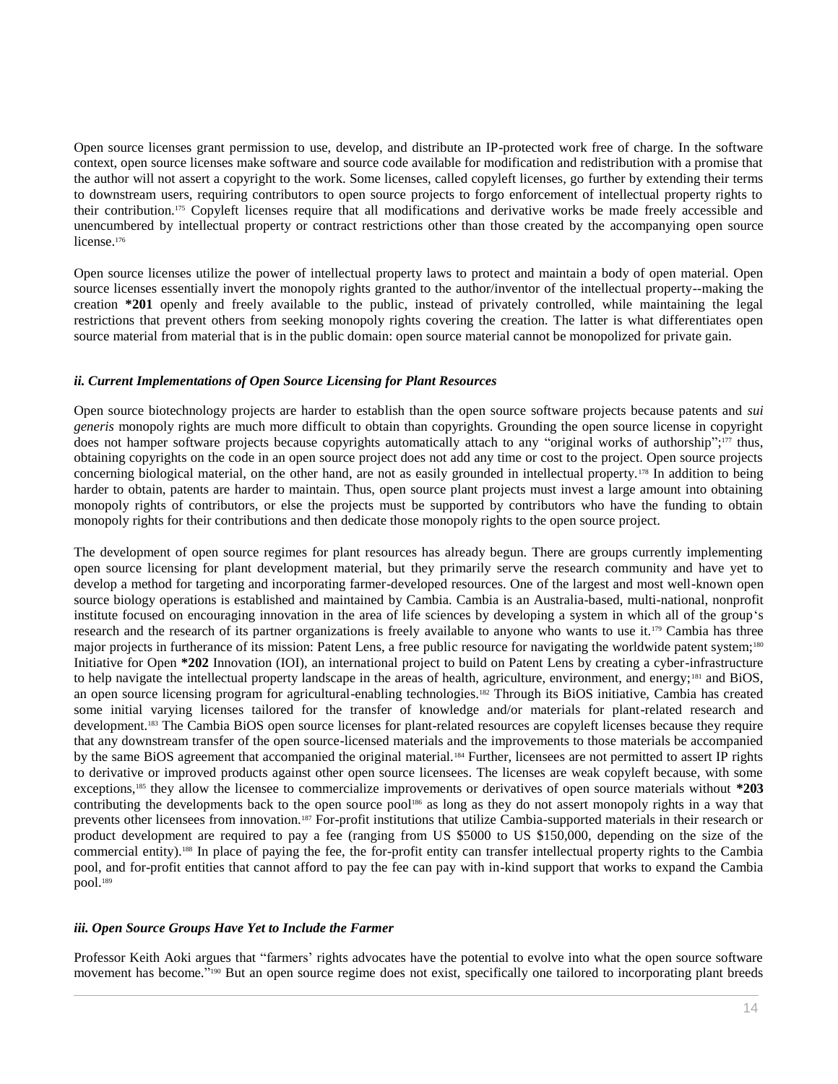Open source licenses grant permission to use, develop, and distribute an IP-protected work free of charge. In the software context, open source licenses make software and source code available for modification and redistribution with a promise that the author will not assert a copyright to the work. Some licenses, called copyleft licenses, go further by extending their terms to downstream users, requiring contributors to open source projects to forgo enforcement of intellectual property rights to their contribution.<sup>175</sup> Copyleft licenses require that all modifications and derivative works be made freely accessible and unencumbered by intellectual property or contract restrictions other than those created by the accompanying open source license.<sup>176</sup>

Open source licenses utilize the power of intellectual property laws to protect and maintain a body of open material. Open source licenses essentially invert the monopoly rights granted to the author/inventor of the intellectual property--making the creation **\*201** openly and freely available to the public, instead of privately controlled, while maintaining the legal restrictions that prevent others from seeking monopoly rights covering the creation. The latter is what differentiates open source material from material that is in the public domain: open source material cannot be monopolized for private gain.

## *ii. Current Implementations of Open Source Licensing for Plant Resources*

Open source biotechnology projects are harder to establish than the open source software projects because patents and *sui generis* monopoly rights are much more difficult to obtain than copyrights. Grounding the open source license in copyright does not hamper software projects because copyrights automatically attach to any "original works of authorship"; <sup>177</sup> thus, obtaining copyrights on the code in an open source project does not add any time or cost to the project. Open source projects concerning biological material, on the other hand, are not as easily grounded in intellectual property.<sup>178</sup> In addition to being harder to obtain, patents are harder to maintain. Thus, open source plant projects must invest a large amount into obtaining monopoly rights of contributors, or else the projects must be supported by contributors who have the funding to obtain monopoly rights for their contributions and then dedicate those monopoly rights to the open source project.

The development of open source regimes for plant resources has already begun. There are groups currently implementing open source licensing for plant development material, but they primarily serve the research community and have yet to develop a method for targeting and incorporating farmer-developed resources. One of the largest and most well-known open source biology operations is established and maintained by Cambia. Cambia is an Australia-based, multi-national, nonprofit institute focused on encouraging innovation in the area of life sciences by developing a system in which all of the group's research and the research of its partner organizations is freely available to anyone who wants to use it.<sup>179</sup> Cambia has three major projects in furtherance of its mission: Patent Lens, a free public resource for navigating the worldwide patent system;<sup>180</sup> Initiative for Open **\*202** Innovation (IOI), an international project to build on Patent Lens by creating a cyber-infrastructure to help navigate the intellectual property landscape in the areas of health, agriculture, environment, and energy;<sup>181</sup> and BiOS, an open source licensing program for agricultural-enabling technologies.<sup>182</sup> Through its BiOS initiative, Cambia has created some initial varying licenses tailored for the transfer of knowledge and/or materials for plant-related research and development.<sup>183</sup> The Cambia BiOS open source licenses for plant-related resources are copyleft licenses because they require that any downstream transfer of the open source-licensed materials and the improvements to those materials be accompanied by the same BiOS agreement that accompanied the original material.<sup>184</sup> Further, licensees are not permitted to assert IP rights to derivative or improved products against other open source licensees. The licenses are weak copyleft because, with some exceptions,<sup>185</sup> they allow the licensee to commercialize improvements or derivatives of open source materials without **\*203** contributing the developments back to the open source pool<sup>186</sup> as long as they do not assert monopoly rights in a way that prevents other licensees from innovation.<sup>187</sup> For-profit institutions that utilize Cambia-supported materials in their research or product development are required to pay a fee (ranging from US \$5000 to US \$150,000, depending on the size of the commercial entity).<sup>188</sup> In place of paying the fee, the for-profit entity can transfer intellectual property rights to the Cambia pool, and for-profit entities that cannot afford to pay the fee can pay with in-kind support that works to expand the Cambia pool.<sup>189</sup>

#### *iii. Open Source Groups Have Yet to Include the Farmer*

Professor Keith Aoki argues that "farmers' rights advocates have the potential to evolve into what the open source software movement has become." <sup>190</sup> But an open source regime does not exist, specifically one tailored to incorporating plant breeds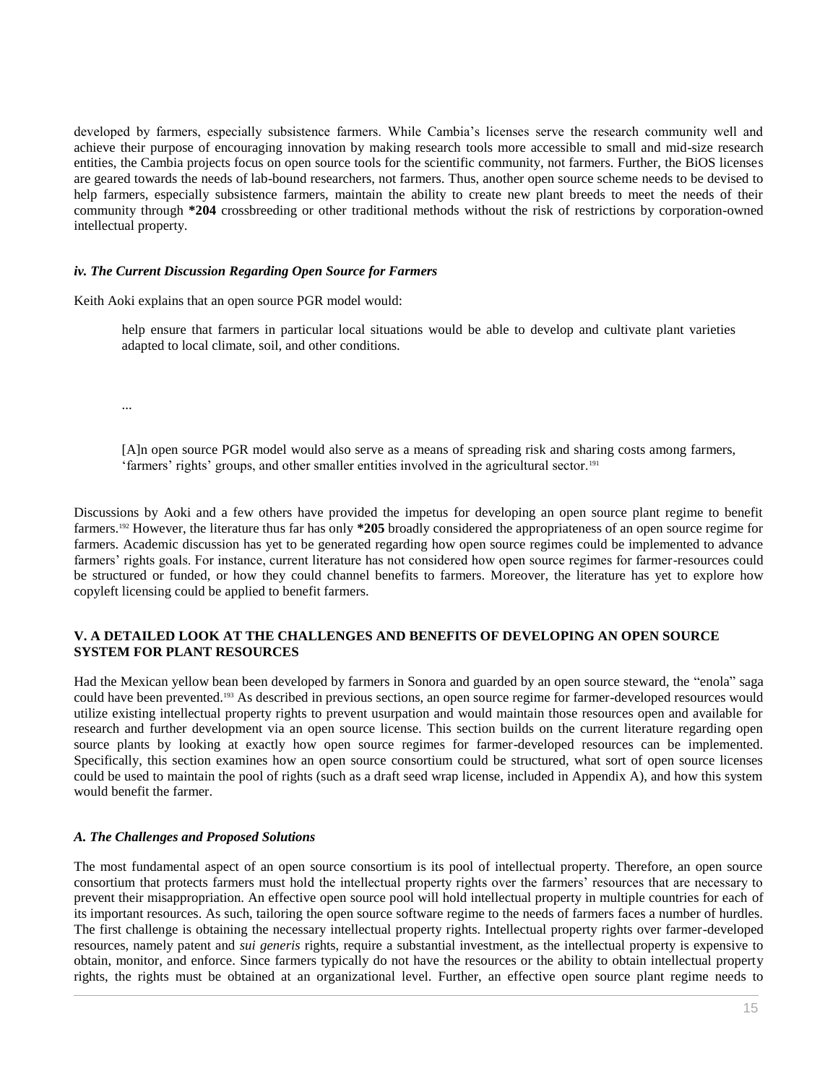developed by farmers, especially subsistence farmers. While Cambia's licenses serve the research community well and achieve their purpose of encouraging innovation by making research tools more accessible to small and mid-size research entities, the Cambia projects focus on open source tools for the scientific community, not farmers. Further, the BiOS licenses are geared towards the needs of lab-bound researchers, not farmers. Thus, another open source scheme needs to be devised to help farmers, especially subsistence farmers, maintain the ability to create new plant breeds to meet the needs of their community through **\*204** crossbreeding or other traditional methods without the risk of restrictions by corporation-owned intellectual property.

## *iv. The Current Discussion Regarding Open Source for Farmers*

Keith Aoki explains that an open source PGR model would:

help ensure that farmers in particular local situations would be able to develop and cultivate plant varieties adapted to local climate, soil, and other conditions.

...

[A]n open source PGR model would also serve as a means of spreading risk and sharing costs among farmers, 'farmers' rights' groups, and other smaller entities involved in the agricultural sector.<sup>191</sup>

Discussions by Aoki and a few others have provided the impetus for developing an open source plant regime to benefit farmers.<sup>192</sup> However, the literature thus far has only **\*205** broadly considered the appropriateness of an open source regime for farmers. Academic discussion has yet to be generated regarding how open source regimes could be implemented to advance farmers' rights goals. For instance, current literature has not considered how open source regimes for farmer-resources could be structured or funded, or how they could channel benefits to farmers. Moreover, the literature has yet to explore how copyleft licensing could be applied to benefit farmers.

# **V. A DETAILED LOOK AT THE CHALLENGES AND BENEFITS OF DEVELOPING AN OPEN SOURCE SYSTEM FOR PLANT RESOURCES**

Had the Mexican yellow bean been developed by farmers in Sonora and guarded by an open source steward, the "enola" saga could have been prevented.<sup>193</sup> As described in previous sections, an open source regime for farmer-developed resources would utilize existing intellectual property rights to prevent usurpation and would maintain those resources open and available for research and further development via an open source license. This section builds on the current literature regarding open source plants by looking at exactly how open source regimes for farmer-developed resources can be implemented. Specifically, this section examines how an open source consortium could be structured, what sort of open source licenses could be used to maintain the pool of rights (such as a draft seed wrap license, included in Appendix A), and how this system would benefit the farmer.

#### *A. The Challenges and Proposed Solutions*

The most fundamental aspect of an open source consortium is its pool of intellectual property. Therefore, an open source consortium that protects farmers must hold the intellectual property rights over the farmers' resources that are necessary to prevent their misappropriation. An effective open source pool will hold intellectual property in multiple countries for each of its important resources. As such, tailoring the open source software regime to the needs of farmers faces a number of hurdles. The first challenge is obtaining the necessary intellectual property rights. Intellectual property rights over farmer-developed resources, namely patent and *sui generis* rights, require a substantial investment, as the intellectual property is expensive to obtain, monitor, and enforce. Since farmers typically do not have the resources or the ability to obtain intellectual property rights, the rights must be obtained at an organizational level. Further, an effective open source plant regime needs to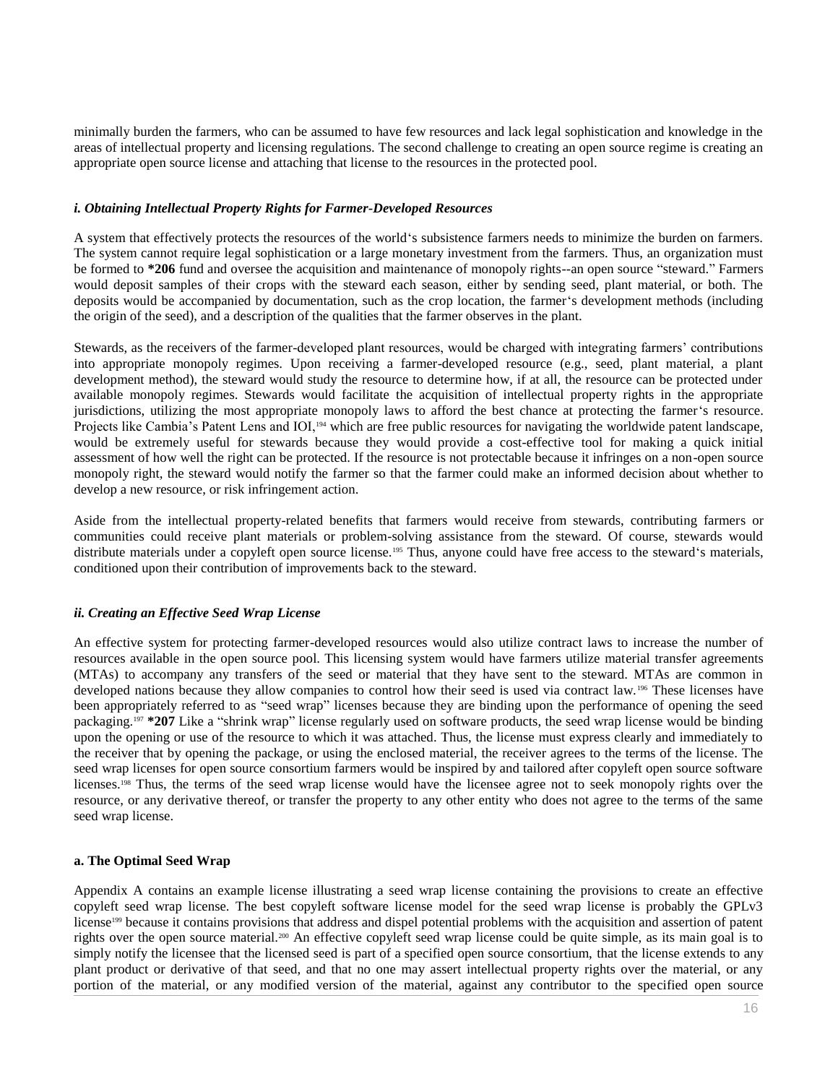minimally burden the farmers, who can be assumed to have few resources and lack legal sophistication and knowledge in the areas of intellectual property and licensing regulations. The second challenge to creating an open source regime is creating an appropriate open source license and attaching that license to the resources in the protected pool.

## *i. Obtaining Intellectual Property Rights for Farmer-Developed Resources*

A system that effectively protects the resources of the world's subsistence farmers needs to minimize the burden on farmers. The system cannot require legal sophistication or a large monetary investment from the farmers. Thus, an organization must be formed to **\*206** fund and oversee the acquisition and maintenance of monopoly rights--an open source "steward." Farmers would deposit samples of their crops with the steward each season, either by sending seed, plant material, or both. The deposits would be accompanied by documentation, such as the crop location, the farmer's development methods (including the origin of the seed), and a description of the qualities that the farmer observes in the plant.

Stewards, as the receivers of the farmer-developed plant resources, would be charged with integrating farmers' contributions into appropriate monopoly regimes. Upon receiving a farmer-developed resource (e.g., seed, plant material, a plant development method), the steward would study the resource to determine how, if at all, the resource can be protected under available monopoly regimes. Stewards would facilitate the acquisition of intellectual property rights in the appropriate jurisdictions, utilizing the most appropriate monopoly laws to afford the best chance at protecting the farmer's resource. Projects like Cambia's Patent Lens and IOI,<sup>194</sup> which are free public resources for navigating the worldwide patent landscape, would be extremely useful for stewards because they would provide a cost-effective tool for making a quick initial assessment of how well the right can be protected. If the resource is not protectable because it infringes on a non-open source monopoly right, the steward would notify the farmer so that the farmer could make an informed decision about whether to develop a new resource, or risk infringement action.

Aside from the intellectual property-related benefits that farmers would receive from stewards, contributing farmers or communities could receive plant materials or problem-solving assistance from the steward. Of course, stewards would distribute materials under a copyleft open source license.<sup>195</sup> Thus, anyone could have free access to the steward's materials, conditioned upon their contribution of improvements back to the steward.

# *ii. Creating an Effective Seed Wrap License*

An effective system for protecting farmer-developed resources would also utilize contract laws to increase the number of resources available in the open source pool. This licensing system would have farmers utilize material transfer agreements (MTAs) to accompany any transfers of the seed or material that they have sent to the steward. MTAs are common in developed nations because they allow companies to control how their seed is used via contract law.<sup>196</sup> These licenses have been appropriately referred to as "seed wrap" licenses because they are binding upon the performance of opening the seed packaging.<sup>197</sup> **\*207** Like a "shrink wrap" license regularly used on software products, the seed wrap license would be binding upon the opening or use of the resource to which it was attached. Thus, the license must express clearly and immediately to the receiver that by opening the package, or using the enclosed material, the receiver agrees to the terms of the license. The seed wrap licenses for open source consortium farmers would be inspired by and tailored after copyleft open source software licenses.<sup>198</sup> Thus, the terms of the seed wrap license would have the licensee agree not to seek monopoly rights over the resource, or any derivative thereof, or transfer the property to any other entity who does not agree to the terms of the same seed wrap license.

# **a. The Optimal Seed Wrap**

Appendix A contains an example license illustrating a seed wrap license containing the provisions to create an effective copyleft seed wrap license. The best copyleft software license model for the seed wrap license is probably the GPLv3 license<sup>199</sup> because it contains provisions that address and dispel potential problems with the acquisition and assertion of patent rights over the open source material.<sup>200</sup> An effective copyleft seed wrap license could be quite simple, as its main goal is to simply notify the licensee that the licensed seed is part of a specified open source consortium, that the license extends to any plant product or derivative of that seed, and that no one may assert intellectual property rights over the material, or any portion of the material, or any modified version of the material, against any contributor to the specified open source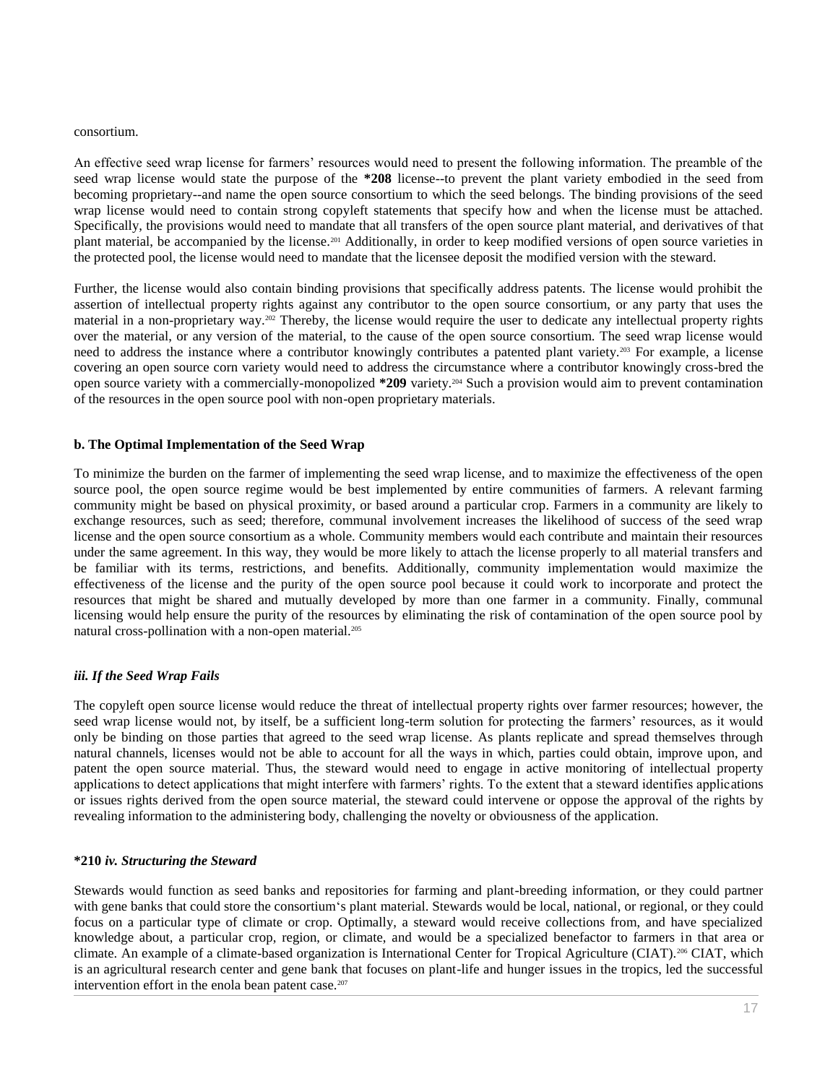#### consortium.

An effective seed wrap license for farmers' resources would need to present the following information. The preamble of the seed wrap license would state the purpose of the **\*208** license--to prevent the plant variety embodied in the seed from becoming proprietary--and name the open source consortium to which the seed belongs. The binding provisions of the seed wrap license would need to contain strong copyleft statements that specify how and when the license must be attached. Specifically, the provisions would need to mandate that all transfers of the open source plant material, and derivatives of that plant material, be accompanied by the license.<sup>201</sup> Additionally, in order to keep modified versions of open source varieties in the protected pool, the license would need to mandate that the licensee deposit the modified version with the steward.

Further, the license would also contain binding provisions that specifically address patents. The license would prohibit the assertion of intellectual property rights against any contributor to the open source consortium, or any party that uses the material in a non-proprietary way.<sup>202</sup> Thereby, the license would require the user to dedicate any intellectual property rights over the material, or any version of the material, to the cause of the open source consortium. The seed wrap license would need to address the instance where a contributor knowingly contributes a patented plant variety.<sup>203</sup> For example, a license covering an open source corn variety would need to address the circumstance where a contributor knowingly cross-bred the open source variety with a commercially-monopolized **\*209** variety.<sup>204</sup> Such a provision would aim to prevent contamination of the resources in the open source pool with non-open proprietary materials.

## **b. The Optimal Implementation of the Seed Wrap**

To minimize the burden on the farmer of implementing the seed wrap license, and to maximize the effectiveness of the open source pool, the open source regime would be best implemented by entire communities of farmers. A relevant farming community might be based on physical proximity, or based around a particular crop. Farmers in a community are likely to exchange resources, such as seed; therefore, communal involvement increases the likelihood of success of the seed wrap license and the open source consortium as a whole. Community members would each contribute and maintain their resources under the same agreement. In this way, they would be more likely to attach the license properly to all material transfers and be familiar with its terms, restrictions, and benefits. Additionally, community implementation would maximize the effectiveness of the license and the purity of the open source pool because it could work to incorporate and protect the resources that might be shared and mutually developed by more than one farmer in a community. Finally, communal licensing would help ensure the purity of the resources by eliminating the risk of contamination of the open source pool by natural cross-pollination with a non-open material.<sup>205</sup>

# *iii. If the Seed Wrap Fails*

The copyleft open source license would reduce the threat of intellectual property rights over farmer resources; however, the seed wrap license would not, by itself, be a sufficient long-term solution for protecting the farmers' resources, as it would only be binding on those parties that agreed to the seed wrap license. As plants replicate and spread themselves through natural channels, licenses would not be able to account for all the ways in which, parties could obtain, improve upon, and patent the open source material. Thus, the steward would need to engage in active monitoring of intellectual property applications to detect applications that might interfere with farmers' rights. To the extent that a steward identifies applications or issues rights derived from the open source material, the steward could intervene or oppose the approval of the rights by revealing information to the administering body, challenging the novelty or obviousness of the application.

#### **\*210** *iv. Structuring the Steward*

Stewards would function as seed banks and repositories for farming and plant-breeding information, or they could partner with gene banks that could store the consortium's plant material. Stewards would be local, national, or regional, or they could focus on a particular type of climate or crop. Optimally, a steward would receive collections from, and have specialized knowledge about, a particular crop, region, or climate, and would be a specialized benefactor to farmers in that area or climate. An example of a climate-based organization is International Center for Tropical Agriculture (CIAT).<sup>206</sup> CIAT, which is an agricultural research center and gene bank that focuses on plant-life and hunger issues in the tropics, led the successful intervention effort in the enola bean patent case.<sup>207</sup>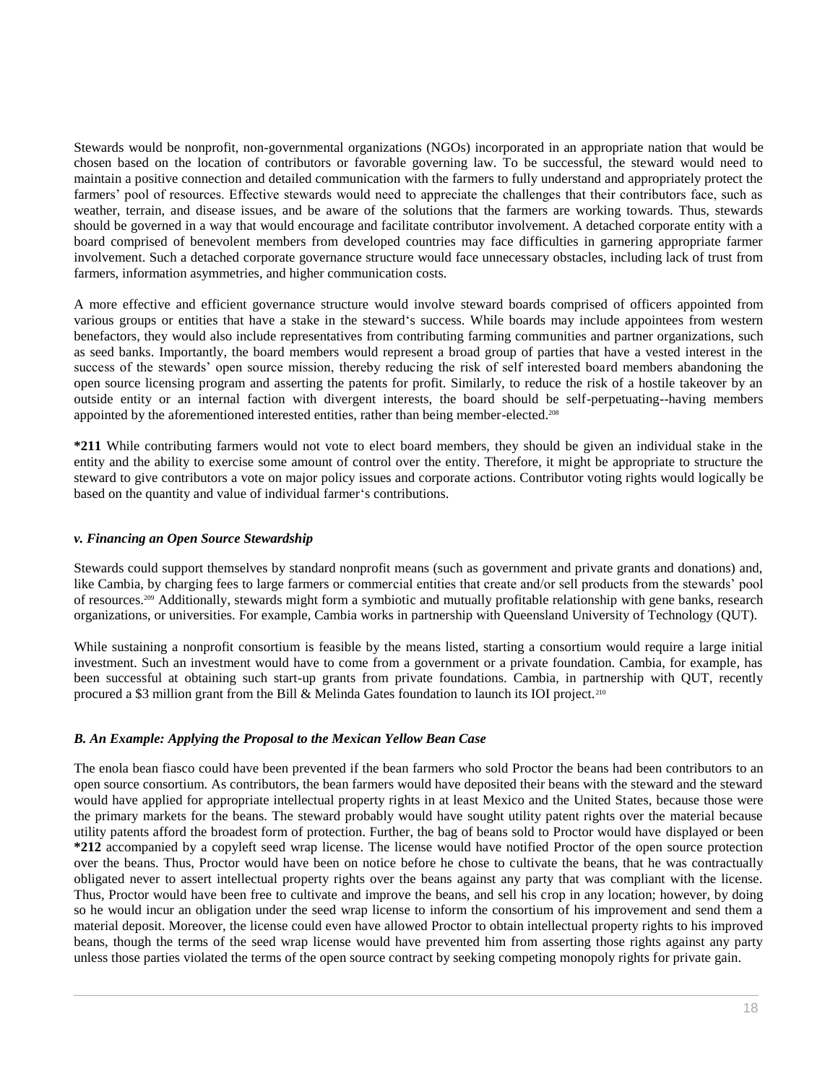Stewards would be nonprofit, non-governmental organizations (NGOs) incorporated in an appropriate nation that would be chosen based on the location of contributors or favorable governing law. To be successful, the steward would need to maintain a positive connection and detailed communication with the farmers to fully understand and appropriately protect the farmers' pool of resources. Effective stewards would need to appreciate the challenges that their contributors face, such as weather, terrain, and disease issues, and be aware of the solutions that the farmers are working towards. Thus, stewards should be governed in a way that would encourage and facilitate contributor involvement. A detached corporate entity with a board comprised of benevolent members from developed countries may face difficulties in garnering appropriate farmer involvement. Such a detached corporate governance structure would face unnecessary obstacles, including lack of trust from farmers, information asymmetries, and higher communication costs.

A more effective and efficient governance structure would involve steward boards comprised of officers appointed from various groups or entities that have a stake in the steward's success. While boards may include appointees from western benefactors, they would also include representatives from contributing farming communities and partner organizations, such as seed banks. Importantly, the board members would represent a broad group of parties that have a vested interest in the success of the stewards' open source mission, thereby reducing the risk of self interested board members abandoning the open source licensing program and asserting the patents for profit. Similarly, to reduce the risk of a hostile takeover by an outside entity or an internal faction with divergent interests, the board should be self-perpetuating--having members appointed by the aforementioned interested entities, rather than being member-elected.<sup>208</sup>

**\*211** While contributing farmers would not vote to elect board members, they should be given an individual stake in the entity and the ability to exercise some amount of control over the entity. Therefore, it might be appropriate to structure the steward to give contributors a vote on major policy issues and corporate actions. Contributor voting rights would logically be based on the quantity and value of individual farmer's contributions.

# *v. Financing an Open Source Stewardship*

Stewards could support themselves by standard nonprofit means (such as government and private grants and donations) and, like Cambia, by charging fees to large farmers or commercial entities that create and/or sell products from the stewards' pool of resources.<sup>209</sup> Additionally, stewards might form a symbiotic and mutually profitable relationship with gene banks, research organizations, or universities. For example, Cambia works in partnership with Queensland University of Technology (QUT).

While sustaining a nonprofit consortium is feasible by the means listed, starting a consortium would require a large initial investment. Such an investment would have to come from a government or a private foundation. Cambia, for example, has been successful at obtaining such start-up grants from private foundations. Cambia, in partnership with QUT, recently procured a \$3 million grant from the Bill & Melinda Gates foundation to launch its IOI project.<sup>210</sup>

# *B. An Example: Applying the Proposal to the Mexican Yellow Bean Case*

The enola bean fiasco could have been prevented if the bean farmers who sold Proctor the beans had been contributors to an open source consortium. As contributors, the bean farmers would have deposited their beans with the steward and the steward would have applied for appropriate intellectual property rights in at least Mexico and the United States, because those were the primary markets for the beans. The steward probably would have sought utility patent rights over the material because utility patents afford the broadest form of protection. Further, the bag of beans sold to Proctor would have displayed or been **\*212** accompanied by a copyleft seed wrap license. The license would have notified Proctor of the open source protection over the beans. Thus, Proctor would have been on notice before he chose to cultivate the beans, that he was contractually obligated never to assert intellectual property rights over the beans against any party that was compliant with the license. Thus, Proctor would have been free to cultivate and improve the beans, and sell his crop in any location; however, by doing so he would incur an obligation under the seed wrap license to inform the consortium of his improvement and send them a material deposit. Moreover, the license could even have allowed Proctor to obtain intellectual property rights to his improved beans, though the terms of the seed wrap license would have prevented him from asserting those rights against any party unless those parties violated the terms of the open source contract by seeking competing monopoly rights for private gain.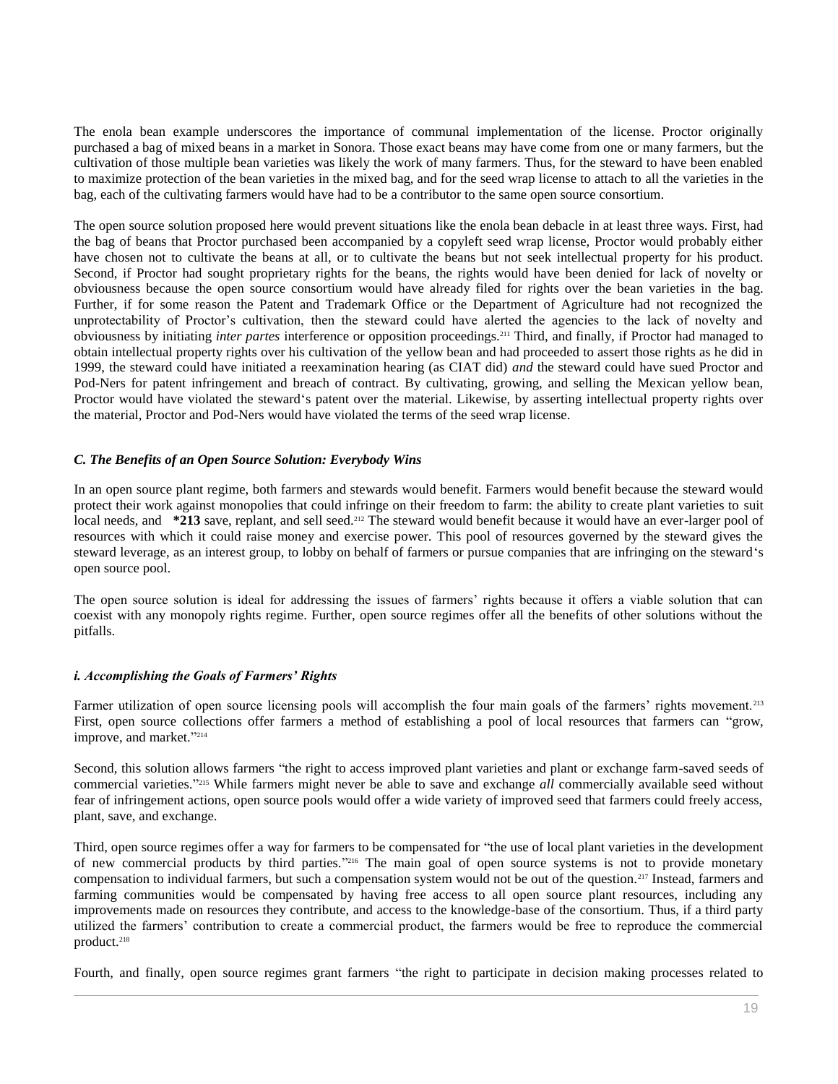The enola bean example underscores the importance of communal implementation of the license. Proctor originally purchased a bag of mixed beans in a market in Sonora. Those exact beans may have come from one or many farmers, but the cultivation of those multiple bean varieties was likely the work of many farmers. Thus, for the steward to have been enabled to maximize protection of the bean varieties in the mixed bag, and for the seed wrap license to attach to all the varieties in the bag, each of the cultivating farmers would have had to be a contributor to the same open source consortium.

The open source solution proposed here would prevent situations like the enola bean debacle in at least three ways. First, had the bag of beans that Proctor purchased been accompanied by a copyleft seed wrap license, Proctor would probably either have chosen not to cultivate the beans at all, or to cultivate the beans but not seek intellectual property for his product. Second, if Proctor had sought proprietary rights for the beans, the rights would have been denied for lack of novelty or obviousness because the open source consortium would have already filed for rights over the bean varieties in the bag. Further, if for some reason the Patent and Trademark Office or the Department of Agriculture had not recognized the unprotectability of Proctor's cultivation, then the steward could have alerted the agencies to the lack of novelty and obviousness by initiating *inter partes* interference or opposition proceedings.<sup>211</sup> Third, and finally, if Proctor had managed to obtain intellectual property rights over his cultivation of the yellow bean and had proceeded to assert those rights as he did in 1999, the steward could have initiated a reexamination hearing (as CIAT did) *and* the steward could have sued Proctor and Pod-Ners for patent infringement and breach of contract. By cultivating, growing, and selling the Mexican yellow bean, Proctor would have violated the steward's patent over the material. Likewise, by asserting intellectual property rights over the material, Proctor and Pod-Ners would have violated the terms of the seed wrap license.

## *C. The Benefits of an Open Source Solution: Everybody Wins*

In an open source plant regime, both farmers and stewards would benefit. Farmers would benefit because the steward would protect their work against monopolies that could infringe on their freedom to farm: the ability to create plant varieties to suit local needs, and **\*213** save, replant, and sell seed.<sup>212</sup> The steward would benefit because it would have an ever-larger pool of resources with which it could raise money and exercise power. This pool of resources governed by the steward gives the steward leverage, as an interest group, to lobby on behalf of farmers or pursue companies that are infringing on the steward's open source pool.

The open source solution is ideal for addressing the issues of farmers' rights because it offers a viable solution that can coexist with any monopoly rights regime. Further, open source regimes offer all the benefits of other solutions without the pitfalls.

#### *i. Accomplishing the Goals of Farmers' Rights*

Farmer utilization of open source licensing pools will accomplish the four main goals of the farmers' rights movement.<sup>213</sup> First, open source collections offer farmers a method of establishing a pool of local resources that farmers can "grow, improve, and market." 214

Second, this solution allows farmers "the right to access improved plant varieties and plant or exchange farm-saved seeds of commercial varieties." <sup>215</sup> While farmers might never be able to save and exchange *all* commercially available seed without fear of infringement actions, open source pools would offer a wide variety of improved seed that farmers could freely access, plant, save, and exchange.

Third, open source regimes offer a way for farmers to be compensated for "the use of local plant varieties in the development of new commercial products by third parties." <sup>216</sup> The main goal of open source systems is not to provide monetary compensation to individual farmers, but such a compensation system would not be out of the question.<sup>217</sup> Instead, farmers and farming communities would be compensated by having free access to all open source plant resources, including any improvements made on resources they contribute, and access to the knowledge-base of the consortium. Thus, if a third party utilized the farmers' contribution to create a commercial product, the farmers would be free to reproduce the commercial product.<sup>218</sup>

Fourth, and finally, open source regimes grant farmers "the right to participate in decision making processes related to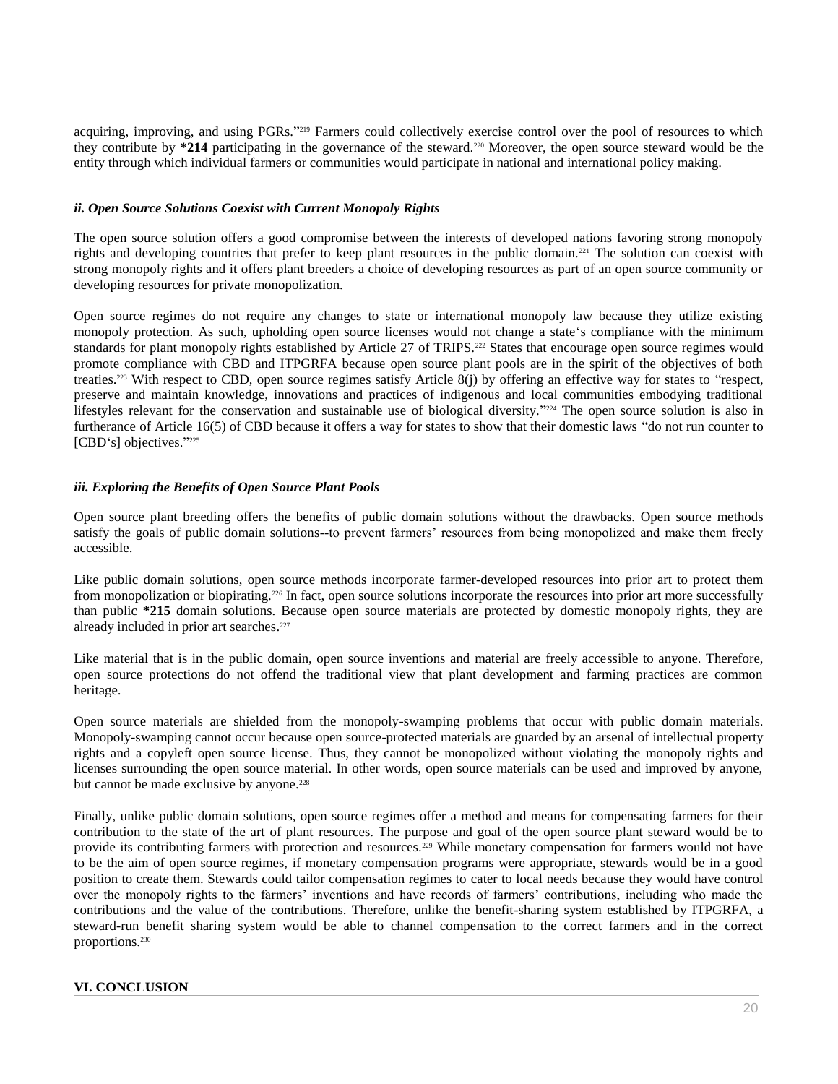acquiring, improving, and using PGRs."<sup>219</sup> Farmers could collectively exercise control over the pool of resources to which they contribute by **\*214** participating in the governance of the steward.<sup>220</sup> Moreover, the open source steward would be the entity through which individual farmers or communities would participate in national and international policy making.

## *ii. Open Source Solutions Coexist with Current Monopoly Rights*

The open source solution offers a good compromise between the interests of developed nations favoring strong monopoly rights and developing countries that prefer to keep plant resources in the public domain.<sup>221</sup> The solution can coexist with strong monopoly rights and it offers plant breeders a choice of developing resources as part of an open source community or developing resources for private monopolization.

Open source regimes do not require any changes to state or international monopoly law because they utilize existing monopoly protection. As such, upholding open source licenses would not change a state's compliance with the minimum standards for plant monopoly rights established by Article 27 of TRIPS.<sup>222</sup> States that encourage open source regimes would promote compliance with CBD and ITPGRFA because open source plant pools are in the spirit of the objectives of both treaties.<sup>223</sup> With respect to CBD, open source regimes satisfy Article 8(j) by offering an effective way for states to "respect, preserve and maintain knowledge, innovations and practices of indigenous and local communities embodying traditional lifestyles relevant for the conservation and sustainable use of biological diversity."<sup>224</sup> The open source solution is also in furtherance of Article 16(5) of CBD because it offers a way for states to show that their domestic laws "do not run counter to [CBD's] objectives."225

# *iii. Exploring the Benefits of Open Source Plant Pools*

Open source plant breeding offers the benefits of public domain solutions without the drawbacks. Open source methods satisfy the goals of public domain solutions--to prevent farmers' resources from being monopolized and make them freely accessible.

Like public domain solutions, open source methods incorporate farmer-developed resources into prior art to protect them from monopolization or biopirating.<sup>226</sup> In fact, open source solutions incorporate the resources into prior art more successfully than public **\*215** domain solutions. Because open source materials are protected by domestic monopoly rights, they are already included in prior art searches. 227

Like material that is in the public domain, open source inventions and material are freely accessible to anyone. Therefore, open source protections do not offend the traditional view that plant development and farming practices are common heritage.

Open source materials are shielded from the monopoly-swamping problems that occur with public domain materials. Monopoly-swamping cannot occur because open source-protected materials are guarded by an arsenal of intellectual property rights and a copyleft open source license. Thus, they cannot be monopolized without violating the monopoly rights and licenses surrounding the open source material. In other words, open source materials can be used and improved by anyone, but cannot be made exclusive by anyone.<sup>228</sup>

Finally, unlike public domain solutions, open source regimes offer a method and means for compensating farmers for their contribution to the state of the art of plant resources. The purpose and goal of the open source plant steward would be to provide its contributing farmers with protection and resources.<sup>229</sup> While monetary compensation for farmers would not have to be the aim of open source regimes, if monetary compensation programs were appropriate, stewards would be in a good position to create them. Stewards could tailor compensation regimes to cater to local needs because they would have control over the monopoly rights to the farmers' inventions and have records of farmers' contributions, including who made the contributions and the value of the contributions. Therefore, unlike the benefit-sharing system established by ITPGRFA, a steward-run benefit sharing system would be able to channel compensation to the correct farmers and in the correct proportions.<sup>230</sup>

# **VI. CONCLUSION**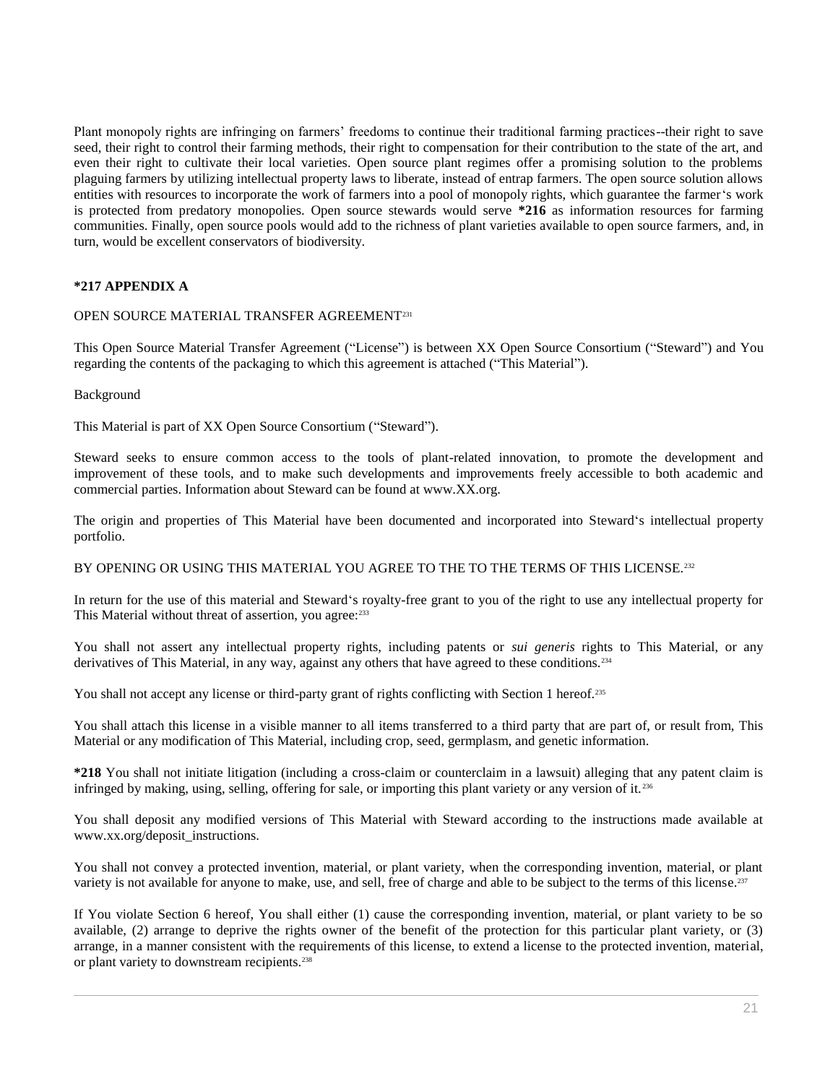Plant monopoly rights are infringing on farmers' freedoms to continue their traditional farming practices--their right to save seed, their right to control their farming methods, their right to compensation for their contribution to the state of the art, and even their right to cultivate their local varieties. Open source plant regimes offer a promising solution to the problems plaguing farmers by utilizing intellectual property laws to liberate, instead of entrap farmers. The open source solution allows entities with resources to incorporate the work of farmers into a pool of monopoly rights, which guarantee the farmer's work is protected from predatory monopolies. Open source stewards would serve **\*216** as information resources for farming communities. Finally, open source pools would add to the richness of plant varieties available to open source farmers, and, in turn, would be excellent conservators of biodiversity.

# **\*217 APPENDIX A**

## OPEN SOURCE MATERIAL TRANSFER AGREEMENT<sup>231</sup>

This Open Source Material Transfer Agreement ("License") is between XX Open Source Consortium ("Steward") and You regarding the contents of the packaging to which this agreement is attached ("This Material").

#### Background

This Material is part of XX Open Source Consortium ("Steward").

Steward seeks to ensure common access to the tools of plant-related innovation, to promote the development and improvement of these tools, and to make such developments and improvements freely accessible to both academic and commercial parties. Information about Steward can be found at www.XX.org.

The origin and properties of This Material have been documented and incorporated into Steward's intellectual property portfolio.

#### BY OPENING OR USING THIS MATERIAL YOU AGREE TO THE TO THE TERMS OF THIS LICENSE.<sup>232</sup>

In return for the use of this material and Steward's royalty-free grant to you of the right to use any intellectual property for This Material without threat of assertion, you agree: 233

You shall not assert any intellectual property rights, including patents or *sui generis* rights to This Material, or any derivatives of This Material, in any way, against any others that have agreed to these conditions.<sup>234</sup>

You shall not accept any license or third-party grant of rights conflicting with Section 1 hereof.<sup>235</sup>

You shall attach this license in a visible manner to all items transferred to a third party that are part of, or result from, This Material or any modification of This Material, including crop, seed, germplasm, and genetic information.

**\*218** You shall not initiate litigation (including a cross-claim or counterclaim in a lawsuit) alleging that any patent claim is infringed by making, using, selling, offering for sale, or importing this plant variety or any version of it. <sup>236</sup>

You shall deposit any modified versions of This Material with Steward according to the instructions made available at www.xx.org/deposit\_instructions.

You shall not convey a protected invention, material, or plant variety, when the corresponding invention, material, or plant variety is not available for anyone to make, use, and sell, free of charge and able to be subject to the terms of this license.<sup>237</sup>

If You violate Section 6 hereof, You shall either (1) cause the corresponding invention, material, or plant variety to be so available, (2) arrange to deprive the rights owner of the benefit of the protection for this particular plant variety, or (3) arrange, in a manner consistent with the requirements of this license, to extend a license to the protected invention, material, or plant variety to downstream recipients.<sup>238</sup>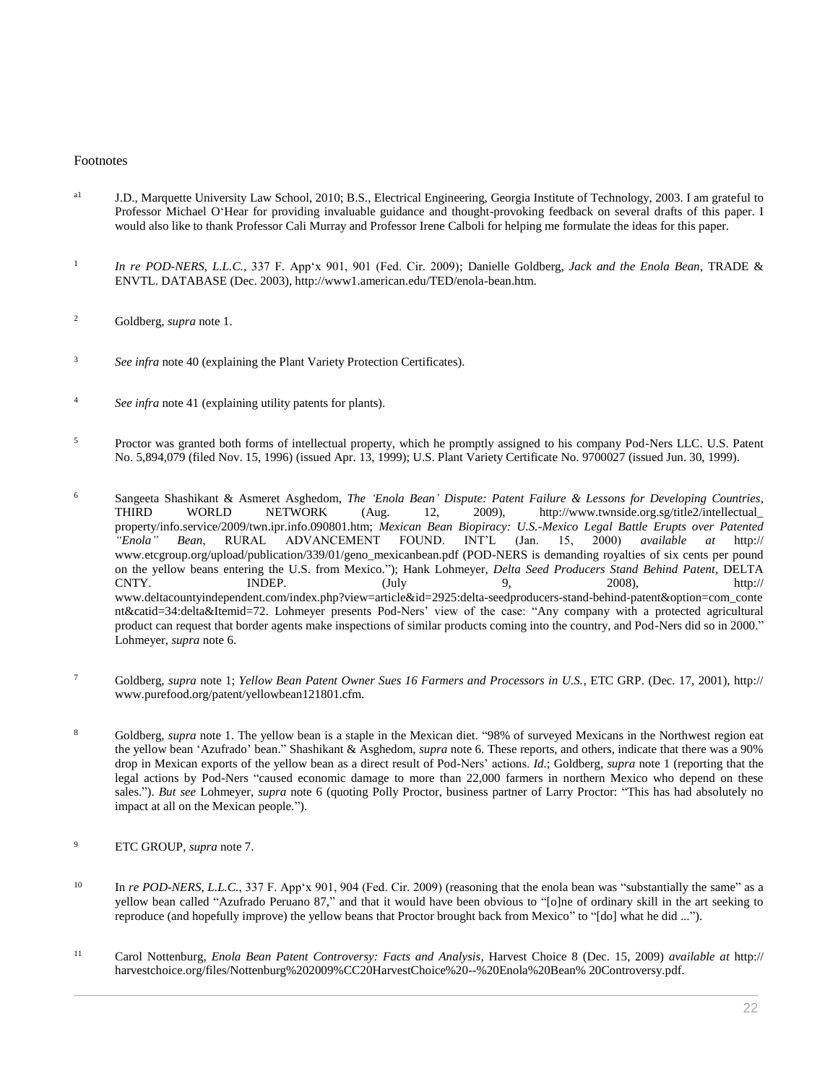#### Footnotes

- <sup>a1</sup> J.D., Marquette University Law School, 2010; B.S., Electrical Engineering, Georgia Institute of Technology, 2003. I am grateful to Professor Michael O'Hear for providing invaluable guidance and thought-provoking feedback on several drafts of this paper. I would also like to thank Professor Cali Murray and Professor Irene Calboli for helping me formulate the ideas for this paper.
- 1 *In re POD-NERS, L.L.C.,* [337 F. App'x 901, 901 \(Fed. Cir. 2009\);](http://www.westlaw.com/Link/Document/FullText?findType=Y&serNum=2019380300&pubNum=0006538&originatingDoc=I0ecc82a22df011e18b05fdf15589d8e8&refType=RP&originationContext=document&vr=3.0&rs=cblt1.0&transitionType=DocumentItem&contextData=(sc.Search)) Danielle Goldberg, *Jack and the Enola Bean*, TRADE & ENVTL. DATABASE (Dec. 2003), http://www1.american.edu/TED/enola-bean.htm.
- <sup>2</sup> Goldberg, *supra* note 1.
- <sup>3</sup> *See infra* note 40 (explaining the Plant Variety Protection Certificates).
- <sup>4</sup> *See infra* note 41 (explaining utility patents for plants).
- <sup>5</sup> Proctor was granted both forms of intellectual property, which he promptly assigned to his company Pod-Ners LLC. U.S. Patent [No. 5,894,079 \(filed Nov. 15, 1996\)](http://www.westlaw.com/Link/Document/FullText?findType=Y&serNum=1999355401&pubNum=0004074&originatingDoc=I0ecc82a22df011e18b05fdf15589d8e8&refType=PA&originationContext=document&vr=3.0&rs=cblt1.0&transitionType=DocumentItem&contextData=(sc.Search)) (issued Apr. 13, 1999); U.S. Plant Variety Certificate No. 9700027 (issued Jun. 30, 1999).
- <sup>6</sup> Sangeeta Shashikant & Asmeret Asghedom, *The 'Enola Bean' Dispute: Patent Failure & Lessons for Developing Countries*, THIRD WORLD NETWORK (Aug. 12, 2009), http://www.twnside.org.sg/title2/intellectual\_ property/info.service/2009/twn.ipr.info.090801.htm; *Mexican Bean Biopiracy: U.S.-Mexico Legal Battle Erupts over Patented "Enola" Bean*, RURAL ADVANCEMENT FOUND. INT'L (Jan. 15, 2000) *available at* http:// www.etcgroup.org/upload/publication/339/01/geno\_mexicanbean.pdf (POD-NERS is demanding royalties of six cents per pound on the yellow beans entering the U.S. from Mexico."); Hank Lohmeyer*, Delta Seed Producers Stand Behind Patent*, DELTA CNTY. INDEP. (July 9, 2008), http:// www.deltacountyindependent.com/index.php?view=article[&id=2925:d](http://www.westlaw.com/Link/Document/FullText?findType=Y&serNum=1999355401&originatingDoc=I0ecc82a22df011e18b05fdf15589d8e8&refType=PA&originationContext=document&vr=3.0&rs=cblt1.0&transitionType=DocumentItem&contextData=(sc.Search))elta-seedproducers-stand-behind-patent&option=com\_conte nt&catid=34:delta&Itemid=72. Lohmeyer presents Pod-Ners' view of the case: "Any company with a protected agricultural product can request that border agents make inspections of similar products coming into the country, and Pod-Ners did so in 2000." Lohmeyer, *supra* note 6.
- <sup>7</sup> Goldberg, *supra* note 1; *Yellow Bean Patent Owner Sues 16 Farmers and Processors in U.S.*, ETC GRP. (Dec. 17, 2001), http:// www.purefood.org/patent/yellowbean121801.cfm.
- <sup>8</sup> Goldberg, *supra* note 1. The yellow bean is a staple in the Mexican diet. "98% of surveyed Mexicans in the Northwest region eat the yellow bean 'Azufrado' bean." Shashikant & Asghedom, *supra* note 6. These reports, and others, indicate that there was a 90% drop in Mexican exports of the yellow bean as a direct result of Pod-Ners' actions. *[Id.](http://www.westlaw.com/Link/Document/FullText?findType=Y&serNum=1999355401&originatingDoc=I0ecc82a22df011e18b05fdf15589d8e8&refType=PA&originationContext=document&vr=3.0&rs=cblt1.0&transitionType=DocumentItem&contextData=(sc.Search))*; Goldberg, *supra* note 1 (reporting that the legal actions by Pod-Ners "caused economic damage to more than 22,000 farmers in northern Mexico who depend on these sales."). *But see* Lohmeyer, *supra* note 6 (quoting Polly Proctor, business partner of Larry Proctor: "This has had absolutely no impact at all on the Mexican people.").
- <sup>9</sup> ETC GROUP, *supra* note 7.
- <sup>10</sup> In *re POD-NERS, L.L.C.*[, 337 F. App'x 901, 904 \(Fed. Cir. 2009\)](http://www.westlaw.com/Link/Document/FullText?findType=Y&serNum=2019380300&pubNum=0006538&originatingDoc=I0ecc82a22df011e18b05fdf15589d8e8&refType=RP&fi=co_pp_sp_6538_904&originationContext=document&vr=3.0&rs=cblt1.0&transitionType=DocumentItem&contextData=(sc.Search)#co_pp_sp_6538_904) (reasoning that the enola bean was "substantially the same" as a yellow bean called "Azufrado Peruano 87," and that it would have been obvious to "[o]ne of ordinary skill in the art seeking to reproduce (and hopefully improve) the yellow beans that Proctor brought back from Mexico" to "[do] what he did ...").
- <sup>11</sup> Carol Nottenburg, *Enola Bean Patent Controversy: Facts and Analysis*, Harvest Choice 8 (Dec. 15, 2009) *available at* http:// harvestchoice.org/files/Nottenburg%202009%CC20HarvestChoice%20--%20Enola%20Bean% 20Controversy.pdf.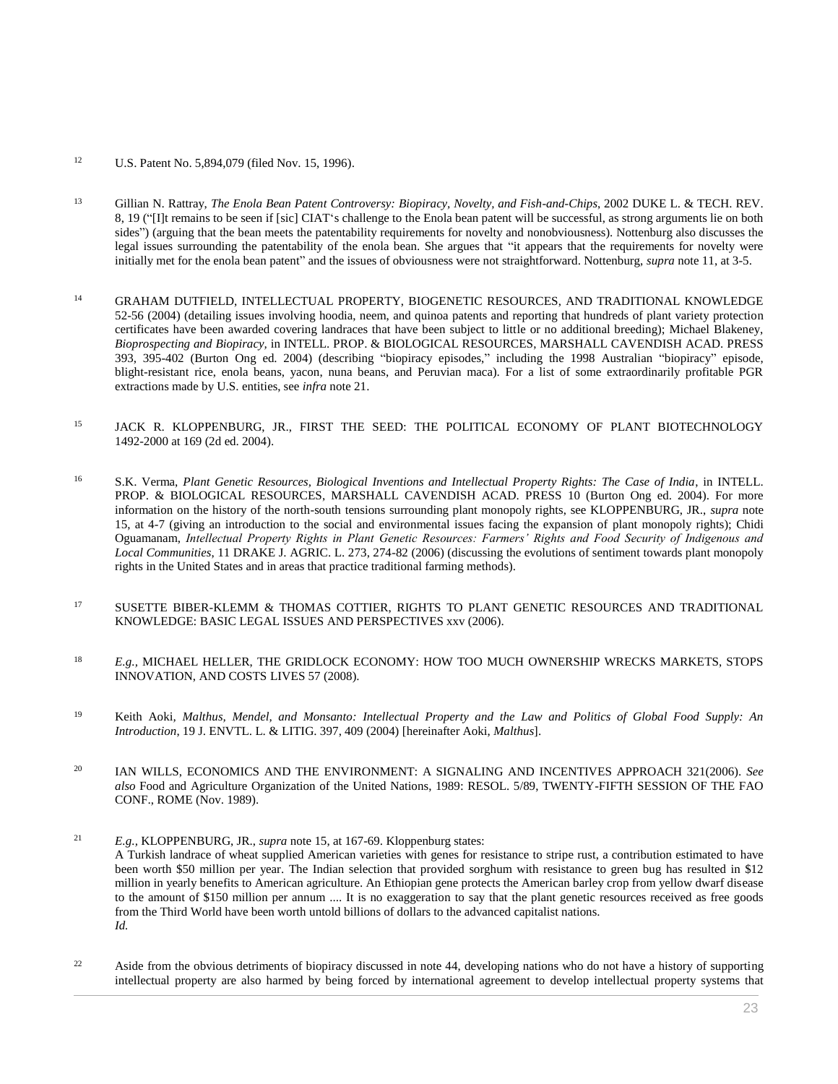## <sup>12</sup> [U.S. Patent No. 5,894,079 \(filed Nov. 15, 1996\).](http://www.westlaw.com/Link/Document/FullText?findType=Y&serNum=1999355401&pubNum=0004074&originatingDoc=I0ecc82a22df011e18b05fdf15589d8e8&refType=PA&originationContext=document&vr=3.0&rs=cblt1.0&transitionType=DocumentItem&contextData=(sc.Search))

- <sup>13</sup> Gillian N. Rattray, *[The Enola Bean Patent Controversy: Biopiracy, Novelty, and Fish-and-Chips](http://www.westlaw.com/Link/Document/FullText?findType=Y&serNum=0291358855&pubNum=0157654&originatingDoc=I0ecc82a22df011e18b05fdf15589d8e8&refType=LR&fi=co_pp_sp_157654_19&originationContext=document&vr=3.0&rs=cblt1.0&transitionType=DocumentItem&contextData=(sc.Search)#co_pp_sp_157654_19)*, 2002 DUKE L. & TECH. REV. [8, 19](http://www.westlaw.com/Link/Document/FullText?findType=Y&serNum=0291358855&pubNum=0157654&originatingDoc=I0ecc82a22df011e18b05fdf15589d8e8&refType=LR&fi=co_pp_sp_157654_19&originationContext=document&vr=3.0&rs=cblt1.0&transitionType=DocumentItem&contextData=(sc.Search)#co_pp_sp_157654_19) ("[I]t remains to be seen if [sic] CIAT's challenge to the Enola bean patent will be successful, as strong arguments lie on both sides") (arguing that the bean meets the patentability requirements for novelty and nonobviousness). Nottenburg also discusses the legal issues surrounding the patentability of the enola bean. She argues that "it appears that the requirements for novelty were initially met for the enola bean patent" and the issues of obviousness were not straightforward. Nottenburg, *supra* note 11, at 3-5.
- <sup>14</sup> GRAHAM DUTFIELD, INTELLECTUAL PROPERTY, BIOGENETIC RESOURCES, AND TRADITIONAL KNOWLEDGE 52-56 (2004) (detailing issues involving hoodia, neem, and quinoa patents and reporting that hundreds of plant variety protection certificates have been awarded covering landraces that have been subject to little or no additional breeding); Michael Blakeney, *Bioprospecting and Biopiracy,* in INTELL. PROP. & BIOLOGICAL RESOURCES, MARSHALL CAVENDISH ACAD. PRESS 393, 395-402 (Burton Ong ed. 2004) (describing "biopiracy episodes," including the 1998 Australian "biopiracy" episode, blight-resistant rice, enola beans, yacon, nuna beans, and Peruvian maca). For a list of some extraordinarily profitable PGR extractions made by U.S. entities, see *infra* note 21.
- 15 JACK R. KLOPPENBURG, JR., FIRST THE SEED: THE POLITICAL ECONOMY OF PLANT BIOTECHNOLOGY 1492-2000 at 169 (2d ed. 2004).
- <sup>16</sup> S.K. Verma, *Plant Genetic Resources, Biological Inventions and Intellectual Property Rights: The Case of India*, in INTELL. PROP. & BIOLOGICAL RESOURCES, MARSHALL CAVENDISH ACAD. PRESS 10 (Burton Ong ed. 2004). For more information on the history of the north-south tensions surrounding plant monopoly rights, see KLOPPENBURG, JR., *supra* note 15, at 4-7 (giving an introduction to the social and environmental issues facing the expansion of plant monopoly rights); Chidi Oguamanam, *[Intellectual Property Rights in Plant Genetic Resources: Farmers' Rights and Food Security of Indigenous and](http://www.westlaw.com/Link/Document/FullText?findType=Y&serNum=0330246916&pubNum=0111483&originatingDoc=I0ecc82a22df011e18b05fdf15589d8e8&refType=LR&fi=co_pp_sp_111483_274&originationContext=document&vr=3.0&rs=cblt1.0&transitionType=DocumentItem&contextData=(sc.Search)#co_pp_sp_111483_274)  Local Communities*[, 11 DRAKE J. AGRIC. L. 273, 274-82 \(2006\)](http://www.westlaw.com/Link/Document/FullText?findType=Y&serNum=0330246916&pubNum=0111483&originatingDoc=I0ecc82a22df011e18b05fdf15589d8e8&refType=LR&fi=co_pp_sp_111483_274&originationContext=document&vr=3.0&rs=cblt1.0&transitionType=DocumentItem&contextData=(sc.Search)#co_pp_sp_111483_274) (discussing the evolutions of sentiment towards plant monopoly rights in the United States and in areas that practice traditional farming methods).
- <sup>17</sup> SUSETTE BIBER-KLEMM & THOMAS COTTIER, RIGHTS TO PLANT GENETIC RESOURCES AND TRADITIONAL KNOWLEDGE: BASIC LEGAL ISSUES AND PERSPECTIVES xxv (2006).
- <sup>18</sup> *E.g.,* MICHAEL HELLER, THE GRIDLOCK ECONOMY: HOW TOO MUCH OWNERSHIP WRECKS MARKETS, STOPS INNOVATION, AND COSTS LIVES 57 (2008).
- <sup>19</sup> Keith Aoki*, [Malthus, Mendel, and Monsanto: Intellectual Property and the Law and Politics of Global Food Supply: An](http://www.westlaw.com/Link/Document/FullText?findType=Y&serNum=0304237582&pubNum=0100483&originatingDoc=I0ecc82a22df011e18b05fdf15589d8e8&refType=LR&fi=co_pp_sp_100483_409&originationContext=document&vr=3.0&rs=cblt1.0&transitionType=DocumentItem&contextData=(sc.Search)#co_pp_sp_100483_409)  Introduction*[, 19 J. ENVTL. L. & LITIG. 397, 409 \(2004\)](http://www.westlaw.com/Link/Document/FullText?findType=Y&serNum=0304237582&pubNum=0100483&originatingDoc=I0ecc82a22df011e18b05fdf15589d8e8&refType=LR&fi=co_pp_sp_100483_409&originationContext=document&vr=3.0&rs=cblt1.0&transitionType=DocumentItem&contextData=(sc.Search)#co_pp_sp_100483_409) [hereinafter Aoki, *Malthus*].
- <sup>20</sup> IAN WILLS, ECONOMICS AND THE ENVIRONMENT: A SIGNALING AND INCENTIVES APPROACH 321(2006). *See also* Food and Agriculture Organization of the United Nations, 1989: RESOL. 5/89, TWENTY-FIFTH SESSION OF THE FAO CONF., ROME (Nov. 1989).
- <sup>21</sup> *E.g.,* KLOPPENBURG, JR., *supra* note 15, at 167-69. Kloppenburg states: A Turkish landrace of wheat supplied American varieties with genes for resistance to stripe rust, a contribution estimated to have been worth \$50 million per year. The Indian selection that provided sorghum with resistance to green bug has resulted in \$12 million in yearly benefits to American agriculture. An Ethiopian gene protects the American barley crop from yellow dwarf disease to the amount of \$150 million per annum .... It is no exaggeration to say that the plant genetic resources received as free goods from the Third World have been worth untold billions of dollars to the advanced capitalist nations. *Id.*
- <sup>22</sup> Aside from the obvious detriments of biopiracy discussed in note 44, developing nations who do not have a history of supporting intellectual property are also harmed by being forced by international agreement to develop intellectual property systems that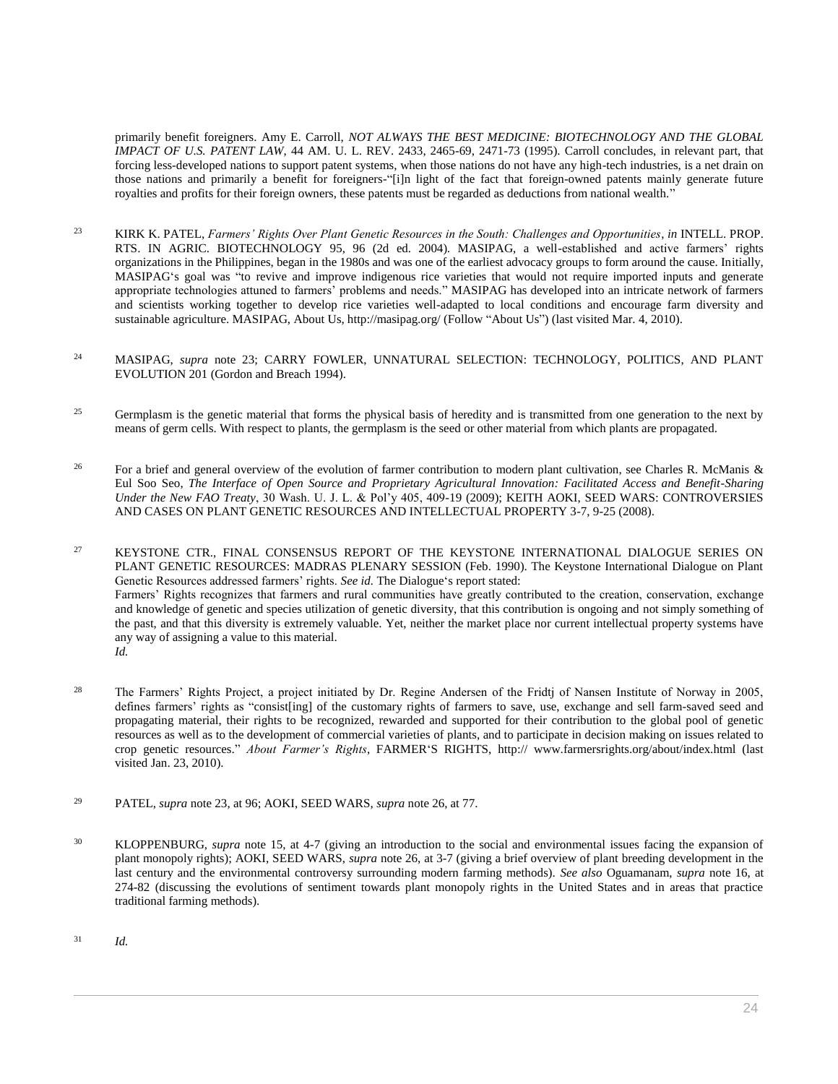primarily benefit foreigners. Amy E. Carroll, *[NOT ALWAYS THE BEST MEDICINE: BIOTECHNOLOGY AND THE GLOBAL](http://www.westlaw.com/Link/Document/FullText?findType=Y&serNum=0105977249&pubNum=0001529&originatingDoc=I0ecc82a22df011e18b05fdf15589d8e8&refType=LR&fi=co_pp_sp_1529_2465&originationContext=document&vr=3.0&rs=cblt1.0&transitionType=DocumentItem&contextData=(sc.Search)#co_pp_sp_1529_2465)  IMPACT OF U.S. PATENT LAW*[, 44 AM. U. L. REV. 2433, 2465-69, 2471-73 \(1995\).](http://www.westlaw.com/Link/Document/FullText?findType=Y&serNum=0105977249&pubNum=0001529&originatingDoc=I0ecc82a22df011e18b05fdf15589d8e8&refType=LR&fi=co_pp_sp_1529_2465&originationContext=document&vr=3.0&rs=cblt1.0&transitionType=DocumentItem&contextData=(sc.Search)#co_pp_sp_1529_2465) Carroll concludes, in relevant part, that forcing less-developed nations to support patent systems, when those nations do not have any high-tech industries, is a net drain on those nations and primarily a benefit for foreigners-"[i]n light of the fact that foreign-owned patents mainly generate future royalties and profits for their foreign owners, these patents must be regarded as deductions from national wealth."

- <sup>23</sup> KIRK K. PATEL, *Farmers' Rights Over Plant Genetic Resources in the South: Challenges and Opportunities*, *in* INTELL. PROP. RTS. IN AGRIC. BIOTECHNOLOGY 95, 96 (2d ed. 2004). MASIPAG, a well-established and active farmers' rights organizations in the Philippines, began in the 1980s and was one of the earliest advocacy groups to form around the cause. Initially, MASIPAG's goal was "to revive and improve indigenous rice varieties that would not require imported inputs and generate appropriate technologies attuned to farmers' problems and needs." MASIPAG has developed into an intricate network of farmers and scientists working together to develop rice varieties well-adapted to local conditions and encourage farm diversity and sustainable agriculture. MASIPAG, About Us, http://masipag.org/ (Follow "About Us") (last visited Mar. 4, 2010).
- <sup>24</sup> MASIPAG, *supra* note 23; CARRY FOWLER, UNNATURAL SELECTION: TECHNOLOGY, POLITICS, AND PLANT EVOLUTION 201 (Gordon and Breach 1994).
- <sup>25</sup> Germplasm is the genetic material that forms the physical basis of heredity and is transmitted from one generation to the next by means of germ cells. With respect to plants, the germplasm is the seed or other material from which plants are propagated.
- <sup>26</sup> For a brief and general overview of the evolution of farmer contribution to modern plant cultivation, see Charles R. McManis & Eul Soo Seo, *[The Interface of Open Source and Proprietary Agricultural Innovation: Facilitated Access and Benefit-Sharing](http://www.westlaw.com/Link/Document/FullText?findType=Y&serNum=0346587055&pubNum=0127507&originatingDoc=I0ecc82a22df011e18b05fdf15589d8e8&refType=LR&fi=co_pp_sp_127507_409&originationContext=document&vr=3.0&rs=cblt1.0&transitionType=DocumentItem&contextData=(sc.Search)#co_pp_sp_127507_409)  Under the New FAO Treaty*[, 30 Wash. U. J. L. & Pol'y 405, 409-19 \(2009\);](http://www.westlaw.com/Link/Document/FullText?findType=Y&serNum=0346587055&pubNum=0127507&originatingDoc=I0ecc82a22df011e18b05fdf15589d8e8&refType=LR&fi=co_pp_sp_127507_409&originationContext=document&vr=3.0&rs=cblt1.0&transitionType=DocumentItem&contextData=(sc.Search)#co_pp_sp_127507_409) KEITH AOKI, SEED WARS: CONTROVERSIES AND CASES ON PLANT GENETIC RESOURCES AND INTELLECTUAL PROPERTY 3-7, 9-25 (2008).

<sup>27</sup> KEYSTONE CTR., FINAL CONSENSUS REPORT OF THE KEYSTONE INTERNATIONAL DIALOGUE SERIES ON PLANT GENETIC RESOURCES: MADRAS PLENARY SESSION (Feb. 1990). The Keystone International Dialogue on Plant Genetic Resources addressed farmers' rights. *See id.* The Dialogue's report stated: Farmers' Rights recognizes that farmers and rural communities have greatly contributed to the creation, conservation, exchange and knowledge of genetic and species utilization of genetic diversity, that this contribution is ongoing and not simply something of the past, and that this diversity is extremely valuable. Yet, neither the market place nor current intellectual property systems have any way of assigning a value to this material. *Id.*

- <sup>28</sup> The Farmers' Rights Project, a project initiated by Dr. Regine Andersen of the Fridtj of Nansen Institute of Norway in 2005, defines farmers' rights as "consist[ing] of the customary rights of farmers to save, use, exchange and sell farm-saved seed and propagating material, their rights to be recognized, rewarded and supported for their contribution to the global pool of genetic resources as well as to the development of commercial varieties of plants, and to participate in decision making on issues related to crop genetic resources." *About Farmer's Rights*, FARMER'S RIGHTS, http:// www.farmersrights.org/about/index.html (last visited Jan. 23, 2010).
- <sup>29</sup> PATEL, *supra* note 23, at 96; AOKI, SEED WARS, *supra* note 26, at 77.
- <sup>30</sup> KLOPPENBURG, *supra* note 15, at 4-7 (giving an introduction to the social and environmental issues facing the expansion of plant monopoly rights); AOKI, SEED WARS, *supra* note 26, at 3-7 (giving a brief overview of plant breeding development in the last century and the environmental controversy surrounding modern farming methods). *See also* Oguamanam, *supra* note 16, at 274-82 (discussing the evolutions of sentiment towards plant monopoly rights in the United States and in areas that practice traditional farming methods).

<sup>31</sup> *Id.*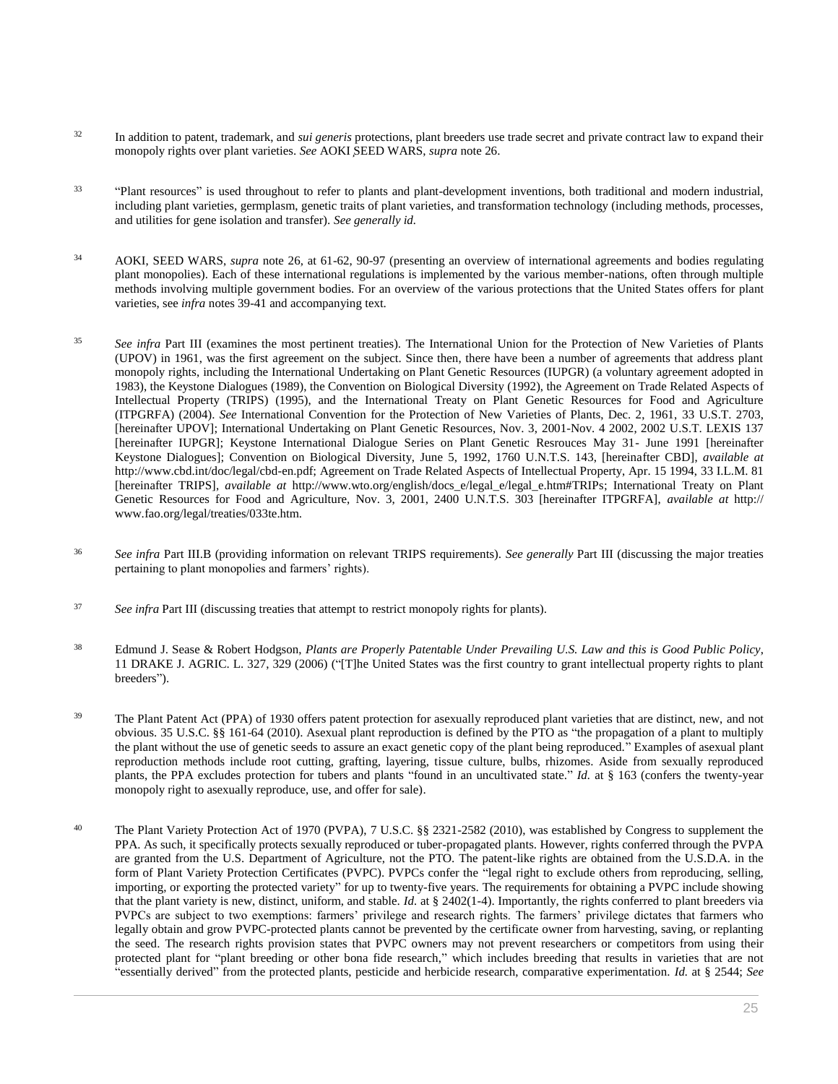- <sup>32</sup> In addition to patent, trademark, and *sui generis* protections, plant breeders use trade secret and private contract law to expand their monopoly rights over plant varieties. *See* AOKI ̧SEED WARS, *supra* note 26.
- 33 "Plant resources" is used throughout to refer to plants and plant-development inventions, both traditional and modern industrial, including plant varieties, germplasm, genetic traits of plant varieties, and transformation technology (including methods, processes, and utilities for gene isolation and transfer). *See generally id.*
- <sup>34</sup> AOKI, SEED WARS, *supra* note 26, at 61-62, 90-97 (presenting an overview of international agreements and bodies regulating plant monopolies). Each of these international regulations is implemented by the various member-nations, often through multiple methods involving multiple government bodies. For an overview of the various protections that the United States offers for plant varieties, see *infra* notes 39-41 and accompanying text.
- <sup>35</sup> *See infra* Part III (examines the most pertinent treaties). The International Union for the Protection of New Varieties of Plants (UPOV) in 1961, was the first agreement on the subject. Since then, there have been a number of agreements that address plant monopoly rights, including the International Undertaking on Plant Genetic Resources (IUPGR) (a voluntary agreement adopted in 1983), the Keystone Dialogues (1989), the Convention on Biological Diversity (1992), the Agreement on Trade Related Aspects of Intellectual Property (TRIPS) (1995), and the International Treaty on Plant Genetic Resources for Food and Agriculture (ITPGRFA) (2004). *See* International Convention for the Protection of New Varieties of Plants, Dec. 2, 1961, [33 U.S.T. 2703,](http://www.westlaw.com/Link/Document/FullText?findType=Y&serNum=1981193663&pubNum=0006792&originatingDoc=I0ecc82a22df011e18b05fdf15589d8e8&refType=CA&originationContext=document&vr=3.0&rs=cblt1.0&transitionType=DocumentItem&contextData=(sc.Search))  [\[hereinafter UPOV\];](http://www.westlaw.com/Link/Document/FullText?findType=Y&serNum=1981193663&pubNum=0006792&originatingDoc=I0ecc82a22df011e18b05fdf15589d8e8&refType=CA&originationContext=document&vr=3.0&rs=cblt1.0&transitionType=DocumentItem&contextData=(sc.Search)) International Undertaking on Plant Genetic Resources, Nov. 3, 2001-Nov. 4 2002, 2002 U.S.T. LEXIS 137 [hereinafter IUPGR]; Keystone International Dialogue Series on Plant Genetic Resrouces May 31- June 1991 [hereinafter Keystone Dialogues]; Convention on Biological Diversity, June 5, 1992, 1760 U.N.T.S. 143, [hereinafter CBD], *available at* http://www.cbd.int/doc/legal/cbd-en.pdf; Agreement on Trade Related Aspects of Intellectual Property, Apr. 15 1994, [33 I.L.M. 81](http://www.westlaw.com/Link/Document/FullText?findType=Y&pubNum=100856&cite=33INTLLEGALMAT81&originatingDoc=I0ecc82a22df011e18b05fdf15589d8e8&refType=NA&originationContext=document&vr=3.0&rs=cblt1.0&transitionType=DocumentItem&contextData=(sc.Search)) [hereinafter TRIPS], *available at* http://www.wto.org/english/docs\_e/legal\_e/legal\_e.htm#TRIPs; International Treaty on Plant Genetic Resources for Food and Agriculture, Nov. 3, 2001, 2400 U.N.T.S. 303 [hereinafter ITPGRFA], *available at* http:// www.fao.org/legal/treaties/033te.htm.
- <sup>36</sup> *See infra* Part III.B (providing information on relevant TRIPS requirements). *See generally* Part III (discussing the major treaties pertaining to plant monopolies and farmers' rights).
- <sup>37</sup> *See infra* Part III (discussing treaties that attempt to restrict monopoly rights for plants).
- <sup>38</sup> Edmund J. Sease & Robert Hodgson, *[Plants are Properly Patentable Under Prevailing U.S. Law and this is Good Public Policy](http://www.westlaw.com/Link/Document/FullText?findType=Y&serNum=0330246918&pubNum=0111483&originatingDoc=I0ecc82a22df011e18b05fdf15589d8e8&refType=LR&fi=co_pp_sp_111483_329&originationContext=document&vr=3.0&rs=cblt1.0&transitionType=DocumentItem&contextData=(sc.Search)#co_pp_sp_111483_329)*, [11 DRAKE J. AGRIC. L. 327, 329 \(2006\)](http://www.westlaw.com/Link/Document/FullText?findType=Y&serNum=0330246918&pubNum=0111483&originatingDoc=I0ecc82a22df011e18b05fdf15589d8e8&refType=LR&fi=co_pp_sp_111483_329&originationContext=document&vr=3.0&rs=cblt1.0&transitionType=DocumentItem&contextData=(sc.Search)#co_pp_sp_111483_329) ("[T]he United States was the first country to grant intellectual property rights to plant breeders").
- <sup>39</sup> The Plant Patent Act (PPA) of 1930 offers patent protection for asexually reproduced plant varieties that are distinct, new, and not obvious. [35 U.S.C. §§ 161](http://www.westlaw.com/Link/Document/FullText?findType=L&pubNum=1000546&cite=35USCAS161&originatingDoc=I0ecc82a22df011e18b05fdf15589d8e8&refType=LQ&originationContext=document&vr=3.0&rs=cblt1.0&transitionType=DocumentItem&contextData=(sc.Search))[-64 \(2010\).](http://www.westlaw.com/Link/Document/FullText?findType=L&pubNum=1000546&cite=35USCAS164&originatingDoc=I0ecc82a22df011e18b05fdf15589d8e8&refType=LQ&originationContext=document&vr=3.0&rs=cblt1.0&transitionType=DocumentItem&contextData=(sc.Search)) Asexual plant reproduction is defined by the PTO as "the propagation of a plant to multiply the plant without the use of genetic seeds to assure an exact genetic copy of the plant being reproduced." Examples of asexual plant reproduction methods include root cutting, grafting, layering, tissue culture, bulbs, rhizomes. Aside from sexually reproduced plants, the PPA excludes protection for tubers and plants "found in an uncultivated state." *Id.* at § 163 (confers the twenty-year monopoly right to asexually reproduce, use, and offer for sale).
- <sup>40</sup> The Plant Variety Protection Act of 1970 (PVPA), [7 U.S.C. §§ 2321](http://www.westlaw.com/Link/Document/FullText?findType=L&pubNum=1000546&cite=7USCAS2321&originatingDoc=I0ecc82a22df011e18b05fdf15589d8e8&refType=LQ&originationContext=document&vr=3.0&rs=cblt1.0&transitionType=DocumentItem&contextData=(sc.Search))[-2582 \(2010\),](http://www.westlaw.com/Link/Document/FullText?findType=L&pubNum=1000546&cite=7USCAS2582&originatingDoc=I0ecc82a22df011e18b05fdf15589d8e8&refType=LQ&originationContext=document&vr=3.0&rs=cblt1.0&transitionType=DocumentItem&contextData=(sc.Search)) was established by Congress to supplement the PPA. As such, it specifically protects sexually reproduced or tuber-propagated plants. However, rights conferred through the PVPA are granted from the U.S. Department of Agriculture, not the PTO. The patent-like rights are obtained from the U.S.D.A. in the form of Plant Variety Protection Certificates (PVPC). PVPCs confer the "legal right to exclude others from reproducing, selling, importing, or exporting the protected variety" for up to twenty-five years. The requirements for obtaining a PVPC include showing that the plant variety is new, distinct, uniform, and stable. *Id.* at § 2402(1-4). Importantly, the rights conferred to plant breeders via PVPCs are subject to two exemptions: farmers' privilege and research rights. The farmers' privilege dictates that farmers who legally obtain and grow PVPC-protected plants cannot be prevented by the certificate owner from harvesting, saving, or replanting the seed. The research rights provision states that PVPC owners may not prevent researchers or competitors from using their protected plant for "plant breeding or other bona fide research," which includes breeding that results in varieties that are not "essentially derived" from the protected plants, pesticide and herbicide research, comparative experimentation. *Id.* at § 2544; *See*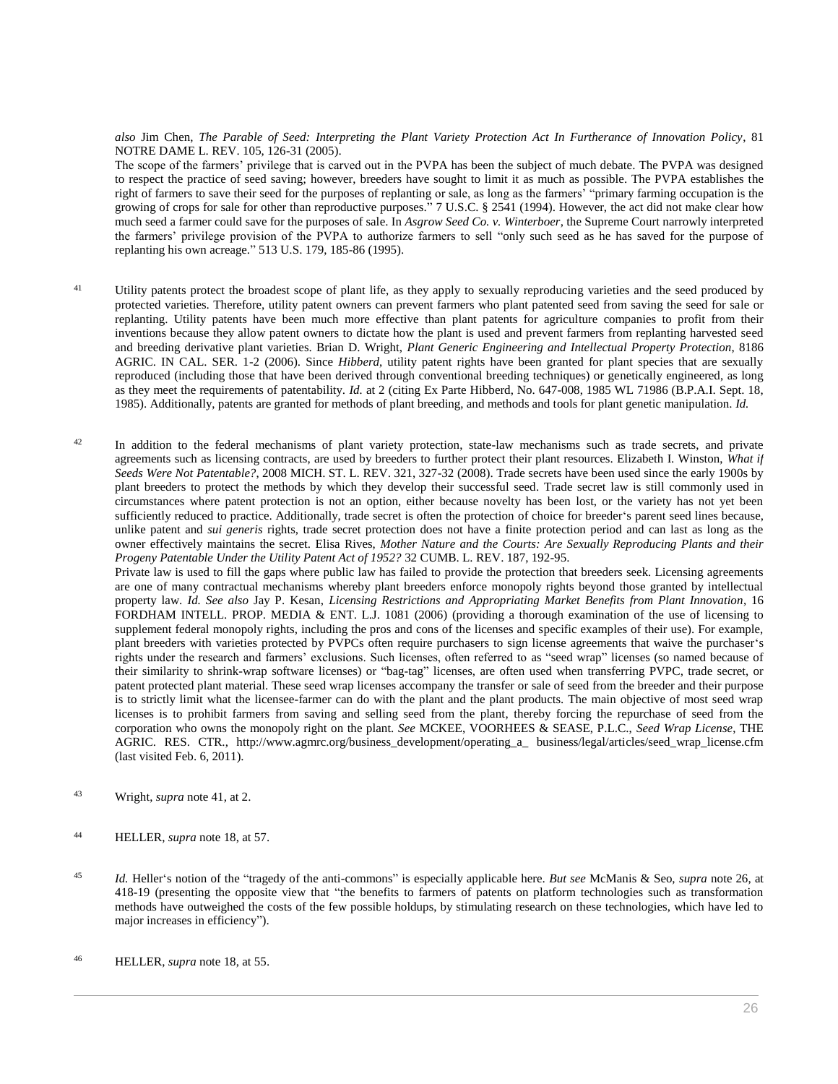*also* Jim Chen, *[The Parable of Seed: Interpreting the Plant Variety Protection Act In Furtherance of Innovation Policy](http://www.westlaw.com/Link/Document/FullText?findType=Y&serNum=0306415154&pubNum=0001211&originatingDoc=I0ecc82a22df011e18b05fdf15589d8e8&refType=LR&fi=co_pp_sp_1211_126&originationContext=document&vr=3.0&rs=cblt1.0&transitionType=DocumentItem&contextData=(sc.Search)#co_pp_sp_1211_126)*, 81 [NOTRE DAME L. REV. 105, 126-31 \(2005\).](http://www.westlaw.com/Link/Document/FullText?findType=Y&serNum=0306415154&pubNum=0001211&originatingDoc=I0ecc82a22df011e18b05fdf15589d8e8&refType=LR&fi=co_pp_sp_1211_126&originationContext=document&vr=3.0&rs=cblt1.0&transitionType=DocumentItem&contextData=(sc.Search)#co_pp_sp_1211_126)

The scope of the farmers' privilege that is carved out in the PVPA has been the subject of much debate. The PVPA was designed to respect the practice of seed saving; however, breeders have sought to limit it as much as possible. The PVPA establishes the right of farmers to save their seed for the purposes of replanting or sale, as long as the farmers' "primary farming occupation is the growing of crops for sale for other than reproductive purposes." [7 U.S.C. § 2541 \(1994\).](http://www.westlaw.com/Link/Document/FullText?findType=L&pubNum=1000546&cite=7USCAS2541&originatingDoc=I0ecc82a22df011e18b05fdf15589d8e8&refType=LQ&originationContext=document&vr=3.0&rs=cblt1.0&transitionType=DocumentItem&contextData=(sc.Search)) However, the act did not make clear how much seed a farmer could save for the purposes of sale. In *Asgrow Seed Co. v. Winterboer*, the Supreme Court narrowly interpreted the farmers' privilege provision of the PVPA to authorize farmers to sell "only such seed as he has saved for the purpose of replanting his own acreage." [513 U.S. 179, 185-86 \(1995\).](http://www.westlaw.com/Link/Document/FullText?findType=Y&serNum=1995030836&pubNum=0000780&originatingDoc=I0ecc82a22df011e18b05fdf15589d8e8&refType=RP&fi=co_pp_sp_780_185&originationContext=document&vr=3.0&rs=cblt1.0&transitionType=DocumentItem&contextData=(sc.Search)#co_pp_sp_780_185)

- <sup>41</sup> Utility patents protect the broadest scope of plant life, as they apply to sexually reproducing varieties and the seed produced by protected varieties. Therefore, utility patent owners can prevent farmers who plant patented seed from saving the seed for sale or replanting. Utility patents have been much more effective than plant patents for agriculture companies to profit from their inventions because they allow patent owners to dictate how the plant is used and prevent farmers from replanting harvested seed and breeding derivative plant varieties. Brian D. Wright, *Plant Generic Engineering and Intellectual Property Protection*, 8186 AGRIC. IN CAL. SER. 1-2 (2006). Since *Hibberd*, utility patent rights have been granted for plant species that are sexually reproduced (including those that have been derived through conventional breeding techniques) or genetically engineered, as long as they meet the requirements of patentability. *Id.* at 2 (citing [Ex Parte Hibberd, No. 647-008, 1985 WL 71986 \(B.P.A.I. Sept. 18,](http://www.westlaw.com/Link/Document/FullText?findType=Y&serNum=1985028021&pubNum=0000999&originatingDoc=I0ecc82a22df011e18b05fdf15589d8e8&refType=RP&originationContext=document&vr=3.0&rs=cblt1.0&transitionType=DocumentItem&contextData=(sc.Search))  [1985\).](http://www.westlaw.com/Link/Document/FullText?findType=Y&serNum=1985028021&pubNum=0000999&originatingDoc=I0ecc82a22df011e18b05fdf15589d8e8&refType=RP&originationContext=document&vr=3.0&rs=cblt1.0&transitionType=DocumentItem&contextData=(sc.Search)) Additionally, patents are granted for methods of plant breeding, and methods and tools for plant genetic manipulation. *Id.*
- <sup>42</sup> In addition to the federal mechanisms of plant variety protection, state-law mechanisms such as trade secrets, and private agreements such as licensing contracts, are used by breeders to further protect their plant resources. Elizabeth I. Winston, *[What if](http://www.westlaw.com/Link/Document/FullText?findType=Y&serNum=0339921442&pubNum=0168915&originatingDoc=I0ecc82a22df011e18b05fdf15589d8e8&refType=LR&fi=co_pp_sp_168915_327&originationContext=document&vr=3.0&rs=cblt1.0&transitionType=DocumentItem&contextData=(sc.Search)#co_pp_sp_168915_327)  Seeds Were Not Patentable?*[, 2008 MICH. ST. L. REV. 321, 327-32 \(2008\).](http://www.westlaw.com/Link/Document/FullText?findType=Y&serNum=0339921442&pubNum=0168915&originatingDoc=I0ecc82a22df011e18b05fdf15589d8e8&refType=LR&fi=co_pp_sp_168915_327&originationContext=document&vr=3.0&rs=cblt1.0&transitionType=DocumentItem&contextData=(sc.Search)#co_pp_sp_168915_327) Trade secrets have been used since the early 1900s by plant breeders to protect the methods by which they develop their successful seed. Trade secret law is still commonly used in circumstances where patent protection is not an option, either because novelty has been lost, or the variety has not yet been sufficiently reduced to practice. Additionally, trade secret is often the protection of choice for breeder's parent seed lines because, unlike patent and *sui generis* rights, trade secret protection does not have a finite protection period and can last as long as the owner effectively maintains the secret. Elisa Rives, *[Mother Nature and the Courts: Are Sexually Reproducing Plants and their](http://www.westlaw.com/Link/Document/FullText?findType=Y&serNum=0287587942&pubNum=0001125&originatingDoc=I0ecc82a22df011e18b05fdf15589d8e8&refType=LR&fi=co_pp_sp_1125_192&originationContext=document&vr=3.0&rs=cblt1.0&transitionType=DocumentItem&contextData=(sc.Search)#co_pp_sp_1125_192)  [Progeny Patentable Under the Utility Patent Act of 1952?](http://www.westlaw.com/Link/Document/FullText?findType=Y&serNum=0287587942&pubNum=0001125&originatingDoc=I0ecc82a22df011e18b05fdf15589d8e8&refType=LR&fi=co_pp_sp_1125_192&originationContext=document&vr=3.0&rs=cblt1.0&transitionType=DocumentItem&contextData=(sc.Search)#co_pp_sp_1125_192)* 32 CUMB. L. REV. 187, 192-95. Private law is used to fill the gaps where public law has failed to provide the protection that breeders seek. Licensing agreements

are one of many contractual mechanisms whereby plant breeders enforce monopoly rights beyond those granted by intellectual property law. *Id. See also* Jay P. Kesan, *[Licensing Restrictions and Appropriating Market Benefits from Plant Innovation](http://www.westlaw.com/Link/Document/FullText?findType=Y&serNum=0328605840&pubNum=0102265&originatingDoc=I0ecc82a22df011e18b05fdf15589d8e8&refType=LR&originationContext=document&vr=3.0&rs=cblt1.0&transitionType=DocumentItem&contextData=(sc.Search))*, 16 [FORDHAM INTELL. PROP. MEDIA & ENT. L.J. 1081 \(2006\)](http://www.westlaw.com/Link/Document/FullText?findType=Y&serNum=0328605840&pubNum=0102265&originatingDoc=I0ecc82a22df011e18b05fdf15589d8e8&refType=LR&originationContext=document&vr=3.0&rs=cblt1.0&transitionType=DocumentItem&contextData=(sc.Search)) (providing a thorough examination of the use of licensing to supplement federal monopoly rights, including the pros and cons of the licenses and specific examples of their use). For example, plant breeders with varieties protected by PVPCs often require purchasers to sign license agreements that waive the purchaser's rights under the research and farmers' exclusions. Such licenses, often referred to as "seed wrap" licenses (so named because of their similarity to shrink-wrap software licenses) or "bag-tag" licenses, are often used when transferring PVPC, trade secret, or patent protected plant material. These seed wrap licenses accompany the transfer or sale of seed from the breeder and their purpose is to strictly limit what the licensee-farmer can do with the plant and the plant products. The main objective of most seed wrap licenses is to prohibit farmers from saving and selling seed from the plant, thereby forcing the repurchase of seed from the corporation who owns the monopoly right on the plant. *See* MCKEE, VOORHEES & SEASE, P.L.C., *Seed Wrap License*, THE AGRIC. RES. CTR., http://www.agmrc.org/business\_development/operating\_a\_ business/legal/articles/seed\_wrap\_license.cfm (last visited Feb. 6, 2011).

- <sup>43</sup> Wright, *supra* note 41, at 2.
- <sup>44</sup> HELLER, *supra* note 18, at 57.
- <sup>45</sup> *Id.* Heller's notion of the "tragedy of the anti-commons" is especially applicable here. *But see* McManis & Seo, *supra* note 26, at 418-19 (presenting the opposite view that "the benefits to farmers of patents on platform technologies such as transformation methods have outweighed the costs of the few possible holdups, by stimulating research on these technologies, which have led to major increases in efficiency").
- <sup>46</sup> HELLER, *supra* note 18, at 55.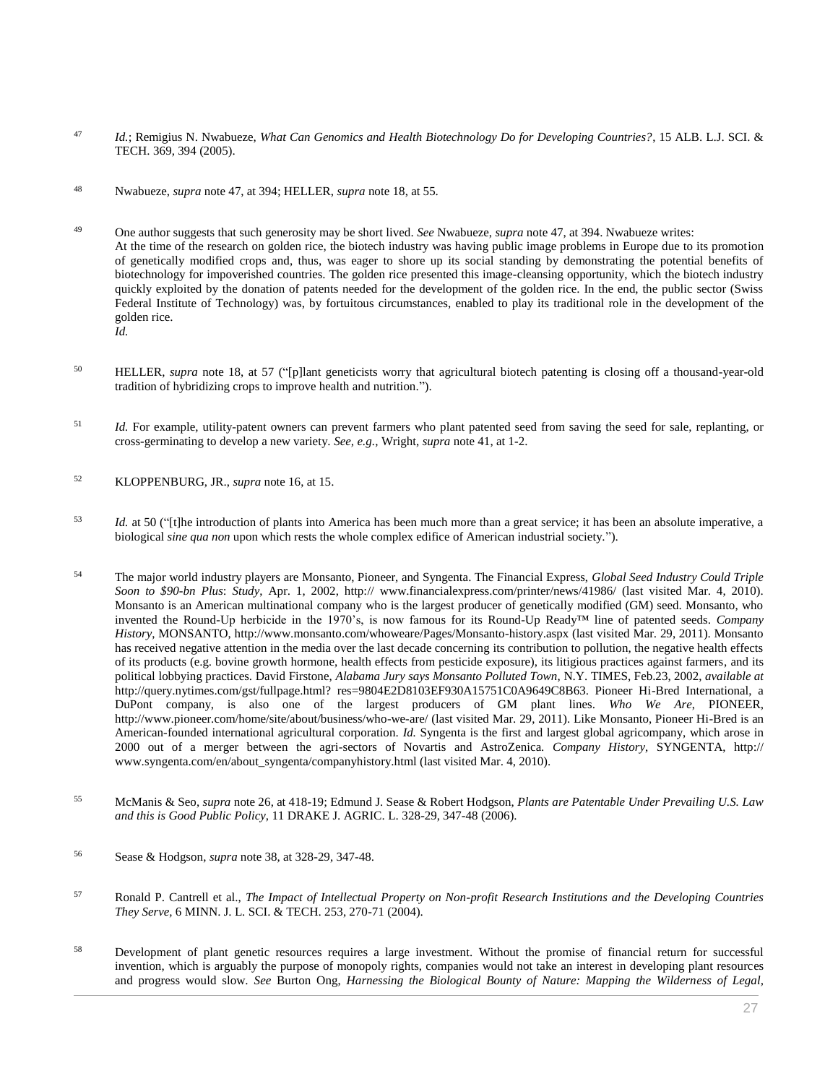- <sup>47</sup> *Id.*; Remigius N. Nwabueze, *[What Can Genomics and Health Biotechnology Do for Developing Countries?](http://www.westlaw.com/Link/Document/FullText?findType=Y&serNum=0304872292&pubNum=0100512&originatingDoc=I0ecc82a22df011e18b05fdf15589d8e8&refType=LR&fi=co_pp_sp_100512_394&originationContext=document&vr=3.0&rs=cblt1.0&transitionType=DocumentItem&contextData=(sc.Search)#co_pp_sp_100512_394)*, 15 ALB. L.J. SCI. & [TECH. 369, 394 \(2005\).](http://www.westlaw.com/Link/Document/FullText?findType=Y&serNum=0304872292&pubNum=0100512&originatingDoc=I0ecc82a22df011e18b05fdf15589d8e8&refType=LR&fi=co_pp_sp_100512_394&originationContext=document&vr=3.0&rs=cblt1.0&transitionType=DocumentItem&contextData=(sc.Search)#co_pp_sp_100512_394)
- <sup>48</sup> Nwabueze, *supra* note 47, at 394; HELLER, *supra* note 18, at 55.

<sup>49</sup> One author suggests that such generosity may be short lived. *See* Nwabueze, *supra* note 47, at 394. Nwabueze writes: At the time of the research on golden rice, the biotech industry was having public image problems in Europe due to its promotion of genetically modified crops and, thus, was eager to shore up its social standing by demonstrating the potential benefits of biotechnology for impoverished countries. The golden rice presented this image-cleansing opportunity, which the biotech industry quickly exploited by the donation of patents needed for the development of the golden rice. In the end, the public sector (Swiss Federal Institute of Technology) was, by fortuitous circumstances, enabled to play its traditional role in the development of the golden rice. *Id.*

- <sup>50</sup> HELLER, *supra* note 18, at 57 ("[p]lant geneticists worry that agricultural biotech patenting is closing off a thousand-year-old tradition of hybridizing crops to improve health and nutrition.").
- <sup>51</sup> *Id.* For example, utility-patent owners can prevent farmers who plant patented seed from saving the seed for sale, replanting, or cross-germinating to develop a new variety. *See, e.g.,* Wright, *supra* note 41, at 1-2.
- <sup>52</sup> KLOPPENBURG, JR., *supra* note 16, at 15.
- <sup>53</sup> *Id.* at 50 ("[t]he introduction of plants into America has been much more than a great service; it has been an absolute imperative, a biological *sine qua non* upon which rests the whole complex edifice of American industrial society.").
- <sup>54</sup> The major world industry players are Monsanto, Pioneer, and Syngenta. The Financial Express, *Global Seed Industry Could Triple Soon to \$90-bn Plus*: *Study*, Apr. 1, 2002, http:// www.financialexpress.com/printer/news/41986/ (last visited Mar. 4, 2010). Monsanto is an American multinational company who is the largest producer of genetically modified (GM) seed. Monsanto, who invented the Round-Up herbicide in the 1970's, is now famous for its Round-Up Ready™ line of patented seeds. *Company History*, MONSANTO, http://www.monsanto.com/whoweare/Pages/Monsanto-history.aspx (last visited Mar. 29, 2011). Monsanto has received negative attention in the media over the last decade concerning its contribution to pollution, the negative health effects of its products (e.g. bovine growth hormone, health effects from pesticide exposure), its litigious practices against farmers, and its political lobbying practices. David Firstone, *Alabama Jury says Monsanto Polluted Town*, N.Y. TIMES, Feb.23, 2002, *available at* http://query.nytimes.com/gst/fullpage.html? res=9804E2D8103EF930A15751C0A9649C8B63. Pioneer Hi-Bred International, a DuPont company, is also one of the largest producers of GM plant lines. *Who We Are*, PIONEER, http://www.pioneer.com/home/site/about/business/who-we-are/ (last visited Mar. 29, 2011). Like Monsanto, Pioneer Hi-Bred is an American-founded international agricultural corporation. *Id.* Syngenta is the first and largest global agricompany, which arose in 2000 out of a merger between the agri-sectors of Novartis and AstroZenica. *Company History*, SYNGENTA, http:// www.syngenta.com/en/about\_syngenta/companyhistory.html (last visited Mar. 4, 2010).
- <sup>55</sup> McManis & Seo, *supra* note 26, at 418-19; Edmund J. Sease & Robert Hodgson, *Plants are Patentable Under Prevailing U.S. Law and this is Good Public Policy*, 11 DRAKE J. AGRIC. L. 328-29, 347-48 (2006).
- <sup>56</sup> Sease & Hodgson, *supra* note 38, at 328-29, 347-48.
- <sup>57</sup> Ronald P. Cantrell et al., *[The Impact of Intellectual Property on Non-profit Research Institutions and the Developing Countries](http://www.westlaw.com/Link/Document/FullText?findType=Y&serNum=0303587391&pubNum=0182741&originatingDoc=I0ecc82a22df011e18b05fdf15589d8e8&refType=LR&fi=co_pp_sp_182741_270&originationContext=document&vr=3.0&rs=cblt1.0&transitionType=DocumentItem&contextData=(sc.Search)#co_pp_sp_182741_270)  They Serve,* [6 MINN. J. L. SCI. & TECH. 253, 270-71 \(2004\).](http://www.westlaw.com/Link/Document/FullText?findType=Y&serNum=0303587391&pubNum=0182741&originatingDoc=I0ecc82a22df011e18b05fdf15589d8e8&refType=LR&fi=co_pp_sp_182741_270&originationContext=document&vr=3.0&rs=cblt1.0&transitionType=DocumentItem&contextData=(sc.Search)#co_pp_sp_182741_270)
- <sup>58</sup> Development of plant genetic resources requires a large investment. Without the promise of financial return for successful invention, which is arguably the purpose of monopoly rights, companies would not take an interest in developing plant resources and progress would slow. *See* Burton Ong, *Harnessing the Biological Bounty of Nature: Mapping the Wilderness of Legal,*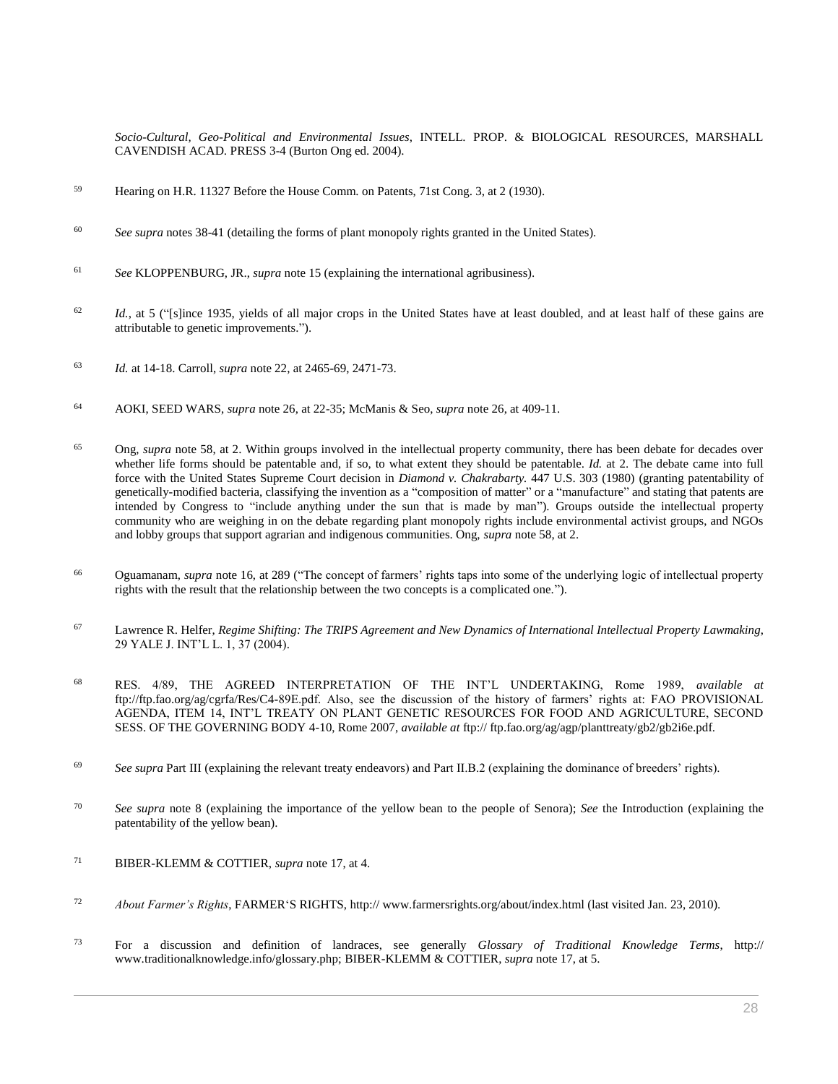*Socio-Cultural, Geo-Political and Environmental Issues*, INTELL. PROP. & BIOLOGICAL RESOURCES, MARSHALL CAVENDISH ACAD. PRESS 3-4 (Burton Ong ed. 2004).

- <sup>59</sup> Hearing on H.R. 11327 Before the House Comm. on Patents, 71st Cong. 3, at 2 (1930).
- <sup>60</sup> *See supra* notes 38-41 (detailing the forms of plant monopoly rights granted in the United States).
- <sup>61</sup> *See* KLOPPENBURG, JR., *supra* note 15 (explaining the international agribusiness).
- <sup>62</sup> *Id.*, at 5 ("[s]ince 1935, yields of all major crops in the United States have at least doubled, and at least half of these gains are attributable to genetic improvements.").
- <sup>63</sup> *Id.* at 14-18. Carroll, *supra* note 22, at 2465-69, 2471-73.
- <sup>64</sup> AOKI, SEED WARS, *supra* note 26, at 22-35; McManis & Seo, *supra* note 26, at 409-11.
- <sup>65</sup> Ong, *supra* note 58, at 2. Within groups involved in the intellectual property community, there has been debate for decades over whether life forms should be patentable and, if so, to what extent they should be patentable. *Id.* at 2. The debate came into full force with the United States Supreme Court decision in *[Diamond v. Chakrabarty.](http://www.westlaw.com/Link/Document/FullText?findType=Y&serNum=1980116775&pubNum=0000780&originatingDoc=I0ecc82a22df011e18b05fdf15589d8e8&refType=RP&originationContext=document&vr=3.0&rs=cblt1.0&transitionType=DocumentItem&contextData=(sc.Search))* 447 U.S. 303 (1980) (granting patentability of genetically-modified bacteria, classifying the invention as a "composition of matter" or a "manufacture" and stating that patents are intended by Congress to "include anything under the sun that is made by man"). Groups outside the intellectual property community who are weighing in on the debate regarding plant monopoly rights include environmental activist groups, and NGOs and lobby groups that support agrarian and indigenous communities. Ong, *supra* note 58, at 2.
- <sup>66</sup> Oguamanam, *supra* note 16, at 289 ("The concept of farmers' rights taps into some of the underlying logic of intellectual property rights with the result that the relationship between the two concepts is a complicated one.").
- <sup>67</sup> Lawrence R. Helfer, *[Regime Shifting: The TRIPS Agreement and New Dynamics of International Intellectual Property Lawmaking](http://www.westlaw.com/Link/Document/FullText?findType=Y&serNum=0297567915&pubNum=0100447&originatingDoc=I0ecc82a22df011e18b05fdf15589d8e8&refType=LR&fi=co_pp_sp_100447_37&originationContext=document&vr=3.0&rs=cblt1.0&transitionType=DocumentItem&contextData=(sc.Search)#co_pp_sp_100447_37)*, [29 YALE J. INT'L L. 1, 37 \(2004\).](http://www.westlaw.com/Link/Document/FullText?findType=Y&serNum=0297567915&pubNum=0100447&originatingDoc=I0ecc82a22df011e18b05fdf15589d8e8&refType=LR&fi=co_pp_sp_100447_37&originationContext=document&vr=3.0&rs=cblt1.0&transitionType=DocumentItem&contextData=(sc.Search)#co_pp_sp_100447_37)
- <sup>68</sup> RES. 4/89, THE AGREED INTERPRETATION OF THE INT'L UNDERTAKING, Rome 1989, *available at* ftp://ftp.fao.org/ag/cgrfa/Res/C4-89E.pdf. Also, see the discussion of the history of farmers' rights at: FAO PROVISIONAL AGENDA, ITEM 14, INT'L TREATY ON PLANT GENETIC RESOURCES FOR FOOD AND AGRICULTURE, SECOND SESS. OF THE GOVERNING BODY 4-10, Rome 2007, *available at* ftp:// ftp.fao.org/ag/agp/planttreaty/gb2/gb2i6e.pdf.
- <sup>69</sup> See supra Part III (explaining the relevant treaty endeavors) and Part II.B.2 (explaining the dominance of breeders' rights).
- <sup>70</sup> *See supra* note 8 (explaining the importance of the yellow bean to the people of Senora); *See* the Introduction (explaining the patentability of the yellow bean).
- <sup>71</sup> BIBER-KLEMM & COTTIER, *supra* note 17, at 4.
- <sup>72</sup> *About Farmer's Rights*, FARMER'S RIGHTS, http:// www.farmersrights.org/about/index.html (last visited Jan. 23, 2010).
- <sup>73</sup> For a discussion and definition of landraces, see generally *Glossary of Traditional Knowledge Terms*, http:// www.traditionalknowledge.info/glossary.php; BIBER-KLEMM & COTTIER, *supra* note 17, at 5.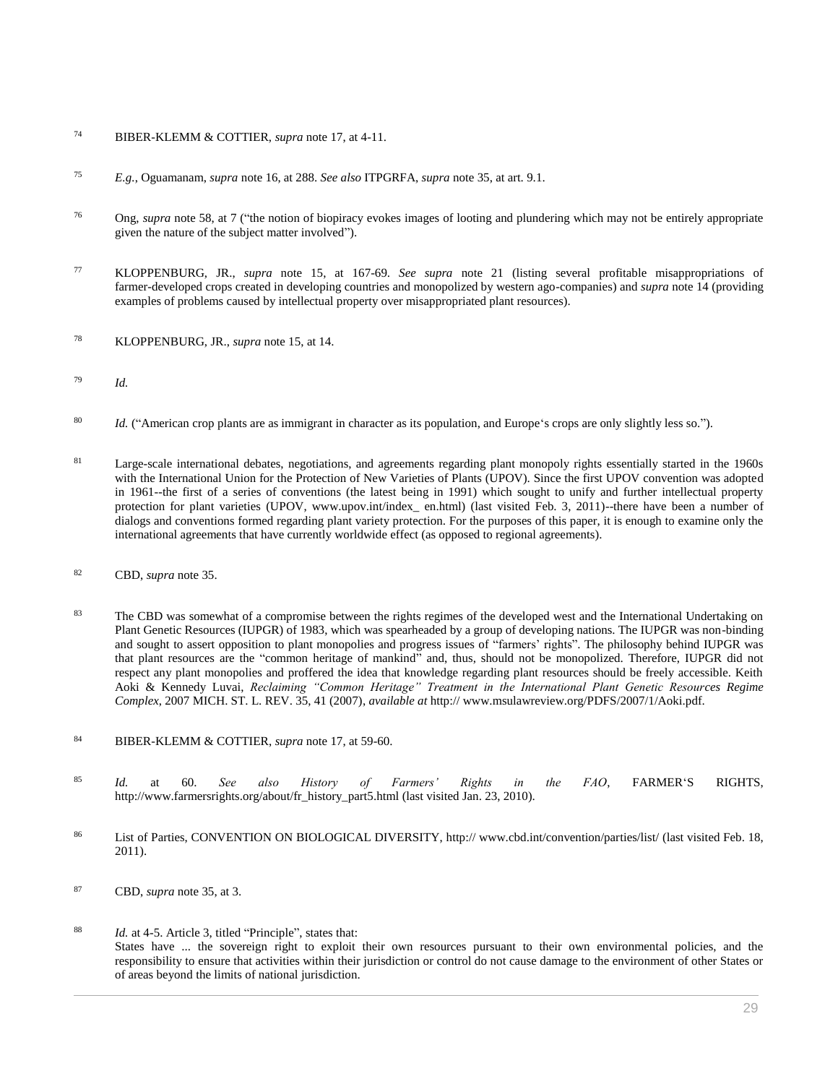- <sup>74</sup> BIBER-KLEMM & COTTIER, *supra* note 17, at 4-11.
- <sup>75</sup> *E.g.*, Oguamanam, *supra* note 16, at 288. *See also* ITPGRFA, *supra* note 35, at art. 9.1.
- <sup>76</sup> Ong, *supra* note 58, at 7 ("the notion of biopiracy evokes images of looting and plundering which may not be entirely appropriate given the nature of the subject matter involved").
- <sup>77</sup> KLOPPENBURG, JR., *supra* note 15, at 167-69. *See supra* note 21 (listing several profitable misappropriations of farmer-developed crops created in developing countries and monopolized by western ago-companies) and *supra* note 14 (providing examples of problems caused by intellectual property over misappropriated plant resources).
- <sup>78</sup> KLOPPENBURG, JR., *supra* note 15, at 14.
- <sup>79</sup> *Id.*
- <sup>80</sup> *Id.* ("American crop plants are as immigrant in character as its population, and Europe's crops are only slightly less so.").
- <sup>81</sup> Large-scale international debates, negotiations, and agreements regarding plant monopoly rights essentially started in the 1960s with the International Union for the Protection of New Varieties of Plants (UPOV). Since the first UPOV convention was adopted in 1961--the first of a series of conventions (the latest being in 1991) which sought to unify and further intellectual property protection for plant varieties (UPOV, www.upov.int/index\_ en.html) (last visited Feb. 3, 2011)--there have been a number of dialogs and conventions formed regarding plant variety protection. For the purposes of this paper, it is enough to examine only the international agreements that have currently worldwide effect (as opposed to regional agreements).
- <sup>82</sup> CBD, *supra* note 35.
- <sup>83</sup> The CBD was somewhat of a compromise between the rights regimes of the developed west and the International Undertaking on Plant Genetic Resources (IUPGR) of 1983, which was spearheaded by a group of developing nations. The IUPGR was non-binding and sought to assert opposition to plant monopolies and progress issues of "farmers' rights". The philosophy behind IUPGR was that plant resources are the "common heritage of mankind" and, thus, should not be monopolized. Therefore, IUPGR did not respect any plant monopolies and proffered the idea that knowledge regarding plant resources should be freely accessible. Keith Aoki & Kennedy Luvai, *[Reclaiming "Common Heritage" Treatment in the International Plant Genetic Resources Regime](http://www.westlaw.com/Link/Document/FullText?findType=Y&serNum=0335820030&pubNum=0168915&originatingDoc=I0ecc82a22df011e18b05fdf15589d8e8&refType=LR&fi=co_pp_sp_168915_41&originationContext=document&vr=3.0&rs=cblt1.0&transitionType=DocumentItem&contextData=(sc.Search)#co_pp_sp_168915_41)  Complex*[, 2007 MICH. ST. L. REV. 35, 41 \(2007\),](http://www.westlaw.com/Link/Document/FullText?findType=Y&serNum=0335820030&pubNum=0168915&originatingDoc=I0ecc82a22df011e18b05fdf15589d8e8&refType=LR&fi=co_pp_sp_168915_41&originationContext=document&vr=3.0&rs=cblt1.0&transitionType=DocumentItem&contextData=(sc.Search)#co_pp_sp_168915_41) *available at* http:// www.msulawreview.org/PDFS/2007/1/Aoki.pdf.
- <sup>84</sup> BIBER-KLEMM & COTTIER, *supra* note 17, at 59-60.
- <sup>85</sup> *Id.* at 60. *See also History of Farmers' Rights in the FAO*, FARMER'S RIGHTS, http://www.farmersrights.org/about/fr\_history\_part5.html (last visited Jan. 23, 2010).
- 86 List of Parties, CONVENTION ON BIOLOGICAL DIVERSITY, http:// www.cbd.int/convention/parties/list/ (last visited Feb. 18, 2011).
- <sup>87</sup> CBD, *supra* note 35, at 3.
- <sup>88</sup> *Id.* at 4-5. Article 3, titled "Principle", states that: States have ... the sovereign right to exploit their own resources pursuant to their own environmental policies, and the responsibility to ensure that activities within their jurisdiction or control do not cause damage to the environment of other States or of areas beyond the limits of national jurisdiction.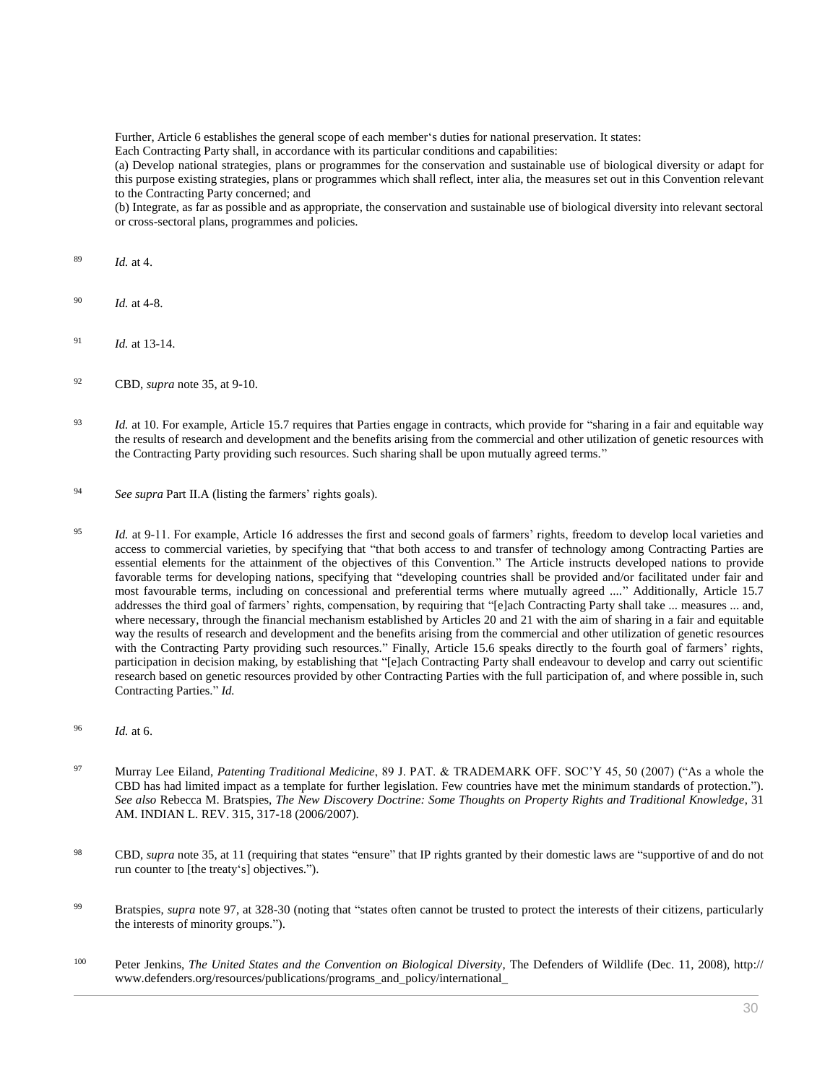Further, Article 6 establishes the general scope of each member's duties for national preservation. It states:

Each Contracting Party shall, in accordance with its particular conditions and capabilities:

(a) Develop national strategies, plans or programmes for the conservation and sustainable use of biological diversity or adapt for this purpose existing strategies, plans or programmes which shall reflect, inter alia, the measures set out in this Convention relevant to the Contracting Party concerned; and

(b) Integrate, as far as possible and as appropriate, the conservation and sustainable use of biological diversity into relevant sectoral or cross-sectoral plans, programmes and policies.

- <sup>89</sup> *Id.* at 4.
- <sup>90</sup> *Id.* at 4-8.
- <sup>91</sup> *Id.* at 13-14.
- <sup>92</sup> CBD, *supra* note 35, at 9-10.
- <sup>93</sup> *Id.* at 10. For example, Article 15.7 requires that Parties engage in contracts, which provide for "sharing in a fair and equitable way the results of research and development and the benefits arising from the commercial and other utilization of genetic resources with the Contracting Party providing such resources. Such sharing shall be upon mutually agreed terms."
- <sup>94</sup> *See supra* Part II.A (listing the farmers' rights goals).
- <sup>95</sup> *Id.* at 9-11. For example, Article 16 addresses the first and second goals of farmers' rights, freedom to develop local varieties and access to commercial varieties, by specifying that "that both access to and transfer of technology among Contracting Parties are essential elements for the attainment of the objectives of this Convention." The Article instructs developed nations to provide favorable terms for developing nations, specifying that "developing countries shall be provided and/or facilitated under fair and most favourable terms, including on concessional and preferential terms where mutually agreed ...." Additionally, Article 15.7 addresses the third goal of farmers' rights, compensation, by requiring that "[e]ach Contracting Party shall take ... measures ... and, where necessary, through the financial mechanism established by Articles 20 and 21 with the aim of sharing in a fair and equitable way the results of research and development and the benefits arising from the commercial and other utilization of genetic resources with the Contracting Party providing such resources." Finally, Article 15.6 speaks directly to the fourth goal of farmers' rights, participation in decision making, by establishing that "[e]ach Contracting Party shall endeavour to develop and carry out scientific research based on genetic resources provided by other Contracting Parties with the full participation of, and where possible in, such Contracting Parties." *Id.*
- <sup>96</sup> *Id.* at 6.
- <sup>97</sup> Murray Lee Eiland, *Patenting Traditional Medicine*[, 89 J. PAT. & TRADEMARK OFF. SOC'Y 45, 50 \(2007\)](http://www.westlaw.com/Link/Document/FullText?findType=Y&serNum=0330888071&pubNum=0004353&originatingDoc=I0ecc82a22df011e18b05fdf15589d8e8&refType=LR&fi=co_pp_sp_4353_50&originationContext=document&vr=3.0&rs=cblt1.0&transitionType=DocumentItem&contextData=(sc.Search)#co_pp_sp_4353_50) ("As a whole the CBD has had limited impact as a template for further legislation. Few countries have met the minimum standards of protection."). *See also* Rebecca M. Bratspies, *[The New Discovery Doctrine: Some Thoughts on Property Rights and Traditional Knowledge](http://www.westlaw.com/Link/Document/FullText?findType=Y&serNum=0333553486&pubNum=0001087&originatingDoc=I0ecc82a22df011e18b05fdf15589d8e8&refType=LR&fi=co_pp_sp_1087_317&originationContext=document&vr=3.0&rs=cblt1.0&transitionType=DocumentItem&contextData=(sc.Search)#co_pp_sp_1087_317)*, 31 [AM. INDIAN L. REV. 315, 317-18 \(2006/2007\).](http://www.westlaw.com/Link/Document/FullText?findType=Y&serNum=0333553486&pubNum=0001087&originatingDoc=I0ecc82a22df011e18b05fdf15589d8e8&refType=LR&fi=co_pp_sp_1087_317&originationContext=document&vr=3.0&rs=cblt1.0&transitionType=DocumentItem&contextData=(sc.Search)#co_pp_sp_1087_317)
- <sup>98</sup> CBD, *supra* note 35, at 11 (requiring that states "ensure" that IP rights granted by their domestic laws are "supportive of and do not run counter to [the treaty's] objectives.").
- <sup>99</sup> Bratspies, *supra* note 97, at 328-30 (noting that "states often cannot be trusted to protect the interests of their citizens, particularly the interests of minority groups.").
- <sup>100</sup> Peter Jenkins, *The United States and the Convention on Biological Diversity*, The Defenders of Wildlife (Dec. 11, 2008), http:// www.defenders.org/resources/publications/programs\_and\_policy/international\_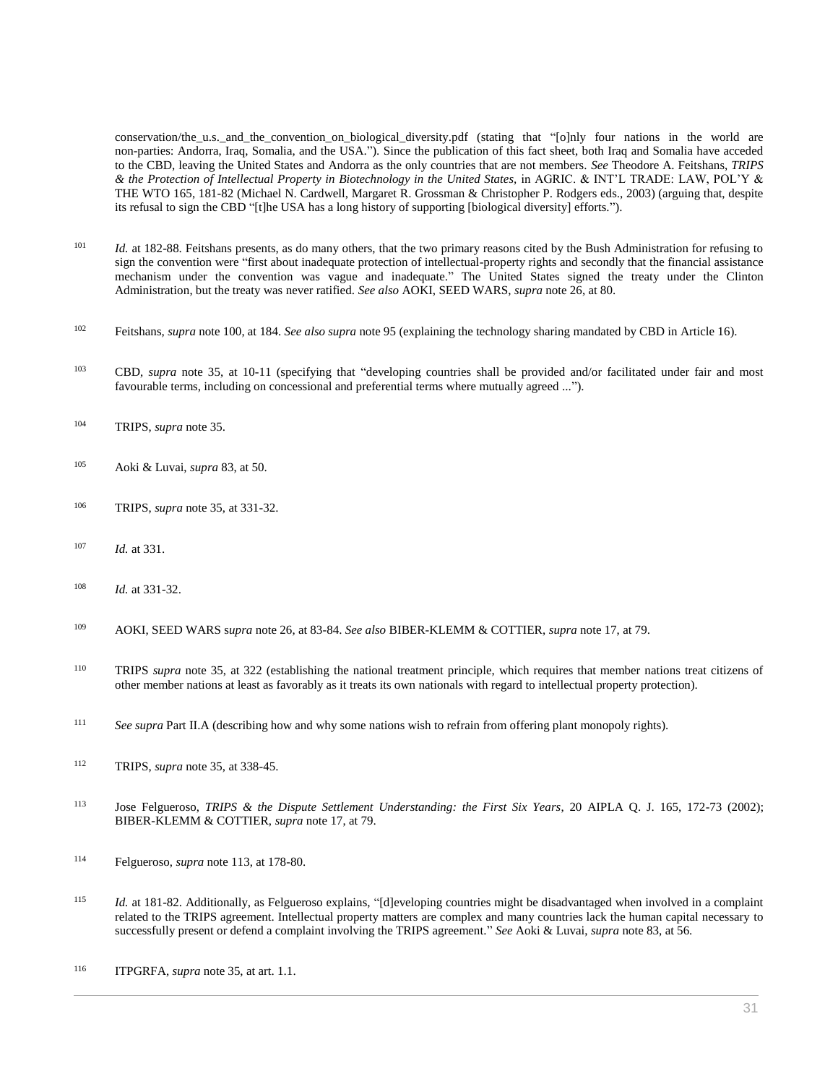conservation/the\_u.s.\_and\_the\_convention\_on\_biological\_diversity.pdf (stating that "[o]nly four nations in the world are non-parties: Andorra, Iraq, Somalia, and the USA."). Since the publication of this fact sheet, both Iraq and Somalia have acceded to the CBD, leaving the United States and Andorra as the only countries that are not members. *See* Theodore A. Feitshans, *TRIPS & the Protection of Intellectual Property in Biotechnology in the United States,* in AGRIC. & INT'L TRADE: LAW, POL'Y & THE WTO 165, 181-82 (Michael N. Cardwell, Margaret R. Grossman & Christopher P. Rodgers eds., 2003) (arguing that, despite its refusal to sign the CBD "[t]he USA has a long history of supporting [biological diversity] efforts.").

- <sup>101</sup> *Id.* at 182-88. Feitshans presents, as do many others, that the two primary reasons cited by the Bush Administration for refusing to sign the convention were "first about inadequate protection of intellectual-property rights and secondly that the financial assistance mechanism under the convention was vague and inadequate." The United States signed the treaty under the Clinton Administration, but the treaty was never ratified. *See also* AOKI, SEED WARS, *supra* note 26, at 80.
- <sup>102</sup> Feitshans, *supra* note 100, at 184. *See also supra* note 95 (explaining the technology sharing mandated by CBD in Article 16).
- <sup>103</sup> CBD, *supra* note 35, at 10-11 (specifying that "developing countries shall be provided and/or facilitated under fair and most favourable terms, including on concessional and preferential terms where mutually agreed ...").
- <sup>104</sup> TRIPS, *supra* note 35.
- <sup>105</sup> Aoki & Luvai, *supra* 83, at 50.
- <sup>106</sup> TRIPS, *supra* note 35, at 331-32.
- <sup>107</sup> *Id.* at 331.
- <sup>108</sup> *Id.* at 331-32.
- <sup>109</sup> AOKI, SEED WARS s*upra* note 26, at 83-84. *See also* BIBER-KLEMM & COTTIER, *supra* note 17, at 79.
- <sup>110</sup> TRIPS *supra* note 35, at 322 (establishing the national treatment principle, which requires that member nations treat citizens of other member nations at least as favorably as it treats its own nationals with regard to intellectual property protection).
- <sup>111</sup> *See supra* Part II.A (describing how and why some nations wish to refrain from offering plant monopoly rights).
- <sup>112</sup> TRIPS, *supra* note 35, at 338-45.
- <sup>113</sup> Jose Felgueroso, *TRIPS & the Dispute Settlement Understanding: the First Six Years*, 20 AIPLA Q. J. 165, 172-73 (2002); BIBER-KLEMM & COTTIER, *supra* note 17, at 79.
- <sup>114</sup> Felgueroso, *supra* note 113, at 178-80.
- <sup>115</sup> *Id.* at 181-82. Additionally, as Felgueroso explains, "[d]eveloping countries might be disadvantaged when involved in a complaint related to the TRIPS agreement. Intellectual property matters are complex and many countries lack the human capital necessary to successfully present or defend a complaint involving the TRIPS agreement." *See* Aoki & Luvai, *supra* note 83, at 56.
- <sup>116</sup> ITPGRFA, *supra* note 35, at art. 1.1.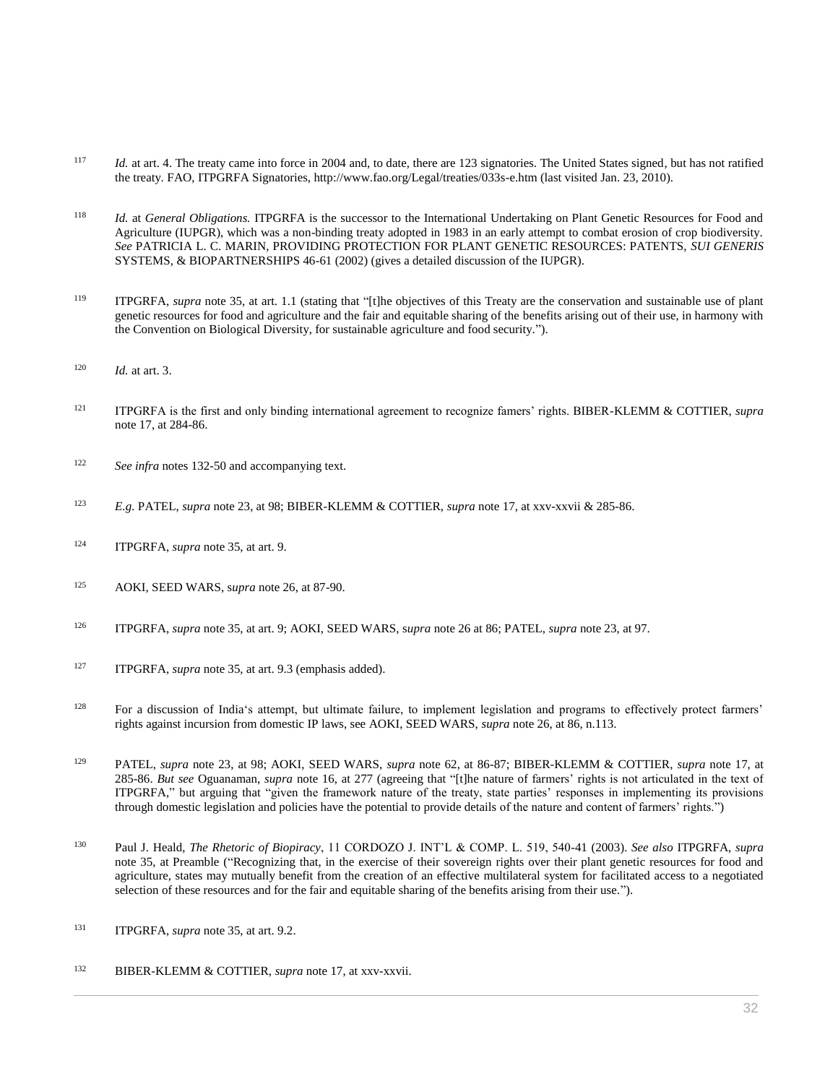- <sup>117</sup> *Id.* at art. 4. The treaty came into force in 2004 and, to date, there are 123 signatories. The United States signed, but has not ratified the treaty. FAO, ITPGRFA Signatories, http://www.fao.org/Legal/treaties/033s-e.htm (last visited Jan. 23, 2010).
- <sup>118</sup> *Id.* at *General Obligations.* ITPGRFA is the successor to the International Undertaking on Plant Genetic Resources for Food and Agriculture (IUPGR), which was a non-binding treaty adopted in 1983 in an early attempt to combat erosion of crop biodiversity. *See* PATRICIA L. C. MARIN, PROVIDING PROTECTION FOR PLANT GENETIC RESOURCES: PATENTS, *SUI GENERIS* SYSTEMS, & BIOPARTNERSHIPS 46-61 (2002) (gives a detailed discussion of the IUPGR).
- <sup>119</sup> ITPGRFA, *supra* note 35, at art. 1.1 (stating that "[t]he objectives of this Treaty are the conservation and sustainable use of plant genetic resources for food and agriculture and the fair and equitable sharing of the benefits arising out of their use, in harmony with the Convention on Biological Diversity, for sustainable agriculture and food security.").
- <sup>120</sup> *Id.* at art. 3.
- <sup>121</sup> ITPGRFA is the first and only binding international agreement to recognize famers' rights. BIBER-KLEMM & COTTIER, *supra* note 17, at 284-86.
- <sup>122</sup> *See infra* notes 132-50 and accompanying text.
- <sup>123</sup> *E.g.* PATEL, *supra* note 23, at 98; BIBER-KLEMM & COTTIER, *supra* note 17, at xxv-xxvii & 285-86.
- <sup>124</sup> ITPGRFA, *supra* note 35, at art. 9.
- <sup>125</sup> AOKI, SEED WARS, s*upra* note 26, at 87-90.
- <sup>126</sup> ITPGRFA, *supra* note 35, at art. 9; AOKI, SEED WARS, s*upra* note 26 at 86; PATEL, *supra* note 23, at 97.
- <sup>127</sup> ITPGRFA, *supra* note 35, at art. 9.3 (emphasis added).
- <sup>128</sup> For a discussion of India's attempt, but ultimate failure, to implement legislation and programs to effectively protect farmers' rights against incursion from domestic IP laws, see AOKI, SEED WARS, *supra* note 26, at 86, n.113.
- <sup>129</sup> PATEL, *supra* note 23, at 98; AOKI, SEED WARS, *supra* note 62, at 86-87; BIBER-KLEMM & COTTIER, *supra* note 17, at 285-86. *But see* Oguanaman, *supra* note 16, at 277 (agreeing that "[t]he nature of farmers' rights is not articulated in the text of ITPGRFA," but arguing that "given the framework nature of the treaty, state parties' responses in implementing its provisions through domestic legislation and policies have the potential to provide details of the nature and content of farmers' rights.")
- <sup>130</sup> Paul J. Heald, *The Rhetoric of Biopiracy*, 11 CORDOZO J. INT'L & COMP. L. 519, 540-41 (2003). *See also* ITPGRFA, *supra* note 35, at Preamble ("Recognizing that, in the exercise of their sovereign rights over their plant genetic resources for food and agriculture, states may mutually benefit from the creation of an effective multilateral system for facilitated access to a negotiated selection of these resources and for the fair and equitable sharing of the benefits arising from their use.").
- <sup>131</sup> ITPGRFA, *supra* note 35, at art. 9.2.
- <sup>132</sup> BIBER-KLEMM & COTTIER, *supra* note 17, at xxv-xxvii.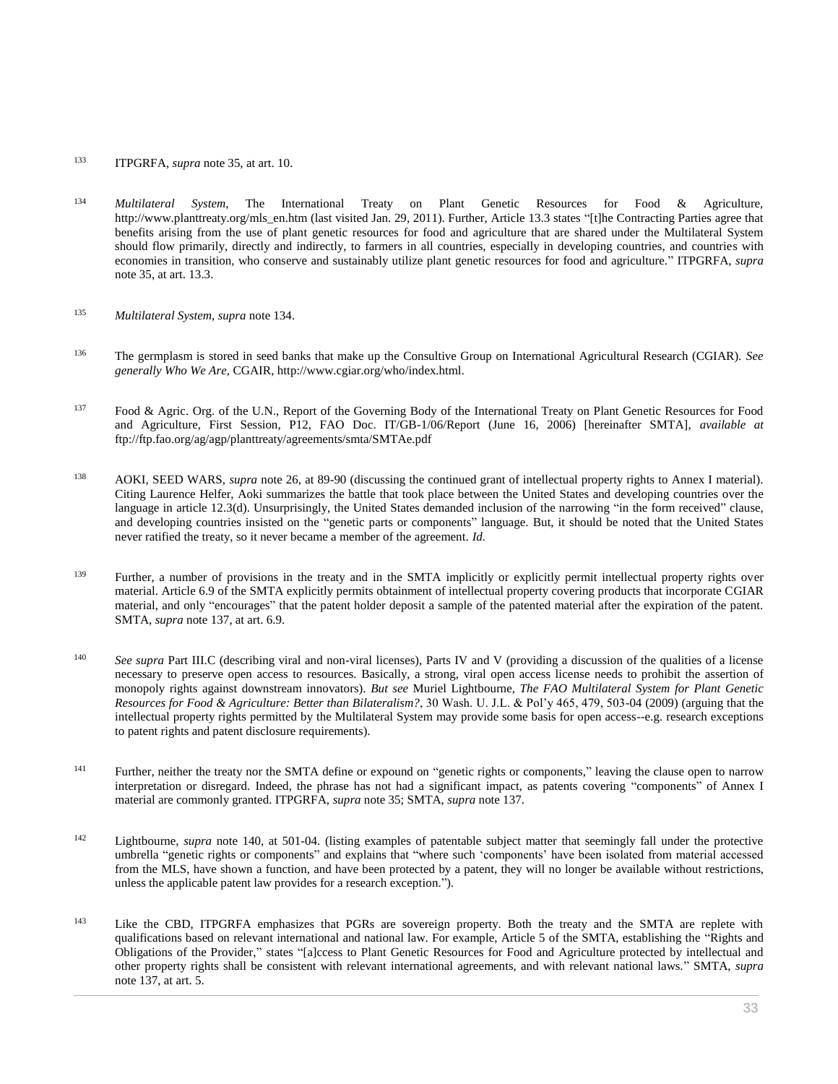- <sup>133</sup> ITPGRFA, *supra* note 35, at art. 10.
- <sup>134</sup> *Multilateral System*, The International Treaty on Plant Genetic Resources for Food & Agriculture, http://www.planttreaty.org/mls\_en.htm (last visited Jan. 29, 2011). Further, Article 13.3 states "[t]he Contracting Parties agree that benefits arising from the use of plant genetic resources for food and agriculture that are shared under the Multilateral System should flow primarily, directly and indirectly, to farmers in all countries, especially in developing countries, and countries with economies in transition, who conserve and sustainably utilize plant genetic resources for food and agriculture." ITPGRFA, *supra* note 35, at art. 13.3.
- <sup>135</sup> *Multilateral System*, *supra* note 134.
- <sup>136</sup> The germplasm is stored in seed banks that make up the Consultive Group on International Agricultural Research (CGIAR). *See generally Who We Are,* CGAIR, http://www.cgiar.org/who/index.html.
- <sup>137</sup> Food & Agric. Org. of the U.N., Report of the Governing Body of the International Treaty on Plant Genetic Resources for Food and Agriculture, First Session, P12, FAO Doc. IT/GB-1/06/Report (June 16, 2006) [hereinafter SMTA], *available at* ftp://ftp.fao.org/ag/agp/planttreaty/agreements/smta/SMTAe.pdf
- <sup>138</sup> AOKI, SEED WARS, *supra* note 26, at 89-90 (discussing the continued grant of intellectual property rights to Annex I material). Citing Laurence Helfer, Aoki summarizes the battle that took place between the United States and developing countries over the language in article 12.3(d). Unsurprisingly, the United States demanded inclusion of the narrowing "in the form received" clause, and developing countries insisted on the "genetic parts or components" language. But, it should be noted that the United States never ratified the treaty, so it never became a member of the agreement. *Id.*
- <sup>139</sup> Further, a number of provisions in the treaty and in the SMTA implicitly or explicitly permit intellectual property rights over material. Article 6.9 of the SMTA explicitly permits obtainment of intellectual property covering products that incorporate CGIAR material, and only "encourages" that the patent holder deposit a sample of the patented material after the expiration of the patent. SMTA, *supra* note 137, at art. 6.9.
- <sup>140</sup> *See supra* Part III.C (describing viral and non-viral licenses), Parts IV and V (providing a discussion of the qualities of a license necessary to preserve open access to resources. Basically, a strong, viral open access license needs to prohibit the assertion of monopoly rights against downstream innovators). *But see* Muriel Lightbourne, *[The FAO Multilateral System for Plant Genetic](http://www.westlaw.com/Link/Document/FullText?findType=Y&serNum=0346587056&pubNum=0127507&originatingDoc=I0ecc82a22df011e18b05fdf15589d8e8&refType=LR&fi=co_pp_sp_127507_479&originationContext=document&vr=3.0&rs=cblt1.0&transitionType=DocumentItem&contextData=(sc.Search)#co_pp_sp_127507_479)  [Resources for Food & Agriculture: Better than Bilateralism?](http://www.westlaw.com/Link/Document/FullText?findType=Y&serNum=0346587056&pubNum=0127507&originatingDoc=I0ecc82a22df011e18b05fdf15589d8e8&refType=LR&fi=co_pp_sp_127507_479&originationContext=document&vr=3.0&rs=cblt1.0&transitionType=DocumentItem&contextData=(sc.Search)#co_pp_sp_127507_479)*, 30 Wash. U. J.L. & Pol'y 465, 479, 503-04 (2009) (arguing that the intellectual property rights permitted by the Multilateral System may provide some basis for open access--e.g. research exceptions to patent rights and patent disclosure requirements).
- <sup>141</sup> Further, neither the treaty nor the SMTA define or expound on "genetic rights or components," leaving the clause open to narrow interpretation or disregard. Indeed, the phrase has not had a significant impact, as patents covering "components" of Annex I material are commonly granted. ITPGRFA, *supra* note 35; SMTA, *supra* note 137.
- <sup>142</sup> Lightbourne, *supra* note 140, at 501-04. (listing examples of patentable subject matter that seemingly fall under the protective umbrella "genetic rights or components" and explains that "where such 'components' have been isolated from material accessed from the MLS, have shown a function, and have been protected by a patent, they will no longer be available without restrictions, unless the applicable patent law provides for a research exception.").
- <sup>143</sup> Like the CBD, ITPGRFA emphasizes that PGRs are sovereign property. Both the treaty and the SMTA are replete with qualifications based on relevant international and national law. For example, Article 5 of the SMTA, establishing the "Rights and Obligations of the Provider," states "[a]ccess to Plant Genetic Resources for Food and Agriculture protected by intellectual and other property rights shall be consistent with relevant international agreements, and with relevant national laws." SMTA, *supra* note 137, at art. 5.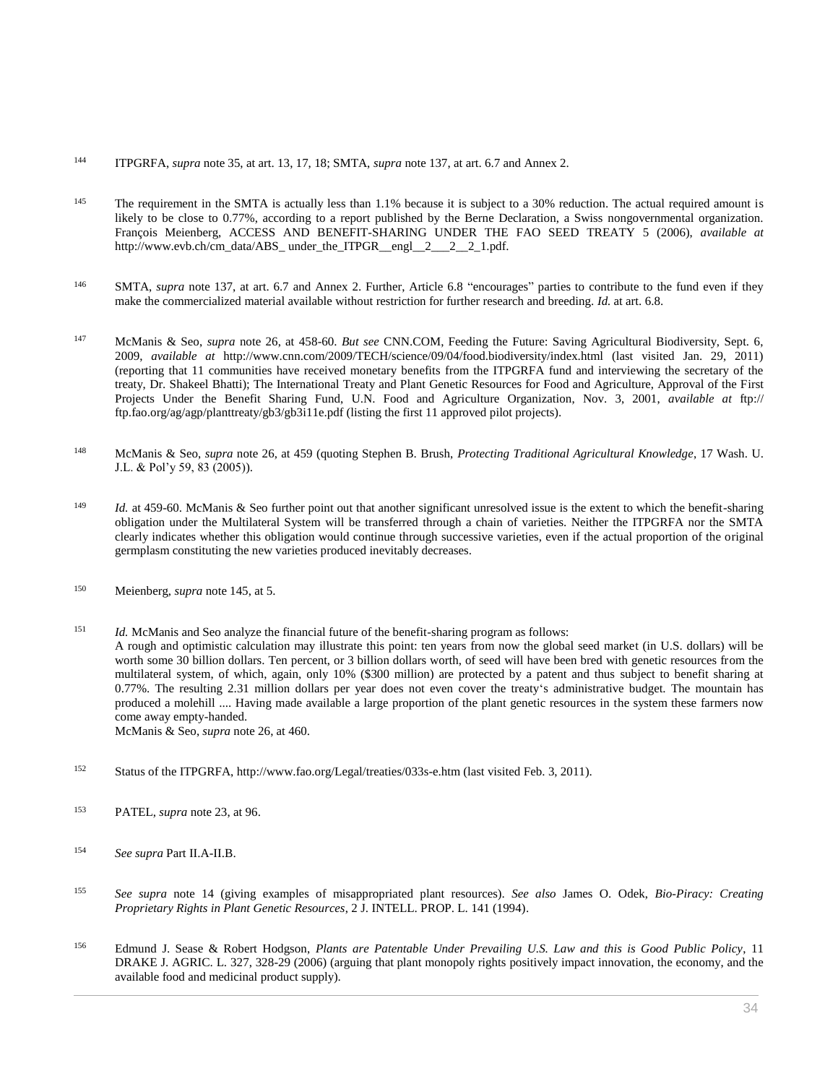- <sup>144</sup> ITPGRFA, *supra* note 35, at art. 13, 17, 18; SMTA, *supra* note 137, at art. 6.7 and Annex 2.
- <sup>145</sup> The requirement in the SMTA is actually less than 1.1% because it is subject to a 30% reduction. The actual required amount is likely to be close to 0.77%, according to a report published by the Berne Declaration, a Swiss nongovernmental organization. François Meienberg, ACCESS AND BENEFIT-SHARING UNDER THE FAO SEED TREATY 5 (2006), *available at* http://www.evb.ch/cm\_data/ABS\_under\_the\_ITPGR\_\_engl\_\_2\_\_\_2\_2\_1.pdf.
- <sup>146</sup> SMTA, *supra* note 137, at art. 6.7 and Annex 2. Further, Article 6.8 "encourages" parties to contribute to the fund even if they make the commercialized material available without restriction for further research and breeding. *Id.* at art. 6.8.
- <sup>147</sup> McManis & Seo, *supra* note 26, at 458-60. *But see* CNN.COM, Feeding the Future: Saving Agricultural Biodiversity, Sept. 6, 2009, *available at* http://www.cnn.com/2009/TECH/science/09/04/food.biodiversity/index.html (last visited Jan. 29, 2011) (reporting that 11 communities have received monetary benefits from the ITPGRFA fund and interviewing the secretary of the treaty, Dr. Shakeel Bhatti); The International Treaty and Plant Genetic Resources for Food and Agriculture, Approval of the First Projects Under the Benefit Sharing Fund, U.N. Food and Agriculture Organization, Nov. 3, 2001, *available at* ftp:// ftp.fao.org/ag/agp/planttreaty/gb3/gb3i11e.pdf (listing the first 11 approved pilot projects).
- <sup>148</sup> McManis & Seo, *supra* note 26, at 459 (quoting Stephen B. Brush, *[Protecting Traditional Agricultural Knowledge](http://www.westlaw.com/Link/Document/FullText?findType=Y&serNum=0304555206&pubNum=0127507&originatingDoc=I0ecc82a22df011e18b05fdf15589d8e8&refType=LR&fi=co_pp_sp_127507_83&originationContext=document&vr=3.0&rs=cblt1.0&transitionType=DocumentItem&contextData=(sc.Search)#co_pp_sp_127507_83)*, 17 Wash. U. [J.L. & Pol'y 59, 83 \(2005\)\)](http://www.westlaw.com/Link/Document/FullText?findType=Y&serNum=0304555206&pubNum=0127507&originatingDoc=I0ecc82a22df011e18b05fdf15589d8e8&refType=LR&fi=co_pp_sp_127507_83&originationContext=document&vr=3.0&rs=cblt1.0&transitionType=DocumentItem&contextData=(sc.Search)#co_pp_sp_127507_83).
- <sup>149</sup> *Id.* at 459-60. McManis & Seo further point out that another significant unresolved issue is the extent to which the benefit-sharing obligation under the Multilateral System will be transferred through a chain of varieties. Neither the ITPGRFA nor the SMTA clearly indicates whether this obligation would continue through successive varieties, even if the actual proportion of the original germplasm constituting the new varieties produced inevitably decreases.
- <sup>150</sup> Meienberg, *supra* note 145, at 5.
- <sup>151</sup> *Id.* McManis and Seo analyze the financial future of the benefit-sharing program as follows: A rough and optimistic calculation may illustrate this point: ten years from now the global seed market (in U.S. dollars) will be worth some 30 billion dollars. Ten percent, or 3 billion dollars worth, of seed will have been bred with genetic resources from the multilateral system, of which, again, only 10% (\$300 million) are protected by a patent and thus subject to benefit sharing at 0.77%. The resulting 2.31 million dollars per year does not even cover the treaty's administrative budget. The mountain has produced a molehill .... Having made available a large proportion of the plant genetic resources in the system these farmers now come away empty-handed. McManis & Seo, *supra* note 26, at 460.
- <sup>152</sup> Status of the ITPGRFA, http://www.fao.org/Legal/treaties/033s-e.htm (last visited Feb. 3, 2011).
- <sup>153</sup> PATEL, *supra* note 23, at 96.
- <sup>154</sup> *See supra* Part II.A-II.B.
- <sup>155</sup> *See supra* note 14 (giving examples of misappropriated plant resources). *See also* James O. Odek, *[Bio-Piracy: Creating](http://www.westlaw.com/Link/Document/FullText?findType=Y&serNum=0104940508&pubNum=103017&originatingDoc=I0ecc82a22df011e18b05fdf15589d8e8&refType=LR&originationContext=document&vr=3.0&rs=cblt1.0&transitionType=DocumentItem&contextData=(sc.Search))  [Proprietary Rights in Plant Genetic Resources](http://www.westlaw.com/Link/Document/FullText?findType=Y&serNum=0104940508&pubNum=103017&originatingDoc=I0ecc82a22df011e18b05fdf15589d8e8&refType=LR&originationContext=document&vr=3.0&rs=cblt1.0&transitionType=DocumentItem&contextData=(sc.Search))*, 2 J. INTELL. PROP. L. 141 (1994).
- <sup>156</sup> Edmund J. Sease & Robert Hodgson, *[Plants are Patentable Under Prevailing U.S. Law and this is Good Public Policy](http://www.westlaw.com/Link/Document/FullText?findType=Y&serNum=0330246918&pubNum=0111483&originatingDoc=I0ecc82a22df011e18b05fdf15589d8e8&refType=LR&fi=co_pp_sp_111483_328&originationContext=document&vr=3.0&rs=cblt1.0&transitionType=DocumentItem&contextData=(sc.Search)#co_pp_sp_111483_328)*, 11 [DRAKE J. AGRIC. L. 327, 328-29 \(2006\)](http://www.westlaw.com/Link/Document/FullText?findType=Y&serNum=0330246918&pubNum=0111483&originatingDoc=I0ecc82a22df011e18b05fdf15589d8e8&refType=LR&fi=co_pp_sp_111483_328&originationContext=document&vr=3.0&rs=cblt1.0&transitionType=DocumentItem&contextData=(sc.Search)#co_pp_sp_111483_328) (arguing that plant monopoly rights positively impact innovation, the economy, and the available food and medicinal product supply).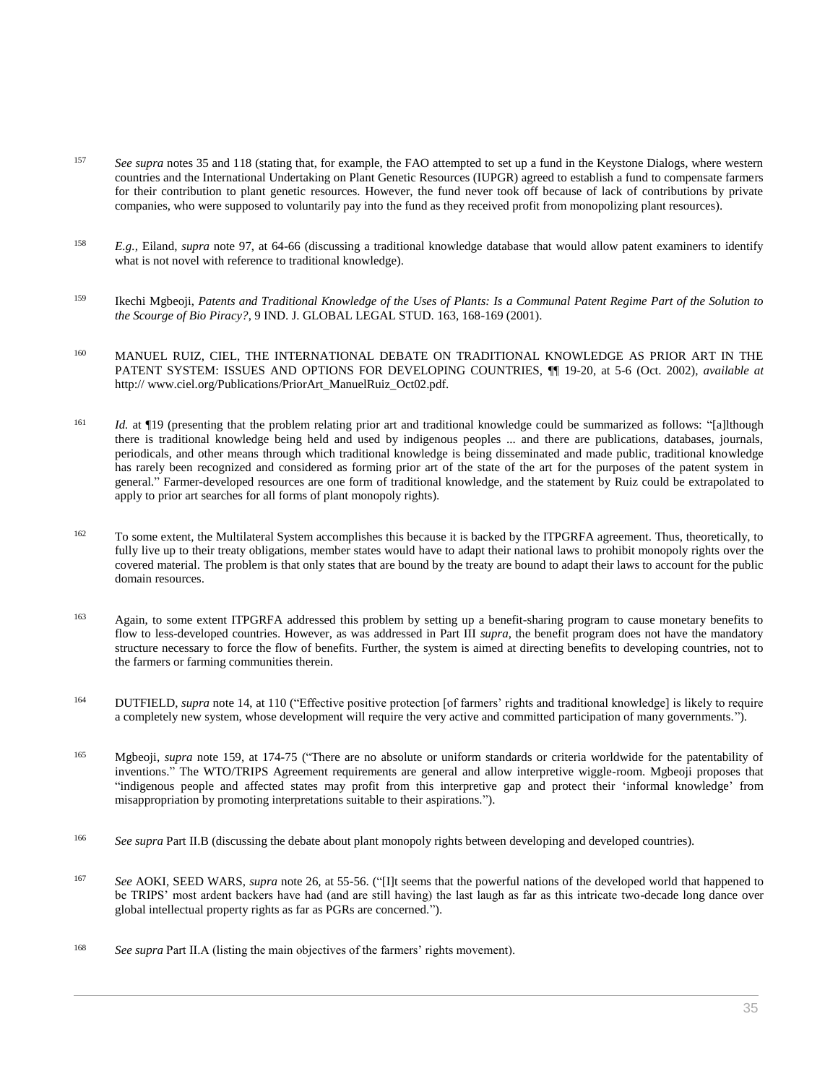- <sup>157</sup> *See supra* notes 35 and 118 (stating that, for example, the FAO attempted to set up a fund in the Keystone Dialogs, where western countries and the International Undertaking on Plant Genetic Resources (IUPGR) agreed to establish a fund to compensate farmers for their contribution to plant genetic resources. However, the fund never took off because of lack of contributions by private companies, who were supposed to voluntarily pay into the fund as they received profit from monopolizing plant resources).
- <sup>158</sup> *E.g.,* Eiland, *supra* note 97, at 64-66 (discussing a traditional knowledge database that would allow patent examiners to identify what is not novel with reference to traditional knowledge).
- <sup>159</sup> Ikechi Mgbeoji, *[Patents and Traditional Knowledge of the Uses of Plants: Is a Communal Patent Regime Part of the Solution to](http://www.westlaw.com/Link/Document/FullText?findType=Y&serNum=0288200036&pubNum=0102204&originatingDoc=I0ecc82a22df011e18b05fdf15589d8e8&refType=LR&fi=co_pp_sp_102204_168&originationContext=document&vr=3.0&rs=cblt1.0&transitionType=DocumentItem&contextData=(sc.Search)#co_pp_sp_102204_168)  the Scourge of Bio Piracy?*[, 9 IND. J. GLOBAL LEGAL STUD. 163, 168-169 \(2001\).](http://www.westlaw.com/Link/Document/FullText?findType=Y&serNum=0288200036&pubNum=0102204&originatingDoc=I0ecc82a22df011e18b05fdf15589d8e8&refType=LR&fi=co_pp_sp_102204_168&originationContext=document&vr=3.0&rs=cblt1.0&transitionType=DocumentItem&contextData=(sc.Search)#co_pp_sp_102204_168)
- 160 MANUEL RUIZ, CIEL, THE INTERNATIONAL DEBATE ON TRADITIONAL KNOWLEDGE AS PRIOR ART IN THE PATENT SYSTEM: ISSUES AND OPTIONS FOR DEVELOPING COUNTRIES, ¶¶ 19-20, at 5-6 (Oct. 2002), *available at* http:// www.ciel.org/Publications/PriorArt\_ManuelRuiz\_Oct02.pdf.
- <sup>161</sup> *Id.* at ¶19 (presenting that the problem relating prior art and traditional knowledge could be summarized as follows: "[a]lthough there is traditional knowledge being held and used by indigenous peoples ... and there are publications, databases, journals, periodicals, and other means through which traditional knowledge is being disseminated and made public, traditional knowledge has rarely been recognized and considered as forming prior art of the state of the art for the purposes of the patent system in general." Farmer-developed resources are one form of traditional knowledge, and the statement by Ruiz could be extrapolated to apply to prior art searches for all forms of plant monopoly rights).
- <sup>162</sup> To some extent, the Multilateral System accomplishes this because it is backed by the ITPGRFA agreement. Thus, theoretically, to fully live up to their treaty obligations, member states would have to adapt their national laws to prohibit monopoly rights over the covered material. The problem is that only states that are bound by the treaty are bound to adapt their laws to account for the public domain resources.
- 163 Again, to some extent ITPGRFA addressed this problem by setting up a benefit-sharing program to cause monetary benefits to flow to less-developed countries. However, as was addressed in Part III *supra*, the benefit program does not have the mandatory structure necessary to force the flow of benefits. Further, the system is aimed at directing benefits to developing countries, not to the farmers or farming communities therein.
- <sup>164</sup> DUTFIELD, *supra* note 14, at 110 ("Effective positive protection [of farmers' rights and traditional knowledge] is likely to require a completely new system, whose development will require the very active and committed participation of many governments.").
- <sup>165</sup> Mgbeoji, *supra* note 159, at 174-75 ("There are no absolute or uniform standards or criteria worldwide for the patentability of inventions." The WTO/TRIPS Agreement requirements are general and allow interpretive wiggle-room. Mgbeoji proposes that "indigenous people and affected states may profit from this interpretive gap and protect their 'informal knowledge' from misappropriation by promoting interpretations suitable to their aspirations.").
- <sup>166</sup> *See supra* Part II.B (discussing the debate about plant monopoly rights between developing and developed countries).
- <sup>167</sup> *See* AOKI, SEED WARS, *supra* note 26, at 55-56. ("[I]t seems that the powerful nations of the developed world that happened to be TRIPS' most ardent backers have had (and are still having) the last laugh as far as this intricate two-decade long dance over global intellectual property rights as far as PGRs are concerned.").
- <sup>168</sup> *See supra* Part II.A (listing the main objectives of the farmers' rights movement).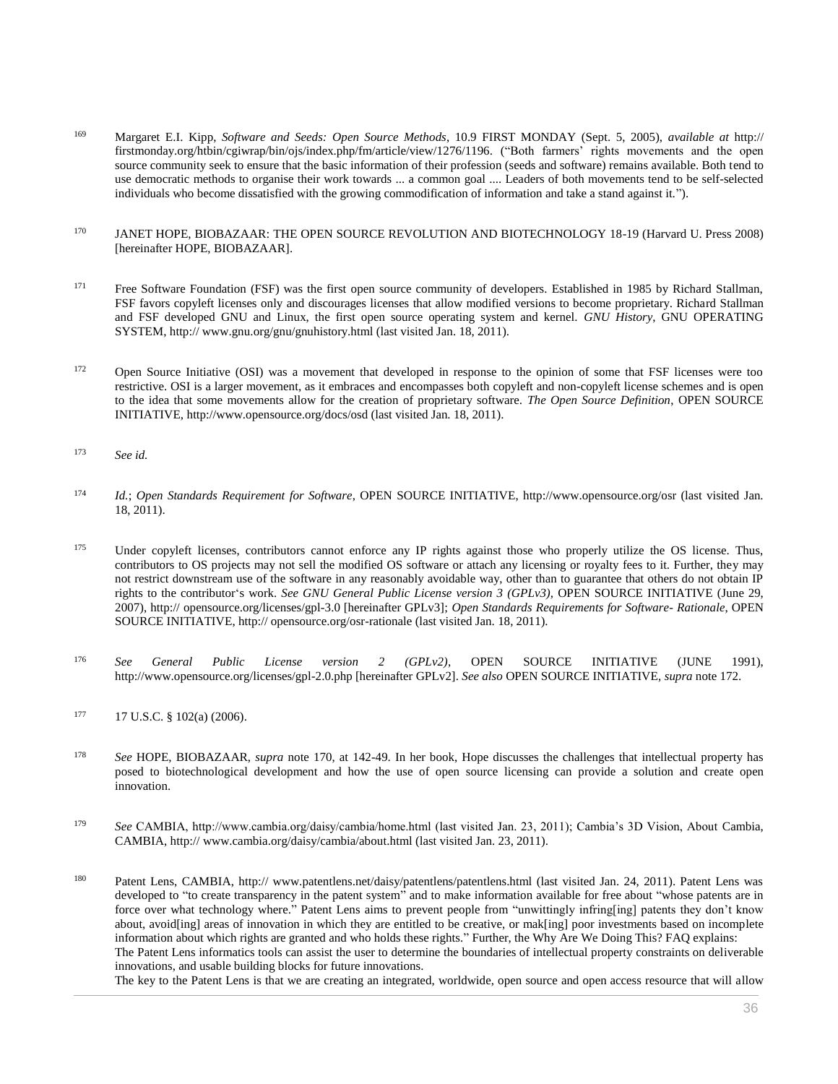- <sup>169</sup> Margaret E.I. Kipp, *Software and Seeds: Open Source Methods*, 10.9 FIRST MONDAY (Sept. 5, 2005), *available at* http:// firstmonday.org/htbin/cgiwrap/bin/ojs/index.php/fm/article/view/1276/1196. ("Both farmers' rights movements and the open source community seek to ensure that the basic information of their profession (seeds and software) remains available. Both tend to use democratic methods to organise their work towards ... a common goal .... Leaders of both movements tend to be self-selected individuals who become dissatisfied with the growing commodification of information and take a stand against it.").
- <sup>170</sup> JANET HOPE, BIOBAZAAR: THE OPEN SOURCE REVOLUTION AND BIOTECHNOLOGY 18-19 (Harvard U. Press 2008) [hereinafter HOPE, BIOBAZAAR].
- <sup>171</sup> Free Software Foundation (FSF) was the first open source community of developers. Established in 1985 by Richard Stallman, FSF favors copyleft licenses only and discourages licenses that allow modified versions to become proprietary. Richard Stallman and FSF developed GNU and Linux, the first open source operating system and kernel. *GNU History*, GNU OPERATING SYSTEM, http:// www.gnu.org/gnu/gnuhistory.html (last visited Jan. 18, 2011).
- <sup>172</sup> Open Source Initiative (OSI) was a movement that developed in response to the opinion of some that FSF licenses were too restrictive. OSI is a larger movement, as it embraces and encompasses both copyleft and non-copyleft license schemes and is open to the idea that some movements allow for the creation of proprietary software. *The Open Source Definition*, OPEN SOURCE INITIATIVE, http://www.opensource.org/docs/osd (last visited Jan. 18, 2011).
- <sup>173</sup> *See id.*
- <sup>174</sup> *Id.*; *Open Standards Requirement for Software*, OPEN SOURCE INITIATIVE, http://www.opensource.org/osr (last visited Jan. 18, 2011).
- <sup>175</sup> Under copyleft licenses, contributors cannot enforce any IP rights against those who properly utilize the OS license. Thus, contributors to OS projects may not sell the modified OS software or attach any licensing or royalty fees to it. Further, they may not restrict downstream use of the software in any reasonably avoidable way, other than to guarantee that others do not obtain IP rights to the contributor's work. *See GNU General Public License version 3 (GPLv3),* OPEN SOURCE INITIATIVE (June 29, 2007), http:// opensource.org/licenses/gpl-3.0 [hereinafter GPLv3]; *Open Standards Requirements for Software- Rationale*, OPEN SOURCE INITIATIVE, http:// opensource.org/osr-rationale (last visited Jan. 18, 2011).
- <sup>176</sup> *See General Public License version 2 (GPLv2)*, OPEN SOURCE INITIATIVE (JUNE 1991), http://www.opensource.org/licenses/gpl-2.0.php [hereinafter GPLv2]. *See also* OPEN SOURCE INITIATIVE, *supra* note 172.
- $177$  [17 U.S.C. § 102\(a\) \(2006\).](http://www.westlaw.com/Link/Document/FullText?findType=L&pubNum=1000546&cite=17USCAS102&originatingDoc=I0ecc82a22df011e18b05fdf15589d8e8&refType=RB&originationContext=document&vr=3.0&rs=cblt1.0&transitionType=DocumentItem&contextData=(sc.Search)#co_pp_8b3b0000958a4)
- <sup>178</sup> *See* HOPE, BIOBAZAAR, *supra* note 170, at 142-49. In her book, Hope discusses the challenges that intellectual property has posed to biotechnological development and how the use of open source licensing can provide a solution and create open innovation.
- <sup>179</sup> *See* CAMBIA, http://www.cambia.org/daisy/cambia/home.html (last visited Jan. 23, 2011); Cambia's 3D Vision, About Cambia, CAMBIA, http:// www.cambia.org/daisy/cambia/about.html (last visited Jan. 23, 2011).
- <sup>180</sup> Patent Lens, CAMBIA, http:// www.patentlens.net/daisy/patentlens/patentlens.html (last visited Jan. 24, 2011). Patent Lens was developed to "to create transparency in the patent system" and to make information available for free about "whose patents are in force over what technology where." Patent Lens aims to prevent people from "unwittingly infring[ing] patents they don't know about, avoid[ing] areas of innovation in which they are entitled to be creative, or mak[ing] poor investments based on incomplete information about which rights are granted and who holds these rights." Further, the Why Are We Doing This? FAQ explains: The Patent Lens informatics tools can assist the user to determine the boundaries of intellectual property constraints on deliverable innovations, and usable building blocks for future innovations.

The key to the Patent Lens is that we are creating an integrated, worldwide, open source and open access resource that will allow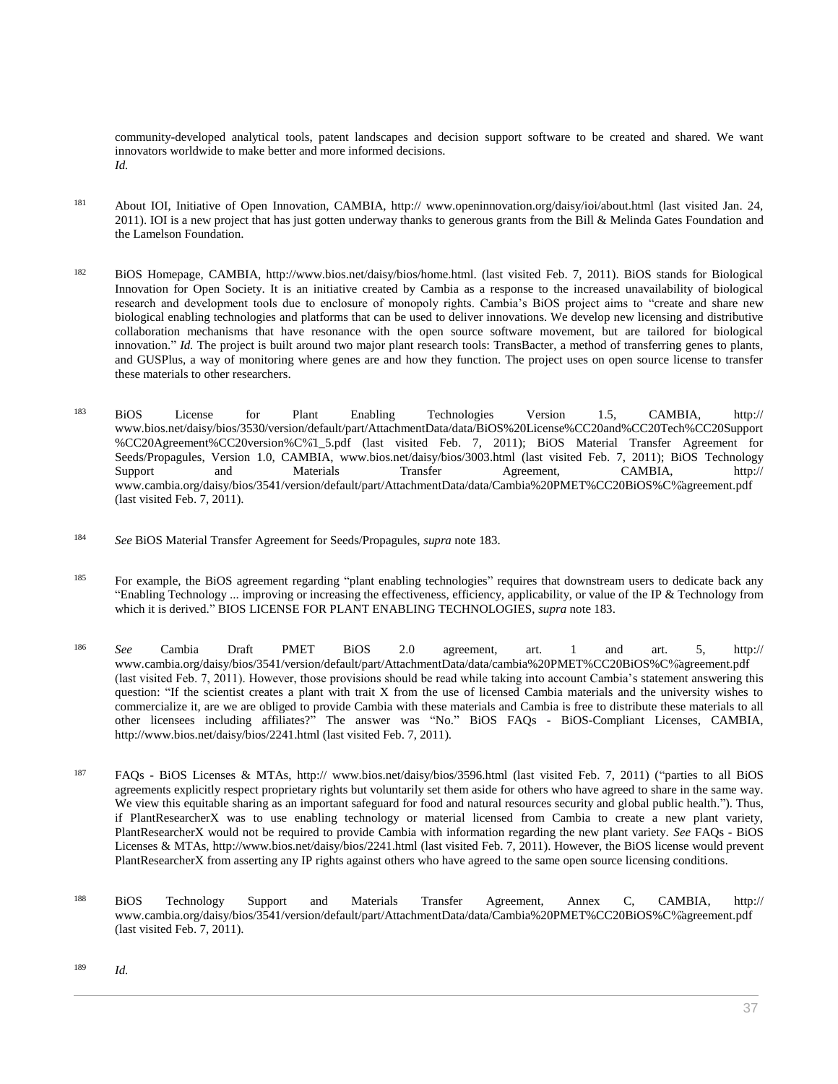community-developed analytical tools, patent landscapes and decision support software to be created and shared. We want innovators worldwide to make better and more informed decisions. *Id.*

- <sup>181</sup> About IOI, Initiative of Open Innovation, CAMBIA, http:// www.openinnovation.org/daisy/ioi/about.html (last visited Jan. 24, 2011). IOI is a new project that has just gotten underway thanks to generous grants from the Bill & Melinda Gates Foundation and the Lamelson Foundation.
- <sup>182</sup> BiOS Homepage, CAMBIA, http://www.bios.net/daisy/bios/home.html. (last visited Feb. 7, 2011). BiOS stands for Biological Innovation for Open Society. It is an initiative created by Cambia as a response to the increased unavailability of biological research and development tools due to enclosure of monopoly rights. Cambia's BiOS project aims to "create and share new biological enabling technologies and platforms that can be used to deliver innovations. We develop new licensing and distributive collaboration mechanisms that have resonance with the open source software movement, but are tailored for biological innovation." *Id.* The project is built around two major plant research tools: TransBacter, a method of transferring genes to plants, and GUSPlus, a way of monitoring where genes are and how they function. The project uses on open source license to transfer these materials to other researchers.
- <sup>183</sup> BiOS License for Plant Enabling Technologies Version 1.5, CAMBIA, http:// www.bios.net/daisy/bios/3530/version/default/part/AttachmentData/data/BiOS%20License%CC20and%CC20Tech%CC20Support %CC20Agreement%CC20version%C%̈1\_5.pdf (last visited Feb. 7, 2011); BiOS Material Transfer Agreement for Seeds/Propagules, Version 1.0, CAMBIA, www.bios.net/daisy/bios/3003.html (last visited Feb. 7, 2011); BiOS Technology Support and Materials Transfer Agreement, CAMBIA, http:// www.cambia.org/daisy/bios/3541/version/default/part/AttachmentData/data/Cambia%20PMET%CC20BiOS%C%̈agreement.pdf (last visited Feb. 7, 2011).
- <sup>184</sup> *See* BiOS Material Transfer Agreement for Seeds/Propagules, *supra* note 183.
- <sup>185</sup> For example, the BiOS agreement regarding "plant enabling technologies" requires that downstream users to dedicate back any "Enabling Technology ... improving or increasing the effectiveness, efficiency, applicability, or value of the IP & Technology from which it is derived." BIOS LICENSE FOR PLANT ENABLING TECHNOLOGIES, *supra* note 183.
- <sup>186</sup> *See* Cambia Draft PMET BiOS 2.0 agreement, art. 1 and art. 5, http:// www.cambia.org/daisy/bios/3541/version/default/part/AttachmentData/data/cambia%20PMET%CC20BiOS%C%̈agreement.pdf (last visited Feb. 7, 2011). However, those provisions should be read while taking into account Cambia's statement answering this question: "If the scientist creates a plant with trait X from the use of licensed Cambia materials and the university wishes to commercialize it, are we are obliged to provide Cambia with these materials and Cambia is free to distribute these materials to all other licensees including affiliates?" The answer was "No." BiOS FAQs - BiOS-Compliant Licenses, CAMBIA, http://www.bios.net/daisy/bios/2241.html (last visited Feb. 7, 2011).
- <sup>187</sup> FAQs BiOS Licenses & MTAs, http:// www.bios.net/daisy/bios/3596.html (last visited Feb. 7, 2011) ("parties to all BiOS agreements explicitly respect proprietary rights but voluntarily set them aside for others who have agreed to share in the same way. We view this equitable sharing as an important safeguard for food and natural resources security and global public health."). Thus, if PlantResearcherX was to use enabling technology or material licensed from Cambia to create a new plant variety, PlantResearcherX would not be required to provide Cambia with information regarding the new plant variety. *See* FAQs - BiOS Licenses & MTAs, http://www.bios.net/daisy/bios/2241.html (last visited Feb. 7, 2011). However, the BiOS license would prevent PlantResearcherX from asserting any IP rights against others who have agreed to the same open source licensing conditions.
- <sup>188</sup> BiOS Technology Support and Materials Transfer Agreement, Annex C, CAMBIA, http:// www.cambia.org/daisy/bios/3541/version/default/part/AttachmentData/data/Cambia%20PMET%CC20BiOS%C%̈agreement.pdf (last visited Feb. 7, 2011).

<sup>189</sup> *Id.*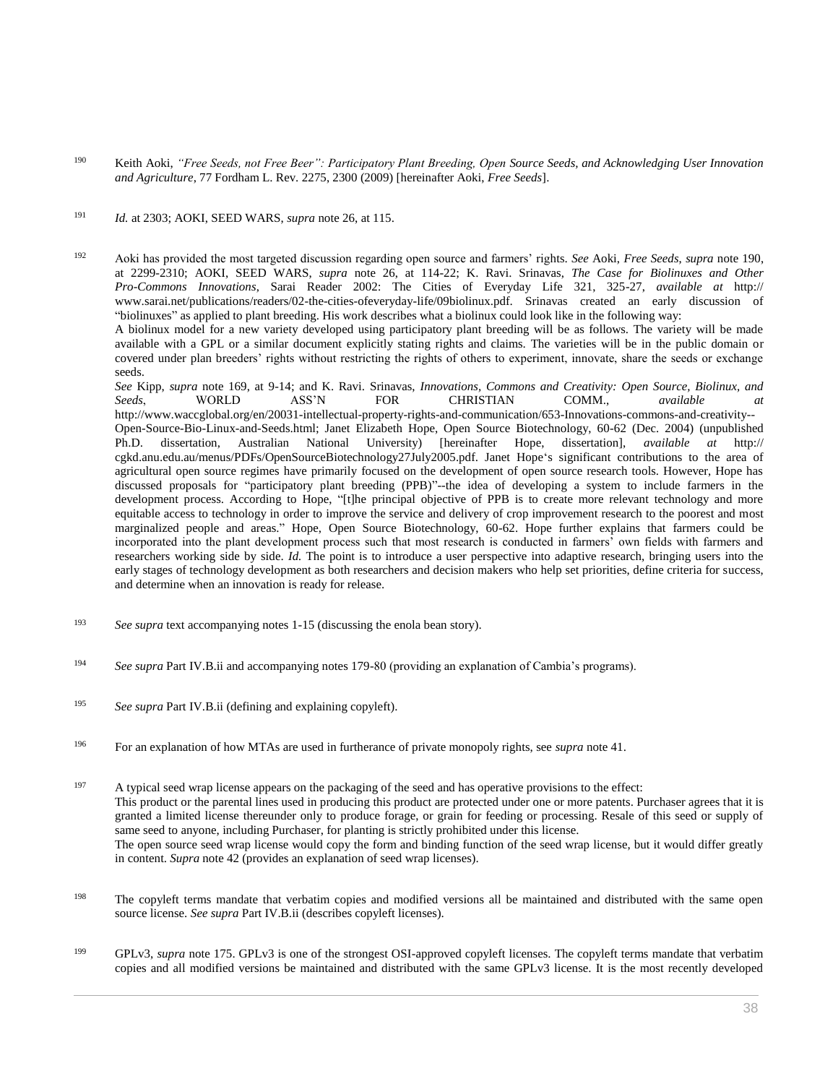<sup>190</sup> Keith Aoki, *["Free Seeds, not Free Beer": Participatory Plant Breeding, Open Source Seeds, and Acknowledging User Innovation](http://www.westlaw.com/Link/Document/FullText?findType=Y&serNum=0344088554&pubNum=0001142&originatingDoc=I0ecc82a22df011e18b05fdf15589d8e8&refType=LR&fi=co_pp_sp_1142_2300&originationContext=document&vr=3.0&rs=cblt1.0&transitionType=DocumentItem&contextData=(sc.Search)#co_pp_sp_1142_2300)  and Agriculture*[, 77 Fordham L. Rev. 2275, 2300 \(2009\)](http://www.westlaw.com/Link/Document/FullText?findType=Y&serNum=0344088554&pubNum=0001142&originatingDoc=I0ecc82a22df011e18b05fdf15589d8e8&refType=LR&fi=co_pp_sp_1142_2300&originationContext=document&vr=3.0&rs=cblt1.0&transitionType=DocumentItem&contextData=(sc.Search)#co_pp_sp_1142_2300) [hereinafter Aoki, *Free Seeds*].

#### <sup>191</sup> *Id.* at 2303; AOKI, SEED WARS, *supra* note 26, at 115.

<sup>192</sup> Aoki has provided the most targeted discussion regarding open source and farmers' rights. *See* Aoki, *Free Seeds*, *supra* note 190, at 2299-2310; AOKI, SEED WARS, *supra* note 26, at 114-22; K. Ravi. Srinavas, *The Case for Biolinuxes and Other Pro-Commons Innovations*, Sarai Reader 2002: The Cities of Everyday Life 321, 325-27, *available at* http:// www.sarai.net/publications/readers/02-the-cities-ofeveryday-life/09biolinux.pdf. Srinavas created an early discussion of "biolinuxes" as applied to plant breeding. His work describes what a biolinux could look like in the following way:

A biolinux model for a new variety developed using participatory plant breeding will be as follows. The variety will be made available with a GPL or a similar document explicitly stating rights and claims. The varieties will be in the public domain or covered under plan breeders' rights without restricting the rights of others to experiment, innovate, share the seeds or exchange seeds.

*See* Kipp, *supra* note 169, at 9-14; and K. Ravi. Srinavas, *Innovations, Commons and Creativity: Open Source, Biolinux, and Seeds*, WORLD ASS'N FOR CHRISTIAN COMM., *available at* http://www.waccglobal.org/en/20031-intellectual-property-rights-and-communication/653-Innovations-commons-and-creativity-- Open-Source-Bio-Linux-and-Seeds.html; Janet Elizabeth Hope, Open Source Biotechnology, 60-62 (Dec. 2004) (unpublished Ph.D. dissertation, Australian National University) [hereinafter Hope, dissertation], *available at* htt Phereinafter Hope, dissertation], *available at* http:// cgkd.anu.edu.au/menus/PDFs/OpenSourceBiotechnology27July2005.pdf. Janet Hope's significant contributions to the area of agricultural open source regimes have primarily focused on the development of open source research tools. However, Hope has discussed proposals for "participatory plant breeding (PPB)"--the idea of developing a system to include farmers in the development process. According to Hope, "[t]he principal objective of PPB is to create more relevant technology and more equitable access to technology in order to improve the service and delivery of crop improvement research to the poorest and most marginalized people and areas." Hope, Open Source Biotechnology, 60-62. Hope further explains that farmers could be incorporated into the plant development process such that most research is conducted in farmers' own fields with farmers and researchers working side by side. *Id.* The point is to introduce a user perspective into adaptive research, bringing users into the early stages of technology development as both researchers and decision makers who help set priorities, define criteria for success, and determine when an innovation is ready for release.

- <sup>193</sup> *See supra* text accompanying notes 1-15 (discussing the enola bean story).
- <sup>194</sup> *See supra* Part IV.B.ii and accompanying notes 179-80 (providing an explanation of Cambia's programs).
- <sup>195</sup> *See supra* Part IV.B.ii (defining and explaining copyleft).
- <sup>196</sup> For an explanation of how MTAs are used in furtherance of private monopoly rights, see *supra* note 41.

<sup>197</sup> A typical seed wrap license appears on the packaging of the seed and has operative provisions to the effect: This product or the parental lines used in producing this product are protected under one or more patents. Purchaser agrees that it is granted a limited license thereunder only to produce forage, or grain for feeding or processing. Resale of this seed or supply of same seed to anyone, including Purchaser, for planting is strictly prohibited under this license. The open source seed wrap license would copy the form and binding function of the seed wrap license, but it would differ greatly in content. *Supra* note 42 (provides an explanation of seed wrap licenses).

- <sup>198</sup> The copyleft terms mandate that verbatim copies and modified versions all be maintained and distributed with the same open source license. *See supra* Part IV.B.ii (describes copyleft licenses).
- <sup>199</sup> GPLv3, *supra* note 175. GPLv3 is one of the strongest OSI-approved copyleft licenses. The copyleft terms mandate that verbatim copies and all modified versions be maintained and distributed with the same GPLv3 license. It is the most recently developed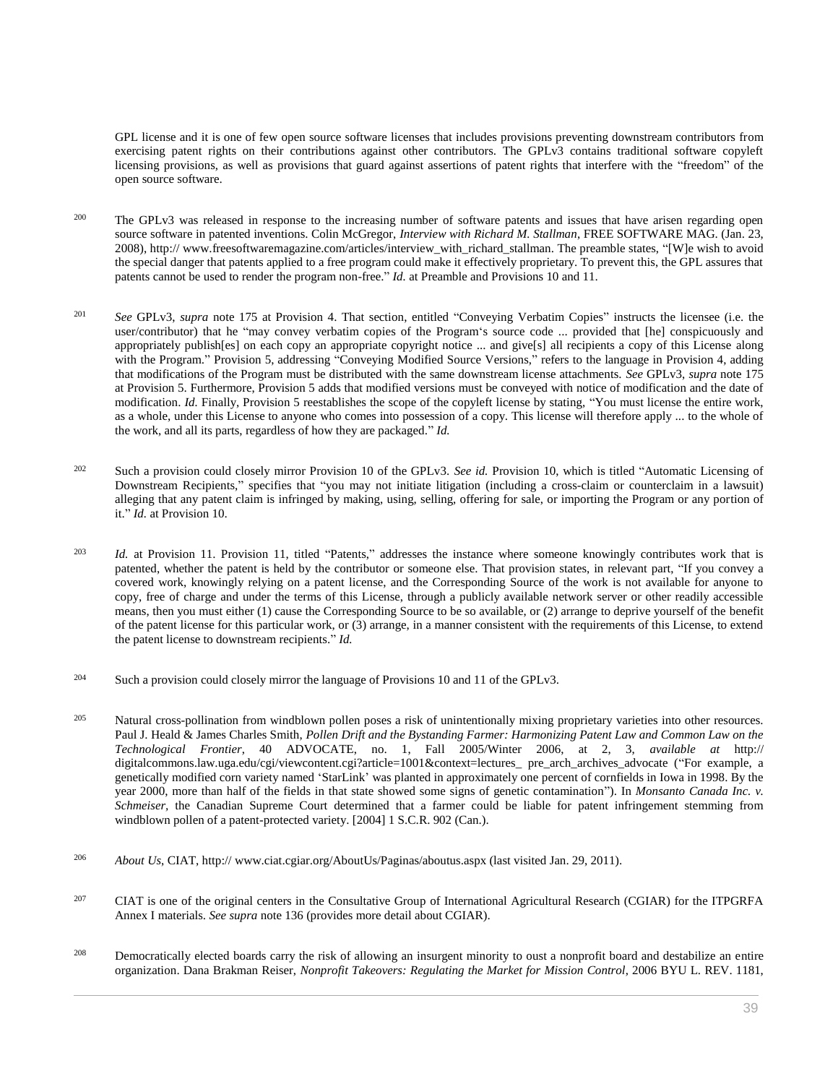GPL license and it is one of few open source software licenses that includes provisions preventing downstream contributors from exercising patent rights on their contributions against other contributors. The GPLv3 contains traditional software copyleft licensing provisions, as well as provisions that guard against assertions of patent rights that interfere with the "freedom" of the open source software.

- <sup>200</sup> The GPLv3 was released in response to the increasing number of software patents and issues that have arisen regarding open source software in patented inventions. Colin McGregor, *Interview with Richard M. Stallman*, FREE SOFTWARE MAG. (Jan. 23, 2008), http:// www.freesoftwaremagazine.com/articles/interview\_with\_richard\_stallman. The preamble states, "[W]e wish to avoid the special danger that patents applied to a free program could make it effectively proprietary. To prevent this, the GPL assures that patents cannot be used to render the program non-free." *Id.* at Preamble and Provisions 10 and 11.
- <sup>201</sup> *See* GPLv3, *supra* note 175 at Provision 4. That section, entitled "Conveying Verbatim Copies" instructs the licensee (i.e. the user/contributor) that he "may convey verbatim copies of the Program's source code ... provided that [he] conspicuously and appropriately publish[es] on each copy an appropriate copyright notice ... and give[s] all recipients a copy of this License along with the Program." Provision 5, addressing "Conveying Modified Source Versions," refers to the language in Provision 4, adding that modifications of the Program must be distributed with the same downstream license attachments. *See* GPLv3, *supra* note 175 at Provision 5. Furthermore, Provision 5 adds that modified versions must be conveyed with notice of modification and the date of modification. *Id.* Finally, Provision 5 reestablishes the scope of the copyleft license by stating, "You must license the entire work, as a whole, under this License to anyone who comes into possession of a copy. This license will therefore apply ... to the whole of the work, and all its parts, regardless of how they are packaged." *Id.*
- <sup>202</sup> Such a provision could closely mirror Provision 10 of the GPLv3. *See id.* Provision 10, which is titled "Automatic Licensing of Downstream Recipients," specifies that "you may not initiate litigation (including a cross-claim or counterclaim in a lawsuit) alleging that any patent claim is infringed by making, using, selling, offering for sale, or importing the Program or any portion of it." *Id.* at Provision 10.
- <sup>203</sup> *Id.* at Provision 11. Provision 11, titled "Patents," addresses the instance where someone knowingly contributes work that is patented, whether the patent is held by the contributor or someone else. That provision states, in relevant part, "If you convey a covered work, knowingly relying on a patent license, and the Corresponding Source of the work is not available for anyone to copy, free of charge and under the terms of this License, through a publicly available network server or other readily accessible means, then you must either (1) cause the Corresponding Source to be so available, or (2) arrange to deprive yourself of the benefit of the patent license for this particular work, or (3) arrange, in a manner consistent with the requirements of this License, to extend the patent license to downstream recipients." *Id.*
- <sup>204</sup> Such a provision could closely mirror the language of Provisions 10 and 11 of the GPLv3.
- <sup>205</sup> Natural cross-pollination from windblown pollen poses a risk of unintentionally mixing proprietary varieties into other resources. Paul J. Heald & James Charles Smith, *Pollen Drift and the Bystanding Farmer: Harmonizing Patent Law and Common Law on the Technological Frontier*, 40 ADVOCATE, no. 1, Fall 2005/Winter 2006, at 2, 3, *available at* http:// digitalcommons.law.uga.edu/cgi/viewcontent.cgi?article=1001&context=lectures\_ pre\_arch\_archives\_advocate ("For example, a genetically modified corn variety named 'StarLink' was planted in approximately one percent of cornfields in Iowa in 1998. By the year 2000, more than half of the fields in that state showed some signs of genetic contamination"). In *Monsanto Canada Inc. v. Schmeiser,* the Canadian Supreme Court determined that a farmer could be liable for patent infringement stemming from windblown pollen of a patent-protected variety. [2004] 1 S.C.R. 902 (Can.).
- <sup>206</sup> *About Us*, CIAT, http:// www.ciat.cgiar.org/AboutUs/Paginas/aboutus.aspx (last visited Jan. 29, 2011).
- <sup>207</sup> CIAT is one of the original centers in the Consultative Group of International Agricultural Research (CGIAR) for the ITPGRFA Annex I materials. *See supra* note 136 (provides more detail about CGIAR).
- <sup>208</sup> Democratically elected boards carry the risk of allowing an insurgent minority to oust a nonprofit board and destabilize an entire organization. Dana Brakman Reiser, *[Nonprofit Takeovers: Regulating the Market for Mission Control](http://www.westlaw.com/Link/Document/FullText?findType=Y&serNum=0329451813&pubNum=0001100&originatingDoc=I0ecc82a22df011e18b05fdf15589d8e8&refType=LR&fi=co_pp_sp_1100_1194&originationContext=document&vr=3.0&rs=cblt1.0&transitionType=DocumentItem&contextData=(sc.Search)#co_pp_sp_1100_1194)*, 2006 BYU L. REV. 1181,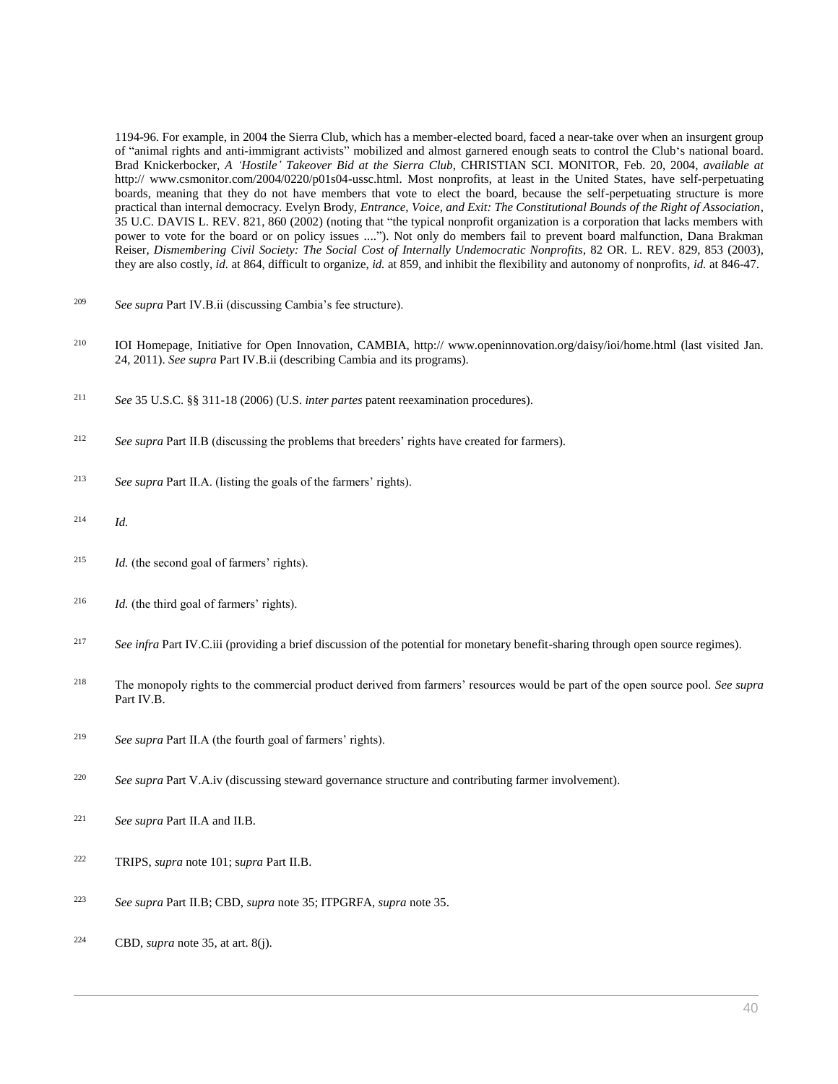[1194-96.](http://www.westlaw.com/Link/Document/FullText?findType=Y&serNum=0329451813&pubNum=0001100&originatingDoc=I0ecc82a22df011e18b05fdf15589d8e8&refType=LR&fi=co_pp_sp_1100_1194&originationContext=document&vr=3.0&rs=cblt1.0&transitionType=DocumentItem&contextData=(sc.Search)#co_pp_sp_1100_1194) For example, in 2004 the Sierra Club, which has a member-elected board, faced a near-take over when an insurgent group of "animal rights and anti-immigrant activists" mobilized and almost garnered enough seats to control the Club's national board. Brad Knickerbocker, *A 'Hostile' Takeover Bid at the Sierra Club*, CHRISTIAN SCI. MONITOR, Feb. 20, 2004, *available at* http:// www.csmonitor.com/2004/0220/p01s04-ussc.html. Most nonprofits, at least in the United States, have self-perpetuating boards, meaning that they do not have members that vote to elect the board, because the self-perpetuating structure is more practical than internal democracy. Evelyn Brody, *[Entrance, Voice, and Exit: The Constitutional Bounds of the Right of Association](http://www.westlaw.com/Link/Document/FullText?findType=Y&serNum=0289011048&pubNum=0002779&originatingDoc=I0ecc82a22df011e18b05fdf15589d8e8&refType=LR&fi=co_pp_sp_2779_860&originationContext=document&vr=3.0&rs=cblt1.0&transitionType=DocumentItem&contextData=(sc.Search)#co_pp_sp_2779_860)*, [35 U.C. DAVIS L. REV. 821, 860 \(2002\)](http://www.westlaw.com/Link/Document/FullText?findType=Y&serNum=0289011048&pubNum=0002779&originatingDoc=I0ecc82a22df011e18b05fdf15589d8e8&refType=LR&fi=co_pp_sp_2779_860&originationContext=document&vr=3.0&rs=cblt1.0&transitionType=DocumentItem&contextData=(sc.Search)#co_pp_sp_2779_860) (noting that "the typical nonprofit organization is a corporation that lacks members with power to vote for the board or on policy issues ...."). Not only do members fail to prevent board malfunction, Dana Brakman Reiser, *[Dismembering Civil Society: The Social Cost of Internally Undemocratic Nonprofits](http://www.westlaw.com/Link/Document/FullText?findType=Y&serNum=0299518184&pubNum=0001219&originatingDoc=I0ecc82a22df011e18b05fdf15589d8e8&refType=LR&fi=co_pp_sp_1219_853&originationContext=document&vr=3.0&rs=cblt1.0&transitionType=DocumentItem&contextData=(sc.Search)#co_pp_sp_1219_853)*, 82 OR. L. REV. 829, 853 (2003), they are also costly, *id.* [at 864,](http://www.westlaw.com/Link/Document/FullText?findType=Y&serNum=0299518184&originatingDoc=I0ecc82a22df011e18b05fdf15589d8e8&refType=LR&originationContext=document&vr=3.0&rs=cblt1.0&transitionType=DocumentItem&contextData=(sc.Search)) difficult to organize, *id.* [at 859,](http://www.westlaw.com/Link/Document/FullText?findType=Y&serNum=0299518184&originatingDoc=I0ecc82a22df011e18b05fdf15589d8e8&refType=LR&originationContext=document&vr=3.0&rs=cblt1.0&transitionType=DocumentItem&contextData=(sc.Search)) and inhibit the flexibility and autonomy of nonprofits, *id.* [at 846-47.](http://www.westlaw.com/Link/Document/FullText?findType=Y&serNum=0299518184&originatingDoc=I0ecc82a22df011e18b05fdf15589d8e8&refType=LR&originationContext=document&vr=3.0&rs=cblt1.0&transitionType=DocumentItem&contextData=(sc.Search))

- <sup>209</sup> *See supra* Part IV.B.ii (discussing Cambia's fee structure).
- <sup>210</sup> IOI Homepage, Initiative for Open Innovation, CAMBIA, http:// www.openinnovation.org/daisy/ioi/home.html (last visited Jan. 24, 2011). *See supra* Part IV.B.ii (describing Cambia and its programs).
- <sup>211</sup> *See* [35 U.S.C. §§ 311-](http://www.westlaw.com/Link/Document/FullText?findType=L&pubNum=1000546&cite=35USCAS311&originatingDoc=I0ecc82a22df011e18b05fdf15589d8e8&refType=LQ&originationContext=document&vr=3.0&rs=cblt1.0&transitionType=DocumentItem&contextData=(sc.Search))[18 \(2006\)](http://www.westlaw.com/Link/Document/FullText?findType=L&pubNum=1000546&cite=35USCAS318&originatingDoc=I0ecc82a22df011e18b05fdf15589d8e8&refType=LQ&originationContext=document&vr=3.0&rs=cblt1.0&transitionType=DocumentItem&contextData=(sc.Search)) (U.S. *inter partes* patent reexamination procedures).
- <sup>212</sup> *See supra* Part II.B (discussing the problems that breeders' rights have created for farmers).
- <sup>213</sup> *See supra* Part II.A. (listing the goals of the farmers' rights).
- <sup>214</sup> *Id.*
- <sup>215</sup> *Id.* (the second goal of farmers' rights).
- <sup>216</sup> *Id.* (the third goal of farmers' rights).
- <sup>217</sup> See infra Part IV.C.iii (providing a brief discussion of the potential for monetary benefit-sharing through open source regimes).
- <sup>218</sup> The monopoly rights to the commercial product derived from farmers' resources would be part of the open source pool. *See supra* Part IV.B.
- <sup>219</sup> *See supra* Part II.A (the fourth goal of farmers' rights).
- <sup>220</sup> *See supra* Part V.A.iv (discussing steward governance structure and contributing farmer involvement).
- <sup>221</sup> *See supra* Part II.A and II.B.
- <sup>222</sup> TRIPS, *supra* note 101; s*upra* Part II.B.
- <sup>223</sup> *See supra* Part II.B; CBD, *supra* note 35; ITPGRFA, *supra* note 35.
- <sup>224</sup> CBD, *supra* note 35, at art. 8(j).